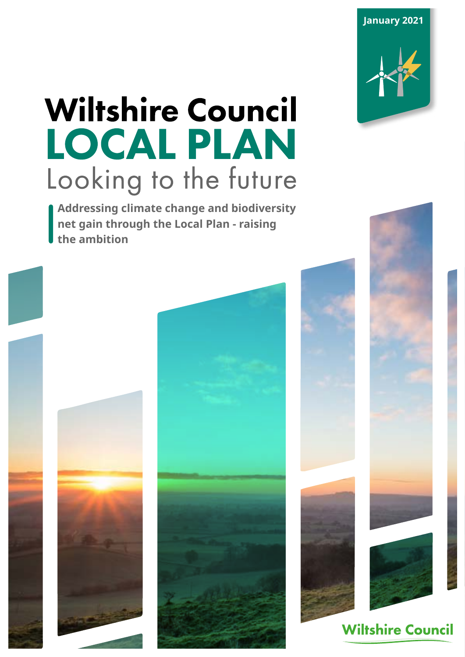**January 2021**

# **Wiltshire Council** LOCAL PLAN Looking to the future

**Addressing climate change and biodiversity net gain through the Local Plan - raising the ambition** 





**Wiltshire Council** 

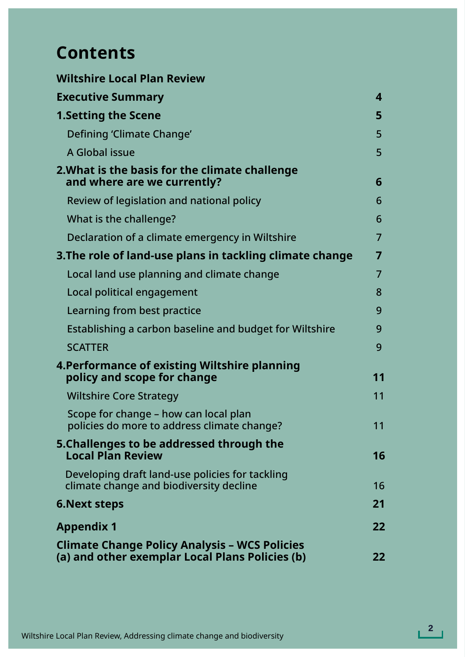# **Contents**

| <b>Wiltshire Local Plan Review</b>                                                                      |                |
|---------------------------------------------------------------------------------------------------------|----------------|
| <b>Executive Summary</b>                                                                                | 4              |
| <b>1.Setting the Scene</b>                                                                              | 5              |
| Defining 'Climate Change'                                                                               | 5              |
| A Global issue                                                                                          | 5              |
| 2. What is the basis for the climate challenge<br>and where are we currently?                           | 6              |
| Review of legislation and national policy                                                               | 6              |
| What is the challenge?                                                                                  | 6              |
| Declaration of a climate emergency in Wiltshire                                                         | $\overline{7}$ |
| 3. The role of land-use plans in tackling climate change                                                | 7              |
| Local land use planning and climate change                                                              | $\overline{7}$ |
| Local political engagement                                                                              | 8              |
| Learning from best practice                                                                             | 9              |
| Establishing a carbon baseline and budget for Wiltshire                                                 | 9              |
| <b>SCATTER</b>                                                                                          | 9              |
| 4. Performance of existing Wiltshire planning<br>policy and scope for change                            | 11             |
| <b>Wiltshire Core Strategy</b>                                                                          | 11             |
| Scope for change – how can local plan<br>policies do more to address climate change?                    | 11             |
| 5. Challenges to be addressed through the<br><b>Local Plan Review</b>                                   | 16             |
| Developing draft land-use policies for tackling<br>climate change and biodiversity decline              | 16             |
| <b>6. Next steps</b>                                                                                    | 21             |
| <b>Appendix 1</b>                                                                                       | 22             |
| <b>Climate Change Policy Analysis - WCS Policies</b><br>(a) and other exemplar Local Plans Policies (b) | 22             |

**2**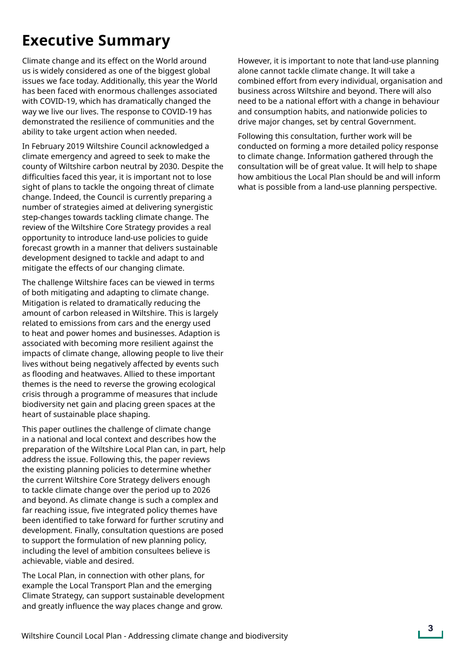## **Executive Summary**

Climate change and its effect on the World around us is widely considered as one of the biggest global issues we face today. Additionally, this year the World has been faced with enormous challenges associated with COVID-19, which has dramatically changed the way we live our lives. The response to COVID-19 has demonstrated the resilience of communities and the ability to take urgent action when needed.

In February 2019 Wiltshire Council acknowledged a climate emergency and agreed to seek to make the county of Wiltshire carbon neutral by 2030. Despite the difficulties faced this year, it is important not to lose sight of plans to tackle the ongoing threat of climate change. Indeed, the Council is currently preparing a number of strategies aimed at delivering synergistic step-changes towards tackling climate change. The review of the Wiltshire Core Strategy provides a real opportunity to introduce land-use policies to guide forecast growth in a manner that delivers sustainable development designed to tackle and adapt to and mitigate the effects of our changing climate.

The challenge Wiltshire faces can be viewed in terms of both mitigating and adapting to climate change. Mitigation is related to dramatically reducing the amount of carbon released in Wiltshire. This is largely related to emissions from cars and the energy used to heat and power homes and businesses. Adaption is associated with becoming more resilient against the impacts of climate change, allowing people to live their lives without being negatively affected by events such as flooding and heatwaves. Allied to these important themes is the need to reverse the growing ecological crisis through a programme of measures that include biodiversity net gain and placing green spaces at the heart of sustainable place shaping.

This paper outlines the challenge of climate change in a national and local context and describes how the preparation of the Wiltshire Local Plan can, in part, help address the issue. Following this, the paper reviews the existing planning policies to determine whether the current Wiltshire Core Strategy delivers enough to tackle climate change over the period up to 2026 and beyond. As climate change is such a complex and far reaching issue, five integrated policy themes have been identified to take forward for further scrutiny and development. Finally, consultation questions are posed to support the formulation of new planning policy, including the level of ambition consultees believe is achievable, viable and desired.

The Local Plan, in connection with other plans, for example the Local Transport Plan and the emerging Climate Strategy, can support sustainable development and greatly influence the way places change and grow.

However, it is important to note that land-use planning alone cannot tackle climate change. It will take a combined effort from every individual, organisation and business across Wiltshire and beyond. There will also need to be a national effort with a change in behaviour and consumption habits, and nationwide policies to drive major changes, set by central Government.

Following this consultation, further work will be conducted on forming a more detailed policy response to climate change. Information gathered through the consultation will be of great value. It will help to shape how ambitious the Local Plan should be and will inform what is possible from a land-use planning perspective.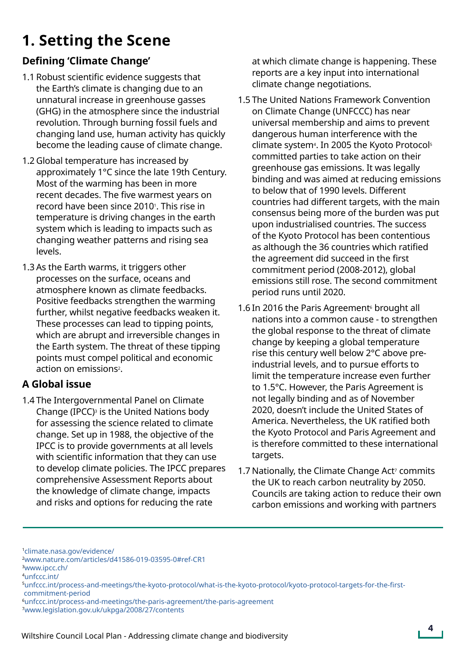# **1. Setting the Scene**

### **Defining 'Climate Change'**

- 1.1 Robust scientific evidence suggests that the Earth's climate is changing due to an unnatural increase in greenhouse gasses (GHG) in the atmosphere since the industrial revolution. Through burning fossil fuels and changing land use, human activity has quickly become the leading cause of climate change.
- 1.2 Global temperature has increased by approximately 1°C since the late 19th Century. Most of the warming has been in more recent decades. The five warmest years on record have been since 2010<sup>1</sup>. This rise in temperature is driving changes in the earth system which is leading to impacts such as changing weather patterns and rising sea levels.
- 1.3 As the Earth warms, it triggers other processes on the surface, oceans and atmosphere known as climate feedbacks. Positive feedbacks strengthen the warming further, whilst negative feedbacks weaken it. These processes can lead to tipping points, which are abrupt and irreversible changes in the Earth system. The threat of these tipping points must compel political and economic action on emissions2.

### **A Global issue**

1.4 The Intergovernmental Panel on Climate Change (IPCC) $3$  is the United Nations body for assessing the science related to climate change. Set up in 1988, the objective of the IPCC is to provide governments at all levels with scientific information that they can use to develop climate policies. The IPCC prepares comprehensive Assessment Reports about the knowledge of climate change, impacts and risks and options for reducing the rate

at which climate change is happening. These reports are a key input into international climate change negotiations.

- 1.5 The United Nations Framework Convention on Climate Change (UNFCCC) has near universal membership and aims to prevent dangerous human interference with the climate system<sup>4</sup>. In 2005 the Kyoto Protocol<sup>5</sup> committed parties to take action on their greenhouse gas emissions. It was legally binding and was aimed at reducing emissions to below that of 1990 levels. Different countries had different targets, with the main consensus being more of the burden was put upon industrialised countries. The success of the Kyoto Protocol has been contentious as although the 36 countries which ratified the agreement did succeed in the first commitment period (2008-2012), global emissions still rose. The second commitment period runs until 2020.
- 1.6 In 2016 the Paris Agreement<sup>6</sup> brought all nations into a common cause - to strengthen the global response to the threat of climate change by keeping a global temperature rise this century well below 2°C above preindustrial levels, and to pursue efforts to limit the temperature increase even further to 1.5°C. However, the Paris Agreement is not legally binding and as of November 2020, doesn't include the United States of America. Nevertheless, the UK ratified both the Kyoto Protocol and Paris Agreement and is therefore committed to these international targets.
- 1.7 Nationally, the Climate Change Act<sup>7</sup> commits the UK to reach carbon neutrality by 2050. Councils are taking action to reduce their own carbon emissions and working with partners

<sup>1</sup>[climate.nasa.gov/evidence/](climate.nasa.gov/evidence/  
) 

[<sup>2</sup>www.nature.com/articles/d41586-019-03595-0#ref-CR1](www.nature.com/articles/d41586-019-03595-0#ref-CR1

)

[<sup>3</sup>www.ipcc.ch/](www.ipcc.ch/  
) 

[<sup>4</sup>unfccc.int/](unfccc.int/  
) 

[<sup>5</sup>unfccc.int/process-and-meetings/the-kyoto-protocol/what-is-the-kyoto-protocol/kyoto-protocol-targets-for-the-first](unfccc.int/process-and-meetings/the-kyoto-protocol/what-is-the-kyoto-protocol/kyoto-protocol-targets-for-the-first-commitment-period
)  [commitment-period](unfccc.int/process-and-meetings/the-kyoto-protocol/what-is-the-kyoto-protocol/kyoto-protocol-targets-for-the-first-commitment-period
)

[<sup>6</sup>unfccc.int/process-and-meetings/the-paris-agreement/the-paris-agreement](unfccc.int/process-and-meetings/the-paris-agreement/the-paris-agreement)

[<sup>7</sup>www.legislation.gov.uk/ukpga/2008/27/contents](www.legislation.gov.uk/ukpga/2008/27/contents)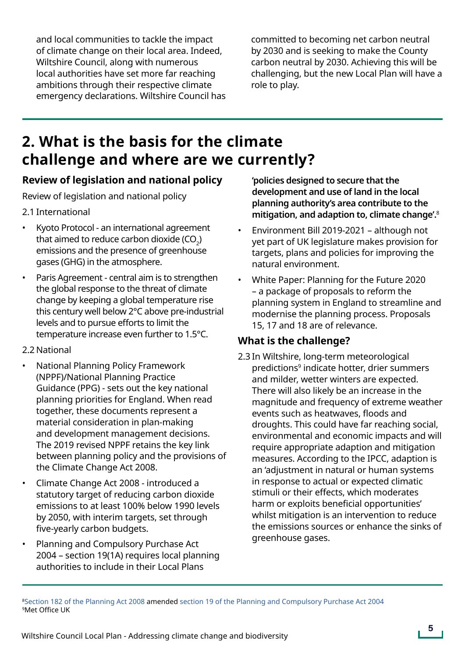and local communities to tackle the impact of climate change on their local area. Indeed, Wiltshire Council, along with numerous local authorities have set more far reaching ambitions through their respective climate emergency declarations. Wiltshire Council has committed to becoming net carbon neutral by 2030 and is seeking to make the County carbon neutral by 2030. Achieving this will be challenging, but the new Local Plan will have a role to play.

### **2. What is the basis for the climate challenge and where are we currently?**

#### **Review of legislation and national policy**

Review of legislation and national policy

#### 2.1 International

- Kyoto Protocol an international agreement that aimed to reduce carbon dioxide (CO $_2$ ) emissions and the presence of greenhouse gases (GHG) in the atmosphere.
- Paris Agreement central aim is to strengthen the global response to the threat of climate change by keeping a global temperature rise this century well below 2°C above pre-industrial levels and to pursue efforts to limit the temperature increase even further to 1.5°C.

#### 2.2 National

- National Planning Policy Framework (NPPF)/National Planning Practice Guidance (PPG) - sets out the key national planning priorities for England. When read together, these documents represent a material consideration in plan-making and development management decisions. The 2019 revised NPPF retains the key link between planning policy and the provisions of the Climate Change Act 2008.
- Climate Change Act 2008 introduced a statutory target of reducing carbon dioxide emissions to at least 100% below 1990 levels by 2050, with interim targets, set through five-yearly carbon budgets.
- Planning and Compulsory Purchase Act 2004 – section 19(1A) requires local planning authorities to include in their Local Plans

**'policies designed to secure that the development and use of land in the local planning authority's area contribute to the mitigation, and adaption to, climate change'.**<sup>8</sup>

- Environment Bill 2019-2021 although not yet part of UK legislature makes provision for targets, plans and policies for improving the natural environment.
- White Paper: Planning for the Future 2020 – a package of proposals to reform the planning system in England to streamline and modernise the planning process. Proposals 15, 17 and 18 are of relevance.

#### **What is the challenge?**

2.3 In Wiltshire, long-term meteorological predictions<sup>9</sup> indicate hotter, drier summers and milder, wetter winters are expected. There will also likely be an increase in the magnitude and frequency of extreme weather events such as heatwaves, floods and droughts. This could have far reaching social, environmental and economic impacts and will require appropriate adaption and mitigation measures. According to the IPCC, adaption is an 'adjustment in natural or human systems in response to actual or expected climatic stimuli or their effects, which moderates harm or exploits beneficial opportunities' whilst mitigation is an intervention to reduce the emissions sources or enhance the sinks of greenhouse gases.

[8Section 182 of the Planning Act 2008](https://www.legislation.gov.uk/ukpga/2008/29/section/182) amended [section 19 of the Planning and Compulsory Purchase Act 2004](https://www.legislation.gov.uk/ukpga/2004/5/section/19) 9Met Office UK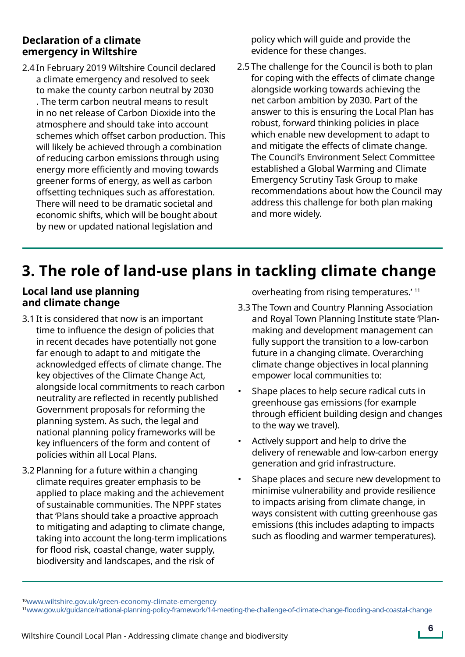#### **Declaration of a climate emergency in Wiltshire**

2.4 In February 2019 Wiltshire Council declared a climate emergency and resolved to seek to make the county carbon neutral by 2030 . The term carbon neutral means to result in no net release of Carbon Dioxide into the atmosphere and should take into account schemes which offset carbon production. This will likely be achieved through a combination of reducing carbon emissions through using energy more efficiently and moving towards greener forms of energy, as well as carbon offsetting techniques such as afforestation. There will need to be dramatic societal and economic shifts, which will be bought about by new or updated national legislation and

policy which will guide and provide the evidence for these changes.

2.5 The challenge for the Council is both to plan for coping with the effects of climate change alongside working towards achieving the net carbon ambition by 2030. Part of the answer to this is ensuring the Local Plan has robust, forward thinking policies in place which enable new development to adapt to and mitigate the effects of climate change. The Council's Environment Select Committee established a Global Warming and Climate Emergency Scrutiny Task Group to make recommendations about how the Council may address this challenge for both plan making and more widely.

# **3. The role of land-use plans in tackling climate change**

#### **Local land use planning and climate change**

- 3.1 It is considered that now is an important time to influence the design of policies that in recent decades have potentially not gone far enough to adapt to and mitigate the acknowledged effects of climate change. The key objectives of the Climate Change Act, alongside local commitments to reach carbon neutrality are reflected in recently published Government proposals for reforming the planning system. As such, the legal and national planning policy frameworks will be key influencers of the form and content of policies within all Local Plans.
- 3.2 Planning for a future within a changing climate requires greater emphasis to be applied to place making and the achievement of sustainable communities. The NPPF states that 'Plans should take a proactive approach to mitigating and adapting to climate change, taking into account the long-term implications for flood risk, coastal change, water supply, biodiversity and landscapes, and the risk of

overheating from rising temperatures.' <sup>11</sup>

- 3.3 The Town and Country Planning Association and Royal Town Planning Institute state 'Planmaking and development management can fully support the transition to a low-carbon future in a changing climate. Overarching climate change objectives in local planning empower local communities to:
- Shape places to help secure radical cuts in greenhouse gas emissions (for example through efficient building design and changes to the way we travel).
- Actively support and help to drive the delivery of renewable and low-carbon energy generation and grid infrastructure.
- Shape places and secure new development to minimise vulnerability and provide resilience to impacts arising from climate change, in ways consistent with cutting greenhouse gas emissions (this includes adapting to impacts such as flooding and warmer temperatures).

<sup>1</sup>[0www.wiltshire.gov.uk/green-economy-climate-emergency](www.wiltshire.gov.uk/green-economy-climate-emergency)

<sup>11</sup><www.gov.uk/guidance/national-planning-policy-framework/14-meeting-the-challenge-of-climate-change-flooding-and-coastal-change>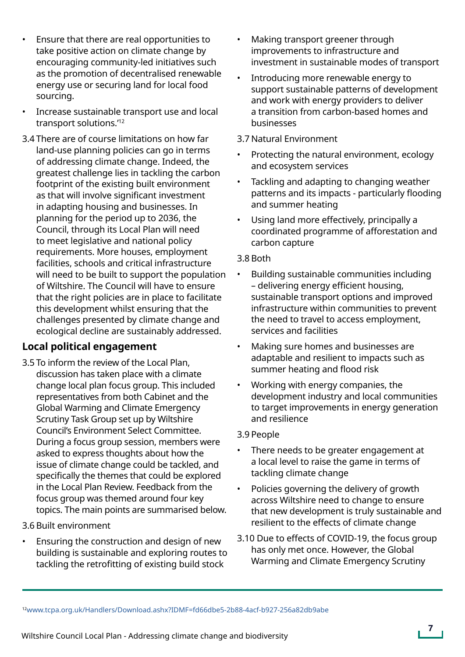- Ensure that there are real opportunities to take positive action on climate change by encouraging community-led initiatives such as the promotion of decentralised renewable energy use or securing land for local food sourcing.
- Increase sustainable transport use and local transport solutions.'12
- 3.4 There are of course limitations on how far land-use planning policies can go in terms of addressing climate change. Indeed, the greatest challenge lies in tackling the carbon footprint of the existing built environment as that will involve significant investment in adapting housing and businesses. In planning for the period up to 2036, the Council, through its Local Plan will need to meet legislative and national policy requirements. More houses, employment facilities, schools and critical infrastructure will need to be built to support the population of Wiltshire. The Council will have to ensure that the right policies are in place to facilitate this development whilst ensuring that the challenges presented by climate change and ecological decline are sustainably addressed.

#### **Local political engagement**

3.5 To inform the review of the Local Plan, discussion has taken place with a climate change local plan focus group. This included representatives from both Cabinet and the Global Warming and Climate Emergency Scrutiny Task Group set up by Wiltshire Council's Environment Select Committee. During a focus group session, members were asked to express thoughts about how the issue of climate change could be tackled, and specifically the themes that could be explored in the Local Plan Review. Feedback from the focus group was themed around four key topics. The main points are summarised below.

#### 3.6 Built environment

• Ensuring the construction and design of new building is sustainable and exploring routes to tackling the retrofitting of existing build stock

- Making transport greener through improvements to infrastructure and investment in sustainable modes of transport
- Introducing more renewable energy to support sustainable patterns of development and work with energy providers to deliver a transition from carbon-based homes and businesses

#### 3.7 Natural Environment

- Protecting the natural environment, ecology and ecosystem services
- Tackling and adapting to changing weather patterns and its impacts - particularly flooding and summer heating
- Using land more effectively, principally a coordinated programme of afforestation and carbon capture

#### 3.8 Both

- Building sustainable communities including – delivering energy efficient housing, sustainable transport options and improved infrastructure within communities to prevent the need to travel to access employment, services and facilities
- Making sure homes and businesses are adaptable and resilient to impacts such as summer heating and flood risk
- Working with energy companies, the development industry and local communities to target improvements in energy generation and resilience

#### 3.9 People

- There needs to be greater engagement at a local level to raise the game in terms of tackling climate change
- Policies governing the delivery of growth across Wiltshire need to change to ensure that new development is truly sustainable and resilient to the effects of climate change
- 3.10 Due to effects of COVID-19, the focus group has only met once. However, the Global Warming and Climate Emergency Scrutiny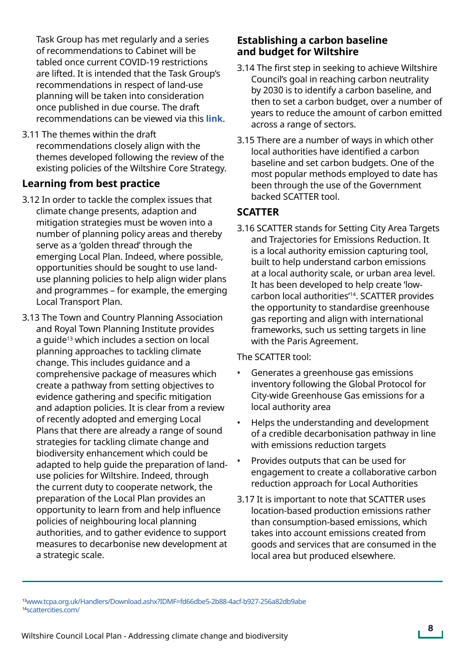Task Group has met regularly and a series of recommendations to Cabinet will be tabled once current COVID-19 restrictions are lifted. It is intended that the Task Group's recommendations in respect of land-use planning will be taken into consideration once published in due course. The draft recommendations can be viewed via this **[link](https://eur02.safelinks.protection.outlook.com/?url=https%3A%2F%2Fwww.wiltshire.gov.uk%2Fmedia%2F5227%2FThe-Global-Warming-and-Climate-Emergency-Task-group-report-part-2-Planning%2Fdoc%2FV3FINAL_GWCETG_SECOND_reportNov2020.docx%3Fm%3D637426754534070000&data=04%7C01%7CAlexander.Davis%40wiltshire.gov.uk%7Cbe23b49a2cdd43b1d09108d8a0e139ba%7C5546e75e3be14813b0ff26651ea2fe19%7C0%7C0%7C637436236477604250%7CUnknown%7CTWFpbGZsb3d8eyJWIjoiMC4wLjAwMDAiLCJQIjoiV2luMzIiLCJBTiI6Ik1haWwiLCJXVCI6Mn0%3D%7C1000&sdata=QKt5x0mHc2CSXOyJWGmJjW2cPiARWqTUkqhRLrz9d3w%3D&reserved=0)**.

3.11 The themes within the draft recommendations closely align with the themes developed following the review of the existing policies of the Wiltshire Core Strategy.

#### **Learning from best practice**

- 3.12 In order to tackle the complex issues that climate change presents, adaption and mitigation strategies must be woven into a number of planning policy areas and thereby serve as a 'golden thread' through the emerging Local Plan. Indeed, where possible, opportunities should be sought to use landuse planning policies to help align wider plans and programmes – for example, the emerging Local Transport Plan.
- 3.13 The Town and Country Planning Association and Royal Town Planning Institute provides a guide<sup>13</sup> which includes a section on local planning approaches to tackling climate change. This includes guidance and a comprehensive package of measures which create a pathway from setting objectives to evidence gathering and specific mitigation and adaption policies. It is clear from a review of recently adopted and emerging Local Plans that there are already a range of sound strategies for tackling climate change and biodiversity enhancement which could be adapted to help guide the preparation of landuse policies for Wiltshire. Indeed, through the current duty to cooperate network, the preparation of the Local Plan provides an opportunity to learn from and help influence policies of neighbouring local planning authorities, and to gather evidence to support measures to decarbonise new development at a strategic scale.

#### **Establishing a carbon baseline and budget for Wiltshire**

- 3.14 The first step in seeking to achieve Wiltshire Council's goal in reaching carbon neutrality by 2030 is to identify a carbon baseline, and then to set a carbon budget, over a number of years to reduce the amount of carbon emitted across a range of sectors.
- 3.15 There are a number of ways in which other local authorities have identified a carbon baseline and set carbon budgets. One of the most popular methods employed to date has been through the use of the Government backed SCATTER tool.

#### **SCATTER**

3.16 SCATTER stands for Setting City Area Targets and Trajectories for Emissions Reduction. It is a local authority emission capturing tool, built to help understand carbon emissions at a local authority scale, or urban area level. It has been developed to help create 'lowcarbon local authorities'14. SCATTER provides the opportunity to standardise greenhouse gas reporting and align with international frameworks, such us setting targets in line with the Paris Agreement.

The SCATTER tool:

- Generates a greenhouse gas emissions inventory following the Global Protocol for City-wide Greenhouse Gas emissions for a local authority area
- Helps the understanding and development of a credible decarbonisation pathway in line with emissions reduction targets
- Provides outputs that can be used for engagement to create a collaborative carbon reduction approach for Local Authorities
- 3.17 It is important to note that SCATTER uses location-based production emissions rather than consumption-based emissions, which takes into account emissions created from goods and services that are consumed in the local area but produced elsewhere.

<sup>1</sup>[3www.tcpa.org.uk/Handlers/Download.ashx?IDMF=fd66dbe5-2b88-4acf-b927-256a82db9abe](www.tcpa.org.uk/Handlers/Download.ashx?IDMF=fd66dbe5-2b88-4acf-b927-256a82db9abe)  1[4scattercities.com/](scattercities.com/)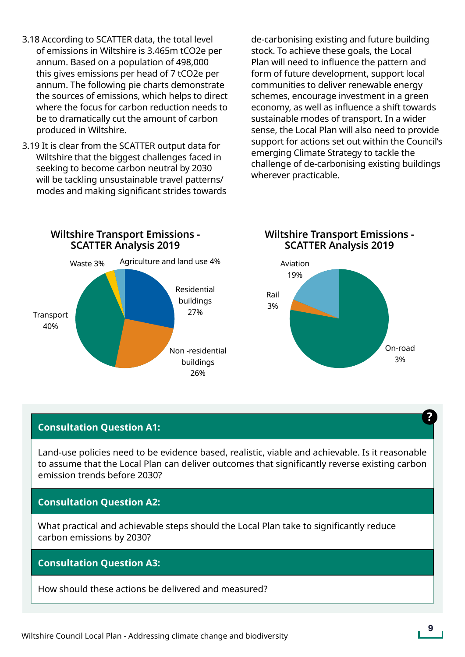- 3.18 According to SCATTER data, the total level of emissions in Wiltshire is 3.465m tCO2e per annum. Based on a population of 498,000 this gives emissions per head of 7 tCO2e per annum. The following pie charts demonstrate the sources of emissions, which helps to direct where the focus for carbon reduction needs to be to dramatically cut the amount of carbon produced in Wiltshire.
- 3.19 It is clear from the SCATTER output data for Wiltshire that the biggest challenges faced in seeking to become carbon neutral by 2030 will be tackling unsustainable travel patterns/ modes and making significant strides towards

de-carbonising existing and future building stock. To achieve these goals, the Local Plan will need to influence the pattern and form of future development, support local communities to deliver renewable energy schemes, encourage investment in a green economy, as well as influence a shift towards sustainable modes of transport. In a wider sense, the Local Plan will also need to provide support for actions set out within the Council's emerging Climate Strategy to tackle the challenge of de-carbonising existing buildings wherever practicable.



**Wiltshire Transport Emissions - SCATTER Analysis 2019**



#### **Consultation Question A1:**

Land-use policies need to be evidence based, realistic, viable and achievable. Is it reasonable to assume that the Local Plan can deliver outcomes that significantly reverse existing carbon emission trends before 2030?

#### **Consultation Question A2:**

What practical and achievable steps should the Local Plan take to significantly reduce carbon emissions by 2030?

#### **Consultation Question A3:**

How should these actions be delivered and measured?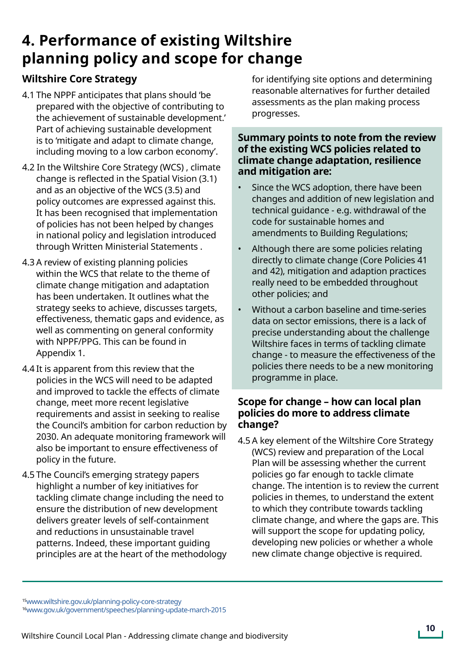## **4. Performance of existing Wiltshire planning policy and scope for change**

### **Wiltshire Core Strategy**

- 4.1 The NPPF anticipates that plans should 'be prepared with the objective of contributing to the achievement of sustainable development.' Part of achieving sustainable development is to 'mitigate and adapt to climate change, including moving to a low carbon economy'.
- 4.2 In the Wiltshire Core Strategy (WCS) , climate change is reflected in the Spatial Vision (3.1) and as an objective of the WCS (3.5) and policy outcomes are expressed against this. It has been recognised that implementation of policies has not been helped by changes in national policy and legislation introduced through Written Ministerial Statements .
- 4.3 A review of existing planning policies within the WCS that relate to the theme of climate change mitigation and adaptation has been undertaken. It outlines what the strategy seeks to achieve, discusses targets, effectiveness, thematic gaps and evidence, as well as commenting on general conformity with NPPF/PPG. This can be found in Appendix 1.
- 4.4 It is apparent from this review that the policies in the WCS will need to be adapted and improved to tackle the effects of climate change, meet more recent legislative requirements and assist in seeking to realise the Council's ambition for carbon reduction by 2030. An adequate monitoring framework will also be important to ensure effectiveness of policy in the future.
- 4.5 The Council's emerging strategy papers highlight a number of key initiatives for tackling climate change including the need to ensure the distribution of new development delivers greater levels of self-containment and reductions in unsustainable travel patterns. Indeed, these important guiding principles are at the heart of the methodology

for identifying site options and determining reasonable alternatives for further detailed assessments as the plan making process progresses.

#### **Summary points to note from the review of the existing WCS policies related to climate change adaptation, resilience and mitigation are:**

- Since the WCS adoption, there have been changes and addition of new legislation and technical guidance - e.g. withdrawal of the code for sustainable homes and amendments to Building Regulations;
- Although there are some policies relating directly to climate change (Core Policies 41 and 42), mitigation and adaption practices really need to be embedded throughout other policies; and
- Without a carbon baseline and time-series data on sector emissions, there is a lack of precise understanding about the challenge Wiltshire faces in terms of tackling climate change - to measure the effectiveness of the policies there needs to be a new monitoring programme in place.

#### **Scope for change – how can local plan policies do more to address climate change?**

4.5 A key element of the Wiltshire Core Strategy (WCS) review and preparation of the Local Plan will be assessing whether the current policies go far enough to tackle climate change. The intention is to review the current policies in themes, to understand the extent to which they contribute towards tackling climate change, and where the gaps are. This will support the scope for updating policy, developing new policies or whether a whole new climate change objective is required.

<sup>1</sup>[5www.wiltshire.gov.uk/planning-policy-core-strategy](www.wiltshire.gov.uk/planning-policy-core-strategy
)

<sup>1</sup>[6www.gov.uk/government/speeches/planning-update-march-2015](www.gov.uk/government/speeches/planning-update-march-2015)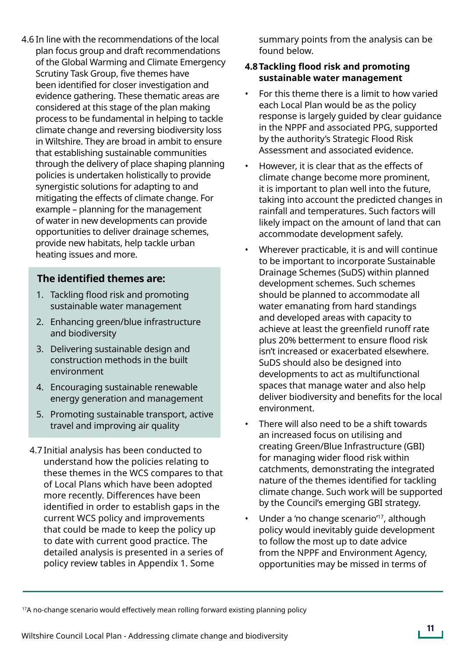4.6 In line with the recommendations of the local plan focus group and draft recommendations of the Global Warming and Climate Emergency Scrutiny Task Group, five themes have been identified for closer investigation and evidence gathering. These thematic areas are considered at this stage of the plan making process to be fundamental in helping to tackle climate change and reversing biodiversity loss in Wiltshire. They are broad in ambit to ensure that establishing sustainable communities through the delivery of place shaping planning policies is undertaken holistically to provide synergistic solutions for adapting to and mitigating the effects of climate change. For example – planning for the management of water in new developments can provide opportunities to deliver drainage schemes, provide new habitats, help tackle urban heating issues and more.

#### **The identified themes are:**

- 1. Tackling flood risk and promoting sustainable water management
- 2. Enhancing green/blue infrastructure and biodiversity
- 3. Delivering sustainable design and construction methods in the built environment
- 4. Encouraging sustainable renewable energy generation and management
- 5. Promoting sustainable transport, active travel and improving air quality
- 4.7 Initial analysis has been conducted to understand how the policies relating to these themes in the WCS compares to that of Local Plans which have been adopted more recently. Differences have been identified in order to establish gaps in the current WCS policy and improvements that could be made to keep the policy up to date with current good practice. The detailed analysis is presented in a series of policy review tables in Appendix 1. Some

summary points from the analysis can be found below.

#### **4.8Tackling flood risk and promoting sustainable water management**

- For this theme there is a limit to how varied each Local Plan would be as the policy response is largely guided by clear guidance in the NPPF and associated PPG, supported by the authority's Strategic Flood Risk Assessment and associated evidence.
- However, it is clear that as the effects of climate change become more prominent, it is important to plan well into the future, taking into account the predicted changes in rainfall and temperatures. Such factors will likely impact on the amount of land that can accommodate development safely.
- Wherever practicable, it is and will continue to be important to incorporate Sustainable Drainage Schemes (SuDS) within planned development schemes. Such schemes should be planned to accommodate all water emanating from hard standings and developed areas with capacity to achieve at least the greenfield runoff rate plus 20% betterment to ensure flood risk isn't increased or exacerbated elsewhere. SuDS should also be designed into developments to act as multifunctional spaces that manage water and also help deliver biodiversity and benefits for the local environment.
- There will also need to be a shift towards an increased focus on utilising and creating Green/Blue Infrastructure (GBI) for managing wider flood risk within catchments, demonstrating the integrated nature of the themes identified for tackling climate change. Such work will be supported by the Council's emerging GBI strategy.
- Under a 'no change scenario<sup>'17</sup>, although policy would inevitably guide development to follow the most up to date advice from the NPPF and Environment Agency, opportunities may be missed in terms of

<sup>&</sup>lt;sup>17</sup>A no-change scenario would effectively mean rolling forward existing planning policy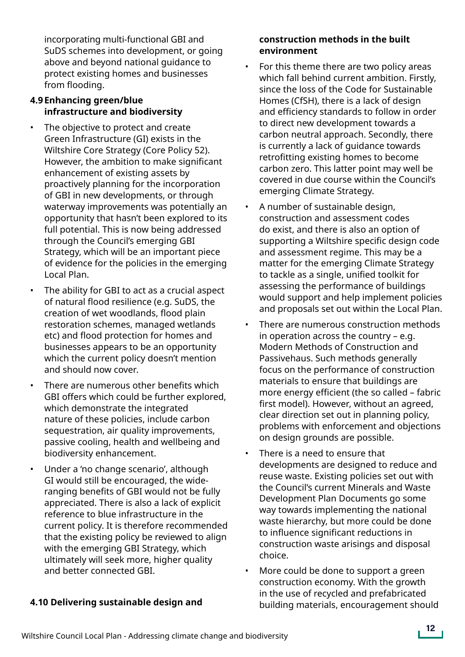incorporating multi-functional GBI and SuDS schemes into development, or going above and beyond national guidance to protect existing homes and businesses from flooding.

#### **4.9Enhancing green/blue infrastructure and biodiversity**

- The objective to protect and create Green Infrastructure (GI) exists in the Wiltshire Core Strategy (Core Policy 52). However, the ambition to make significant enhancement of existing assets by proactively planning for the incorporation of GBI in new developments, or through waterway improvements was potentially an opportunity that hasn't been explored to its full potential. This is now being addressed through the Council's emerging GBI Strategy, which will be an important piece of evidence for the policies in the emerging Local Plan.
- The ability for GBI to act as a crucial aspect of natural flood resilience (e.g. SuDS, the creation of wet woodlands, flood plain restoration schemes, managed wetlands etc) and flood protection for homes and businesses appears to be an opportunity which the current policy doesn't mention and should now cover.
- There are numerous other benefits which GBI offers which could be further explored, which demonstrate the integrated nature of these policies, include carbon sequestration, air quality improvements, passive cooling, health and wellbeing and biodiversity enhancement.
- Under a 'no change scenario', although GI would still be encouraged, the wideranging benefits of GBI would not be fully appreciated. There is also a lack of explicit reference to blue infrastructure in the current policy. It is therefore recommended that the existing policy be reviewed to align with the emerging GBI Strategy, which ultimately will seek more, higher quality and better connected GBI.

#### **4.10 Delivering sustainable design and**

#### **construction methods in the built environment**

- For this theme there are two policy areas which fall behind current ambition. Firstly, since the loss of the Code for Sustainable Homes (CfSH), there is a lack of design and efficiency standards to follow in order to direct new development towards a carbon neutral approach. Secondly, there is currently a lack of guidance towards retrofitting existing homes to become carbon zero. This latter point may well be covered in due course within the Council's emerging Climate Strategy.
- A number of sustainable design, construction and assessment codes do exist, and there is also an option of supporting a Wiltshire specific design code and assessment regime. This may be a matter for the emerging Climate Strategy to tackle as a single, unified toolkit for assessing the performance of buildings would support and help implement policies and proposals set out within the Local Plan.
- There are numerous construction methods in operation across the country – e.g. Modern Methods of Construction and Passivehaus. Such methods generally focus on the performance of construction materials to ensure that buildings are more energy efficient (the so called – fabric first model). However, without an agreed, clear direction set out in planning policy, problems with enforcement and objections on design grounds are possible.
- There is a need to ensure that developments are designed to reduce and reuse waste. Existing policies set out with the Council's current Minerals and Waste Development Plan Documents go some way towards implementing the national waste hierarchy, but more could be done to influence significant reductions in construction waste arisings and disposal choice.
- More could be done to support a green construction economy. With the growth in the use of recycled and prefabricated building materials, encouragement should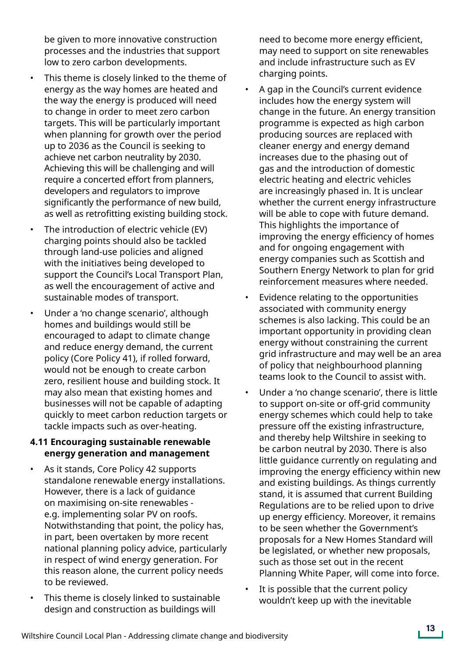be given to more innovative construction processes and the industries that support low to zero carbon developments.

- This theme is closely linked to the theme of energy as the way homes are heated and the way the energy is produced will need to change in order to meet zero carbon targets. This will be particularly important when planning for growth over the period up to 2036 as the Council is seeking to achieve net carbon neutrality by 2030. Achieving this will be challenging and will require a concerted effort from planners, developers and regulators to improve significantly the performance of new build, as well as retrofitting existing building stock.
- The introduction of electric vehicle (EV) charging points should also be tackled through land-use policies and aligned with the initiatives being developed to support the Council's Local Transport Plan, as well the encouragement of active and sustainable modes of transport.
- Under a 'no change scenario', although homes and buildings would still be encouraged to adapt to climate change and reduce energy demand, the current policy (Core Policy 41), if rolled forward, would not be enough to create carbon zero, resilient house and building stock. It may also mean that existing homes and businesses will not be capable of adapting quickly to meet carbon reduction targets or tackle impacts such as over-heating.

#### **4.11 Encouraging sustainable renewable energy generation and management**

- As it stands, Core Policy 42 supports standalone renewable energy installations. However, there is a lack of guidance on maximising on-site renewables e.g. implementing solar PV on roofs. Notwithstanding that point, the policy has, in part, been overtaken by more recent national planning policy advice, particularly in respect of wind energy generation. For this reason alone, the current policy needs to be reviewed.
- This theme is closely linked to sustainable design and construction as buildings will

need to become more energy efficient, may need to support on site renewables and include infrastructure such as EV charging points.

- A gap in the Council's current evidence includes how the energy system will change in the future. An energy transition programme is expected as high carbon producing sources are replaced with cleaner energy and energy demand increases due to the phasing out of gas and the introduction of domestic electric heating and electric vehicles are increasingly phased in. It is unclear whether the current energy infrastructure will be able to cope with future demand. This highlights the importance of improving the energy efficiency of homes and for ongoing engagement with energy companies such as Scottish and Southern Energy Network to plan for grid reinforcement measures where needed.
- Evidence relating to the opportunities associated with community energy schemes is also lacking. This could be an important opportunity in providing clean energy without constraining the current grid infrastructure and may well be an area of policy that neighbourhood planning teams look to the Council to assist with.
- Under a 'no change scenario', there is little to support on-site or off-grid community energy schemes which could help to take pressure off the existing infrastructure, and thereby help Wiltshire in seeking to be carbon neutral by 2030. There is also little guidance currently on regulating and improving the energy efficiency within new and existing buildings. As things currently stand, it is assumed that current Building Regulations are to be relied upon to drive up energy efficiency. Moreover, it remains to be seen whether the Government's proposals for a New Homes Standard will be legislated, or whether new proposals, such as those set out in the recent Planning White Paper, will come into force.
- It is possible that the current policy wouldn't keep up with the inevitable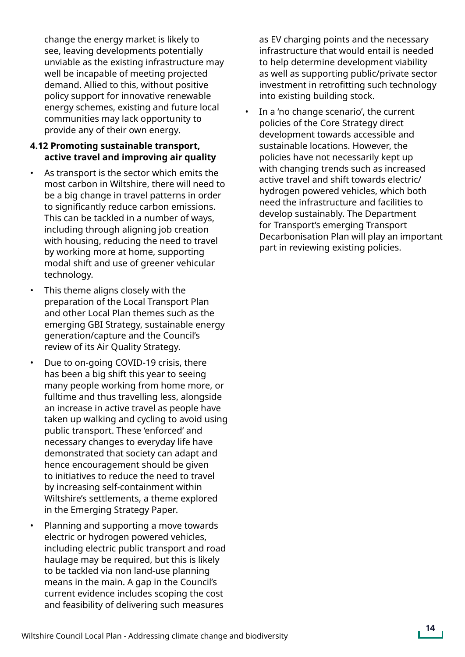change the energy market is likely to see, leaving developments potentially unviable as the existing infrastructure may well be incapable of meeting projected demand. Allied to this, without positive policy support for innovative renewable energy schemes, existing and future local communities may lack opportunity to provide any of their own energy.

#### **4.12 Promoting sustainable transport, active travel and improving air quality**

- As transport is the sector which emits the most carbon in Wiltshire, there will need to be a big change in travel patterns in order to significantly reduce carbon emissions. This can be tackled in a number of ways, including through aligning job creation with housing, reducing the need to travel by working more at home, supporting modal shift and use of greener vehicular technology.
- This theme aligns closely with the preparation of the Local Transport Plan and other Local Plan themes such as the emerging GBI Strategy, sustainable energy generation/capture and the Council's review of its Air Quality Strategy.
- Due to on-going COVID-19 crisis, there has been a big shift this year to seeing many people working from home more, or fulltime and thus travelling less, alongside an increase in active travel as people have taken up walking and cycling to avoid using public transport. These 'enforced' and necessary changes to everyday life have demonstrated that society can adapt and hence encouragement should be given to initiatives to reduce the need to travel by increasing self-containment within Wiltshire's settlements, a theme explored in the Emerging Strategy Paper.
- Planning and supporting a move towards electric or hydrogen powered vehicles, including electric public transport and road haulage may be required, but this is likely to be tackled via non land-use planning means in the main. A gap in the Council's current evidence includes scoping the cost and feasibility of delivering such measures

as EV charging points and the necessary infrastructure that would entail is needed to help determine development viability as well as supporting public/private sector investment in retrofitting such technology into existing building stock.

In a 'no change scenario', the current policies of the Core Strategy direct development towards accessible and sustainable locations. However, the policies have not necessarily kept up with changing trends such as increased active travel and shift towards electric/ hydrogen powered vehicles, which both need the infrastructure and facilities to develop sustainably. The Department for Transport's emerging Transport Decarbonisation Plan will play an important part in reviewing existing policies.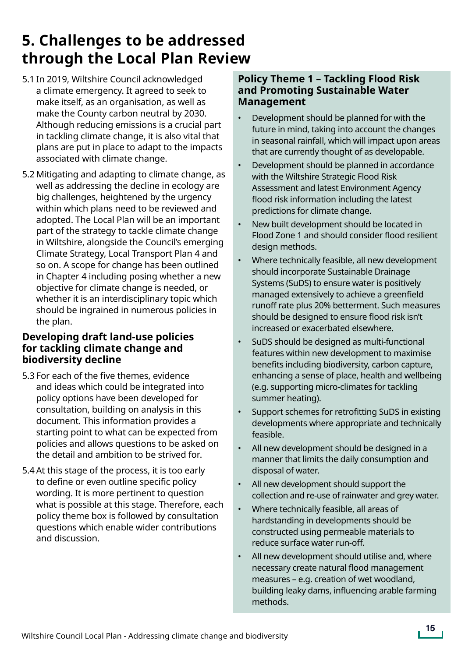# **5. Challenges to be addressed through the Local Plan Review**

- 5.1 In 2019, Wiltshire Council acknowledged a climate emergency. It agreed to seek to make itself, as an organisation, as well as make the County carbon neutral by 2030. Although reducing emissions is a crucial part in tackling climate change, it is also vital that plans are put in place to adapt to the impacts associated with climate change.
- 5.2 Mitigating and adapting to climate change, as well as addressing the decline in ecology are big challenges, heightened by the urgency within which plans need to be reviewed and adopted. The Local Plan will be an important part of the strategy to tackle climate change in Wiltshire, alongside the Council's emerging Climate Strategy, Local Transport Plan 4 and so on. A scope for change has been outlined in Chapter 4 including posing whether a new objective for climate change is needed, or whether it is an interdisciplinary topic which should be ingrained in numerous policies in the plan.

#### **Developing draft land-use policies for tackling climate change and biodiversity decline**

- 5.3 For each of the five themes, evidence and ideas which could be integrated into policy options have been developed for consultation, building on analysis in this document. This information provides a starting point to what can be expected from policies and allows questions to be asked on the detail and ambition to be strived for.
- 5.4 At this stage of the process, it is too early to define or even outline specific policy wording. It is more pertinent to question what is possible at this stage. Therefore, each policy theme box is followed by consultation questions which enable wider contributions and discussion.

#### **Policy Theme 1 – Tackling Flood Risk and Promoting Sustainable Water Management**

- Development should be planned for with the future in mind, taking into account the changes in seasonal rainfall, which will impact upon areas that are currently thought of as developable.
- Development should be planned in accordance with the Wiltshire Strategic Flood Risk Assessment and latest Environment Agency flood risk information including the latest predictions for climate change.
- New built development should be located in Flood Zone 1 and should consider flood resilient design methods.
- Where technically feasible, all new development should incorporate Sustainable Drainage Systems (SuDS) to ensure water is positively managed extensively to achieve a greenfield runoff rate plus 20% betterment. Such measures should be designed to ensure flood risk isn't increased or exacerbated elsewhere.
- SuDS should be designed as multi-functional features within new development to maximise benefits including biodiversity, carbon capture, enhancing a sense of place, health and wellbeing (e.g. supporting micro-climates for tackling summer heating).
- Support schemes for retrofitting SuDS in existing developments where appropriate and technically feasible.
- All new development should be designed in a manner that limits the daily consumption and disposal of water.
- All new development should support the collection and re-use of rainwater and grey water.
- Where technically feasible, all areas of hardstanding in developments should be constructed using permeable materials to reduce surface water run-off.
- All new development should utilise and, where necessary create natural flood management measures – e.g. creation of wet woodland, building leaky dams, influencing arable farming methods.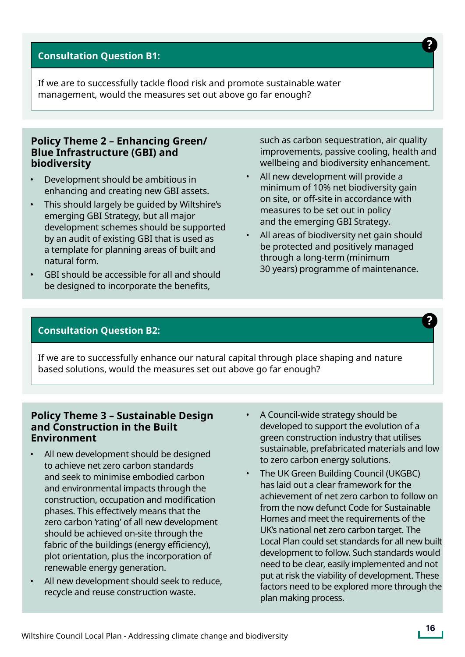#### **Consultation Question B1:**

If we are to successfully tackle flood risk and promote sustainable water management, would the measures set out above go far enough?

#### **Policy Theme 2 – Enhancing Green/ Blue Infrastructure (GBI) and biodiversity**

- Development should be ambitious in enhancing and creating new GBI assets.
- This should largely be guided by Wiltshire's emerging GBI Strategy, but all major development schemes should be supported by an audit of existing GBI that is used as a template for planning areas of built and natural form.
- GBI should be accessible for all and should be designed to incorporate the benefits,

such as carbon sequestration, air quality improvements, passive cooling, health and wellbeing and biodiversity enhancement.

- All new development will provide a minimum of 10% net biodiversity gain on site, or off-site in accordance with measures to be set out in policy and the emerging GBI Strategy.
- All areas of biodiversity net gain should be protected and positively managed through a long-term (minimum 30 years) programme of maintenance.

#### **Consultation Question B2:**

If we are to successfully enhance our natural capital through place shaping and nature based solutions, would the measures set out above go far enough?

#### **Policy Theme 3 – Sustainable Design and Construction in the Built Environment**

- All new development should be designed to achieve net zero carbon standards and seek to minimise embodied carbon and environmental impacts through the construction, occupation and modification phases. This effectively means that the zero carbon 'rating' of all new development should be achieved on-site through the fabric of the buildings (energy efficiency), plot orientation, plus the incorporation of renewable energy generation.
- All new development should seek to reduce, recycle and reuse construction waste.
- A Council-wide strategy should be developed to support the evolution of a green construction industry that utilises sustainable, prefabricated materials and low to zero carbon energy solutions.
- The UK Green Building Council (UKGBC) has laid out a clear framework for the achievement of net zero carbon to follow on from the now defunct Code for Sustainable Homes and meet the requirements of the UK's national net zero carbon target. The Local Plan could set standards for all new built development to follow. Such standards would need to be clear, easily implemented and not put at risk the viability of development. These factors need to be explored more through the plan making process.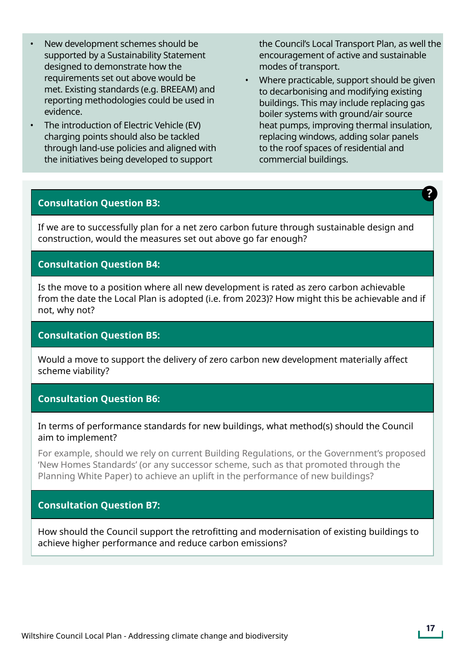- New development schemes should be supported by a Sustainability Statement designed to demonstrate how the requirements set out above would be met. Existing standards (e.g. BREEAM) and reporting methodologies could be used in evidence.
- The introduction of Electric Vehicle (EV) charging points should also be tackled through land-use policies and aligned with the initiatives being developed to support

the Council's Local Transport Plan, as well the encouragement of active and sustainable modes of transport.

• Where practicable, support should be given to decarbonising and modifying existing buildings. This may include replacing gas boiler systems with ground/air source heat pumps, improving thermal insulation, replacing windows, adding solar panels to the roof spaces of residential and commercial buildings.

#### **Consultation Question B3:**

If we are to successfully plan for a net zero carbon future through sustainable design and construction, would the measures set out above go far enough?

#### **Consultation Question B4:**

Is the move to a position where all new development is rated as zero carbon achievable from the date the Local Plan is adopted (i.e. from 2023)? How might this be achievable and if not, why not?

#### **Consultation Question B5:**

Would a move to support the delivery of zero carbon new development materially affect scheme viability?

#### **Consultation Question B6:**

#### In terms of performance standards for new buildings, what method(s) should the Council aim to implement?

For example, should we rely on current Building Regulations, or the Government's proposed 'New Homes Standards' (or any successor scheme, such as that promoted through the Planning White Paper) to achieve an uplift in the performance of new buildings?

#### **Consultation Question B7:**

How should the Council support the retrofitting and modernisation of existing buildings to achieve higher performance and reduce carbon emissions?

?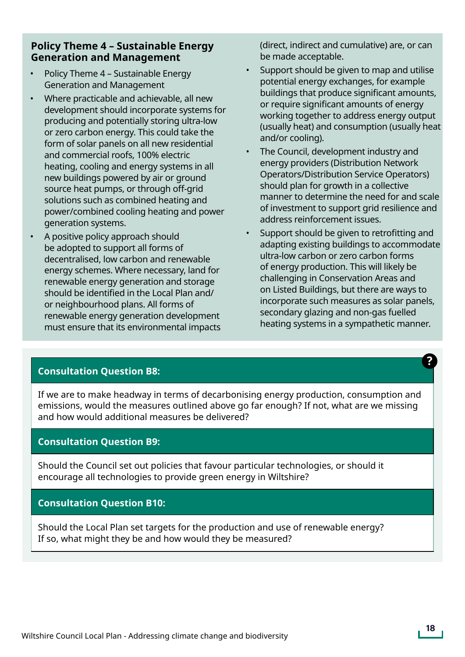#### **Policy Theme 4 – Sustainable Energy Generation and Management**

- Policy Theme 4 Sustainable Energy Generation and Management
- Where practicable and achievable, all new development should incorporate systems for producing and potentially storing ultra-low or zero carbon energy. This could take the form of solar panels on all new residential and commercial roofs, 100% electric heating, cooling and energy systems in all new buildings powered by air or ground source heat pumps, or through off-grid solutions such as combined heating and power/combined cooling heating and power generation systems.
- A positive policy approach should be adopted to support all forms of decentralised, low carbon and renewable energy schemes. Where necessary, land for renewable energy generation and storage should be identified in the Local Plan and/ or neighbourhood plans. All forms of renewable energy generation development must ensure that its environmental impacts

(direct, indirect and cumulative) are, or can be made acceptable.

- Support should be given to map and utilise potential energy exchanges, for example buildings that produce significant amounts, or require significant amounts of energy working together to address energy output (usually heat) and consumption (usually heat and/or cooling).
- The Council, development industry and energy providers (Distribution Network Operators/Distribution Service Operators) should plan for growth in a collective manner to determine the need for and scale of investment to support grid resilience and address reinforcement issues.
- Support should be given to retrofitting and adapting existing buildings to accommodate ultra-low carbon or zero carbon forms of energy production. This will likely be challenging in Conservation Areas and on Listed Buildings, but there are ways to incorporate such measures as solar panels, secondary glazing and non-gas fuelled heating systems in a sympathetic manner.

#### **Consultation Question B8:**

If we are to make headway in terms of decarbonising energy production, consumption and emissions, would the measures outlined above go far enough? If not, what are we missing and how would additional measures be delivered?

#### **Consultation Question B9:**

Should the Council set out policies that favour particular technologies, or should it encourage all technologies to provide green energy in Wiltshire?

#### **Consultation Question B10:**

Should the Local Plan set targets for the production and use of renewable energy? If so, what might they be and how would they be measured?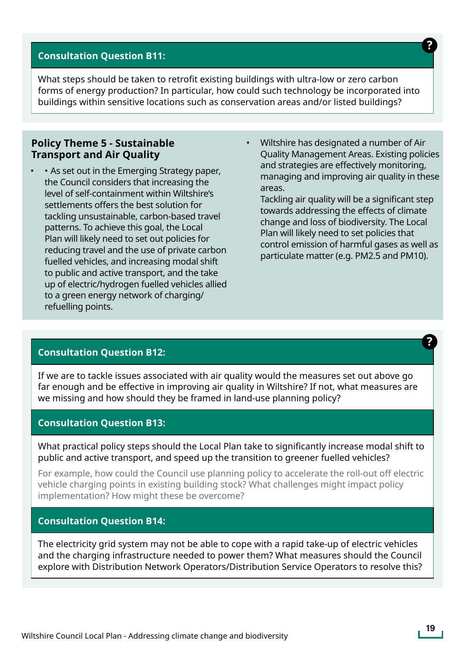#### **Consultation Question B11:**

What steps should be taken to retrofit existing buildings with ultra-low or zero carbon forms of energy production? In particular, how could such technology be incorporated into buildings within sensitive locations such as conservation areas and/or listed buildings?

#### **Policy Theme 5 - Sustainable Transport and Air Quality**

- As set out in the Emerging Strategy paper, the Council considers that increasing the level of self-containment within Wiltshire's settlements offers the best solution for tackling unsustainable, carbon-based travel patterns. To achieve this goal, the Local Plan will likely need to set out policies for reducing travel and the use of private carbon fuelled vehicles, and increasing modal shift to public and active transport, and the take up of electric/hydrogen fuelled vehicles allied to a green energy network of charging/ refuelling points.
- Wiltshire has designated a number of Air Quality Management Areas. Existing policies and strategies are effectively monitoring, managing and improving air quality in these areas.

Tackling air quality will be a significant step towards addressing the effects of climate change and loss of biodiversity. The Local Plan will likely need to set policies that control emission of harmful gases as well as particulate matter (e.g. PM2.5 and PM10).

#### **Consultation Question B12:**

If we are to tackle issues associated with air quality would the measures set out above go far enough and be effective in improving air quality in Wiltshire? If not, what measures are we missing and how should they be framed in land-use planning policy?

#### **Consultation Question B13:**

What practical policy steps should the Local Plan take to significantly increase modal shift to public and active transport, and speed up the transition to greener fuelled vehicles?

For example, how could the Council use planning policy to accelerate the roll-out off electric vehicle charging points in existing building stock? What challenges might impact policy implementation? How might these be overcome?

#### **Consultation Question B14:**

The electricity grid system may not be able to cope with a rapid take-up of electric vehicles and the charging infrastructure needed to power them? What measures should the Council explore with Distribution Network Operators/Distribution Service Operators to resolve this?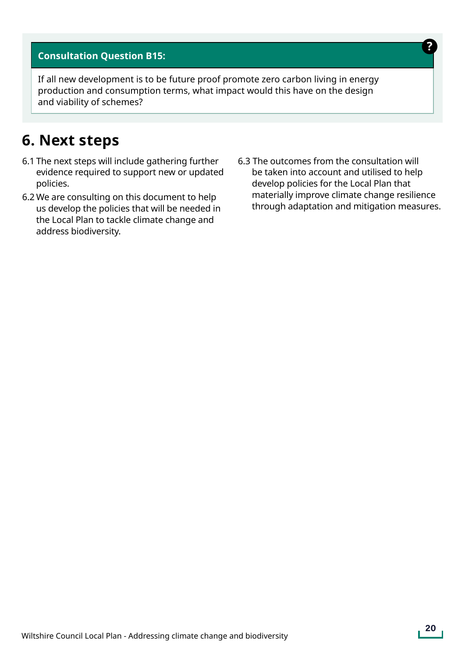#### **Consultation Question B15:**

If all new development is to be future proof promote zero carbon living in energy production and consumption terms, what impact would this have on the design and viability of schemes?

### **6. Next steps**

- 6.1 The next steps will include gathering further evidence required to support new or updated policies.
- 6.2 We are consulting on this document to help us develop the policies that will be needed in the Local Plan to tackle climate change and address biodiversity.
- 6.3 The outcomes from the consultation will be taken into account and utilised to help develop policies for the Local Plan that materially improve climate change resilience through adaptation and mitigation measures.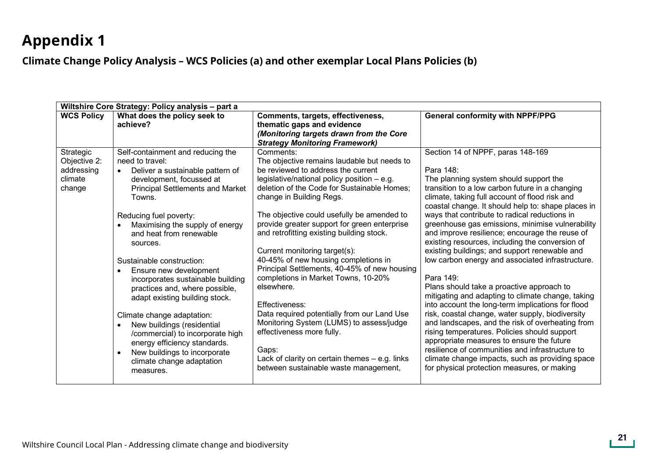### **Appendix 1**

### **Climate Change Policy Analysis – WCS Policies (a) and other exemplar Local Plans Policies (b) Appendix 1**

| Wiltshire Core Strategy: Policy analysis - part a            |                                                                                                                                                                                                                                                                                                                                                                                                                                                                                                                                                                                                                                                                      |                                                                                                                                                                                                                                                                                                                                                                                                                                                                                                                                                                                                                                                                                                                                                                                                     |                                                                                                                                                                                                                                                                                                                                                                                                                                                                                                                                                                                                                                                                                                                                                                                                                                                                                                                                                                                                                                                                                                  |
|--------------------------------------------------------------|----------------------------------------------------------------------------------------------------------------------------------------------------------------------------------------------------------------------------------------------------------------------------------------------------------------------------------------------------------------------------------------------------------------------------------------------------------------------------------------------------------------------------------------------------------------------------------------------------------------------------------------------------------------------|-----------------------------------------------------------------------------------------------------------------------------------------------------------------------------------------------------------------------------------------------------------------------------------------------------------------------------------------------------------------------------------------------------------------------------------------------------------------------------------------------------------------------------------------------------------------------------------------------------------------------------------------------------------------------------------------------------------------------------------------------------------------------------------------------------|--------------------------------------------------------------------------------------------------------------------------------------------------------------------------------------------------------------------------------------------------------------------------------------------------------------------------------------------------------------------------------------------------------------------------------------------------------------------------------------------------------------------------------------------------------------------------------------------------------------------------------------------------------------------------------------------------------------------------------------------------------------------------------------------------------------------------------------------------------------------------------------------------------------------------------------------------------------------------------------------------------------------------------------------------------------------------------------------------|
| <b>WCS Policy</b>                                            | What does the policy seek to<br>achieve?                                                                                                                                                                                                                                                                                                                                                                                                                                                                                                                                                                                                                             | Comments, targets, effectiveness,<br>thematic gaps and evidence<br>(Monitoring targets drawn from the Core<br><b>Strategy Monitoring Framework)</b>                                                                                                                                                                                                                                                                                                                                                                                                                                                                                                                                                                                                                                                 | <b>General conformity with NPPF/PPG</b>                                                                                                                                                                                                                                                                                                                                                                                                                                                                                                                                                                                                                                                                                                                                                                                                                                                                                                                                                                                                                                                          |
| Strategic<br>Objective 2:<br>addressing<br>climate<br>change | Self-containment and reducing the<br>need to travel:<br>Deliver a sustainable pattern of<br>development, focussed at<br><b>Principal Settlements and Market</b><br>Towns.<br>Reducing fuel poverty:<br>Maximising the supply of energy<br>and heat from renewable<br>sources.<br>Sustainable construction:<br>Ensure new development<br>incorporates sustainable building<br>practices and, where possible,<br>adapt existing building stock.<br>Climate change adaptation:<br>New buildings (residential<br>/commercial) to incorporate high<br>energy efficiency standards.<br>New buildings to incorporate<br>$\bullet$<br>climate change adaptation<br>measures. | Comments:<br>The objective remains laudable but needs to<br>be reviewed to address the current<br>legislative/national policy position $-$ e.g.<br>deletion of the Code for Sustainable Homes;<br>change in Building Regs.<br>The objective could usefully be amended to<br>provide greater support for green enterprise<br>and retrofitting existing building stock.<br>Current monitoring target(s):<br>40-45% of new housing completions in<br>Principal Settlements, 40-45% of new housing<br>completions in Market Towns, 10-20%<br>elsewhere.<br>Effectiveness:<br>Data required potentially from our Land Use<br>Monitoring System (LUMS) to assess/judge<br>effectiveness more fully.<br>Gaps:<br>Lack of clarity on certain themes $-$ e.g. links<br>between sustainable waste management, | Section 14 of NPPF, paras 148-169<br>Para 148:<br>The planning system should support the<br>transition to a low carbon future in a changing<br>climate, taking full account of flood risk and<br>coastal change. It should help to: shape places in<br>ways that contribute to radical reductions in<br>greenhouse gas emissions, minimise vulnerability<br>and improve resilience; encourage the reuse of<br>existing resources, including the conversion of<br>existing buildings; and support renewable and<br>low carbon energy and associated infrastructure.<br>Para 149:<br>Plans should take a proactive approach to<br>mitigating and adapting to climate change, taking<br>into account the long-term implications for flood<br>risk, coastal change, water supply, biodiversity<br>and landscapes, and the risk of overheating from<br>rising temperatures. Policies should support<br>appropriate measures to ensure the future<br>resilience of communities and infrastructure to<br>climate change impacts, such as providing space<br>for physical protection measures, or making |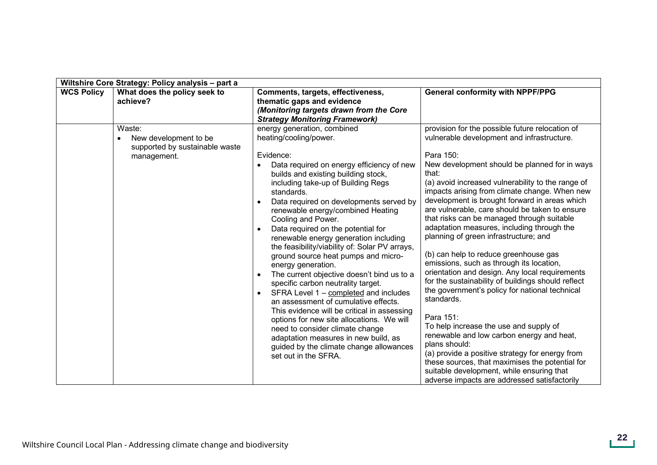|                   | Wiltshire Core Strategy: Policy analysis - part a                                |                                                                                                                                                                                                                                                                                                                                                                                                                                                                                                                                                                                                                                                                                                                                                                                                                                                                                                                                            |                                                                                                                                                                                                                                                                                                                                                                                                                                                                                                                                                                                                                                                                                                                                                                                                                                                                                                                                                                                                                                                                                                         |  |
|-------------------|----------------------------------------------------------------------------------|--------------------------------------------------------------------------------------------------------------------------------------------------------------------------------------------------------------------------------------------------------------------------------------------------------------------------------------------------------------------------------------------------------------------------------------------------------------------------------------------------------------------------------------------------------------------------------------------------------------------------------------------------------------------------------------------------------------------------------------------------------------------------------------------------------------------------------------------------------------------------------------------------------------------------------------------|---------------------------------------------------------------------------------------------------------------------------------------------------------------------------------------------------------------------------------------------------------------------------------------------------------------------------------------------------------------------------------------------------------------------------------------------------------------------------------------------------------------------------------------------------------------------------------------------------------------------------------------------------------------------------------------------------------------------------------------------------------------------------------------------------------------------------------------------------------------------------------------------------------------------------------------------------------------------------------------------------------------------------------------------------------------------------------------------------------|--|
| <b>WCS Policy</b> | What does the policy seek to<br>achieve?                                         | Comments, targets, effectiveness,<br>thematic gaps and evidence<br>(Monitoring targets drawn from the Core<br><b>Strategy Monitoring Framework)</b>                                                                                                                                                                                                                                                                                                                                                                                                                                                                                                                                                                                                                                                                                                                                                                                        | <b>General conformity with NPPF/PPG</b>                                                                                                                                                                                                                                                                                                                                                                                                                                                                                                                                                                                                                                                                                                                                                                                                                                                                                                                                                                                                                                                                 |  |
|                   | Waste:<br>New development to be<br>supported by sustainable waste<br>management. | energy generation, combined<br>heating/cooling/power.<br>Evidence:<br>Data required on energy efficiency of new<br>builds and existing building stock,<br>including take-up of Building Regs<br>standards.<br>Data required on developments served by<br>renewable energy/combined Heating<br>Cooling and Power.<br>Data required on the potential for<br>renewable energy generation including<br>the feasibility/viability of: Solar PV arrays,<br>ground source heat pumps and micro-<br>energy generation.<br>The current objective doesn't bind us to a<br>specific carbon neutrality target.<br>SFRA Level 1 - completed and includes<br>$\bullet$<br>an assessment of cumulative effects.<br>This evidence will be critical in assessing<br>options for new site allocations. We will<br>need to consider climate change<br>adaptation measures in new build, as<br>guided by the climate change allowances<br>set out in the SFRA. | provision for the possible future relocation of<br>vulnerable development and infrastructure.<br>Para 150:<br>New development should be planned for in ways<br>that:<br>(a) avoid increased vulnerability to the range of<br>impacts arising from climate change. When new<br>development is brought forward in areas which<br>are vulnerable, care should be taken to ensure<br>that risks can be managed through suitable<br>adaptation measures, including through the<br>planning of green infrastructure; and<br>(b) can help to reduce greenhouse gas<br>emissions, such as through its location,<br>orientation and design. Any local requirements<br>for the sustainability of buildings should reflect<br>the government's policy for national technical<br>standards.<br>Para 151:<br>To help increase the use and supply of<br>renewable and low carbon energy and heat,<br>plans should:<br>(a) provide a positive strategy for energy from<br>these sources, that maximises the potential for<br>suitable development, while ensuring that<br>adverse impacts are addressed satisfactorily |  |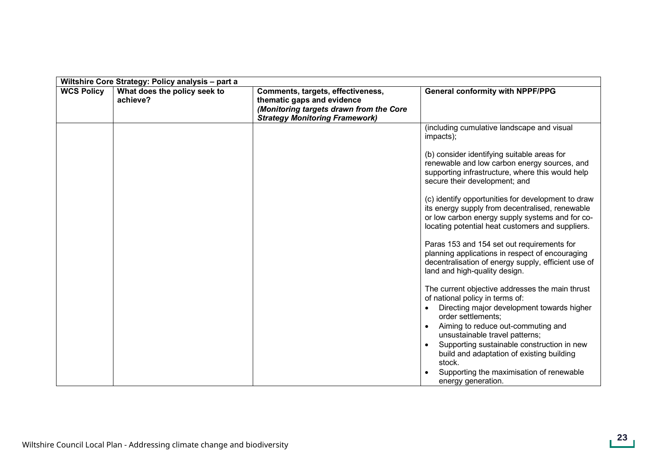| Wiltshire Core Strategy: Policy analysis - part a |                                          |                                                                                                                                                     |                                                                                                                                                                                                                                                                                                                                                                                                                                                                                                                                                                                                                                                                                                                                                                                                                                                                                                                                      |
|---------------------------------------------------|------------------------------------------|-----------------------------------------------------------------------------------------------------------------------------------------------------|--------------------------------------------------------------------------------------------------------------------------------------------------------------------------------------------------------------------------------------------------------------------------------------------------------------------------------------------------------------------------------------------------------------------------------------------------------------------------------------------------------------------------------------------------------------------------------------------------------------------------------------------------------------------------------------------------------------------------------------------------------------------------------------------------------------------------------------------------------------------------------------------------------------------------------------|
| <b>WCS Policy</b>                                 | What does the policy seek to<br>achieve? | Comments, targets, effectiveness,<br>thematic gaps and evidence<br>(Monitoring targets drawn from the Core<br><b>Strategy Monitoring Framework)</b> | <b>General conformity with NPPF/PPG</b>                                                                                                                                                                                                                                                                                                                                                                                                                                                                                                                                                                                                                                                                                                                                                                                                                                                                                              |
|                                                   |                                          |                                                                                                                                                     | (including cumulative landscape and visual<br>impacts);<br>(b) consider identifying suitable areas for<br>renewable and low carbon energy sources, and<br>supporting infrastructure, where this would help<br>secure their development; and<br>(c) identify opportunities for development to draw<br>its energy supply from decentralised, renewable<br>or low carbon energy supply systems and for co-<br>locating potential heat customers and suppliers.<br>Paras 153 and 154 set out requirements for<br>planning applications in respect of encouraging<br>decentralisation of energy supply, efficient use of<br>land and high-quality design.<br>The current objective addresses the main thrust<br>of national policy in terms of:<br>Directing major development towards higher<br>order settlements;<br>Aiming to reduce out-commuting and<br>unsustainable travel patterns;<br>Supporting sustainable construction in new |
|                                                   |                                          |                                                                                                                                                     | build and adaptation of existing building<br>stock.<br>Supporting the maximisation of renewable<br>energy generation.                                                                                                                                                                                                                                                                                                                                                                                                                                                                                                                                                                                                                                                                                                                                                                                                                |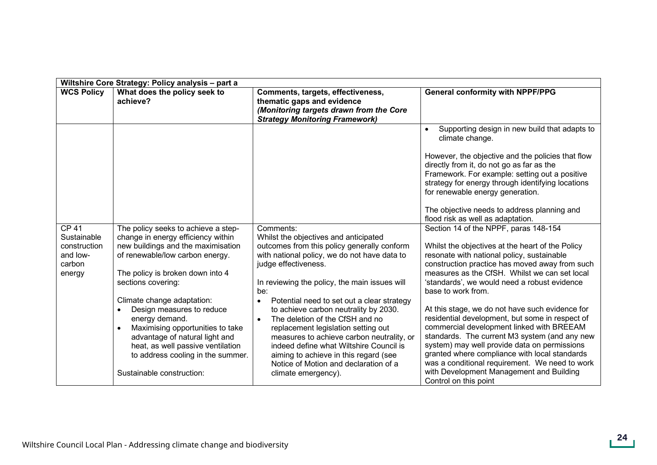|                                                                                          | Wiltshire Core Strategy: Policy analysis - part a                                                                                                                                                                                                                                                                                                                                                                                                                                   |                                                                                                                                                                                                                                                                                                                                                                                                                                                                                                                                                                                                                               |                                                                                                                                                                                                                                                                                                                                                                                                                                                                                                                                                                                                                                                                                                                                                                                                                                                                                                                                                                                                                                                                                                                                                   |  |
|------------------------------------------------------------------------------------------|-------------------------------------------------------------------------------------------------------------------------------------------------------------------------------------------------------------------------------------------------------------------------------------------------------------------------------------------------------------------------------------------------------------------------------------------------------------------------------------|-------------------------------------------------------------------------------------------------------------------------------------------------------------------------------------------------------------------------------------------------------------------------------------------------------------------------------------------------------------------------------------------------------------------------------------------------------------------------------------------------------------------------------------------------------------------------------------------------------------------------------|---------------------------------------------------------------------------------------------------------------------------------------------------------------------------------------------------------------------------------------------------------------------------------------------------------------------------------------------------------------------------------------------------------------------------------------------------------------------------------------------------------------------------------------------------------------------------------------------------------------------------------------------------------------------------------------------------------------------------------------------------------------------------------------------------------------------------------------------------------------------------------------------------------------------------------------------------------------------------------------------------------------------------------------------------------------------------------------------------------------------------------------------------|--|
| <b>WCS Policy</b>                                                                        | What does the policy seek to<br>achieve?                                                                                                                                                                                                                                                                                                                                                                                                                                            | Comments, targets, effectiveness,<br>thematic gaps and evidence<br>(Monitoring targets drawn from the Core<br><b>Strategy Monitoring Framework)</b>                                                                                                                                                                                                                                                                                                                                                                                                                                                                           | <b>General conformity with NPPF/PPG</b>                                                                                                                                                                                                                                                                                                                                                                                                                                                                                                                                                                                                                                                                                                                                                                                                                                                                                                                                                                                                                                                                                                           |  |
| <b>CP 41</b><br>Sustainable<br>construction<br>and low-<br>carbon<br>energy<br>$\bullet$ | The policy seeks to achieve a step-<br>change in energy efficiency within<br>new buildings and the maximisation<br>of renewable/low carbon energy.<br>The policy is broken down into 4<br>sections covering:<br>Climate change adaptation:<br>Design measures to reduce<br>energy demand.<br>Maximising opportunities to take<br>$\bullet$<br>advantage of natural light and<br>heat, as well passive ventilation<br>to address cooling in the summer.<br>Sustainable construction: | Comments:<br>Whilst the objectives and anticipated<br>outcomes from this policy generally conform<br>with national policy, we do not have data to<br>judge effectiveness.<br>In reviewing the policy, the main issues will<br>be:<br>Potential need to set out a clear strategy<br>$\bullet$<br>to achieve carbon neutrality by 2030.<br>The deletion of the CfSH and no<br>$\bullet$<br>replacement legislation setting out<br>measures to achieve carbon neutrality, or<br>indeed define what Wiltshire Council is<br>aiming to achieve in this regard (see<br>Notice of Motion and declaration of a<br>climate emergency). | Supporting design in new build that adapts to<br>climate change.<br>However, the objective and the policies that flow<br>directly from it, do not go as far as the<br>Framework. For example: setting out a positive<br>strategy for energy through identifying locations<br>for renewable energy generation.<br>The objective needs to address planning and<br>flood risk as well as adaptation.<br>Section 14 of the NPPF, paras 148-154<br>Whilst the objectives at the heart of the Policy<br>resonate with national policy, sustainable<br>construction practice has moved away from such<br>measures as the CfSH. Whilst we can set local<br>'standards', we would need a robust evidence<br>base to work from.<br>At this stage, we do not have such evidence for<br>residential development, but some in respect of<br>commercial development linked with BREEAM<br>standards. The current M3 system (and any new<br>system) may well provide data on permissions<br>granted where compliance with local standards<br>was a conditional requirement. We need to work<br>with Development Management and Building<br>Control on this point |  |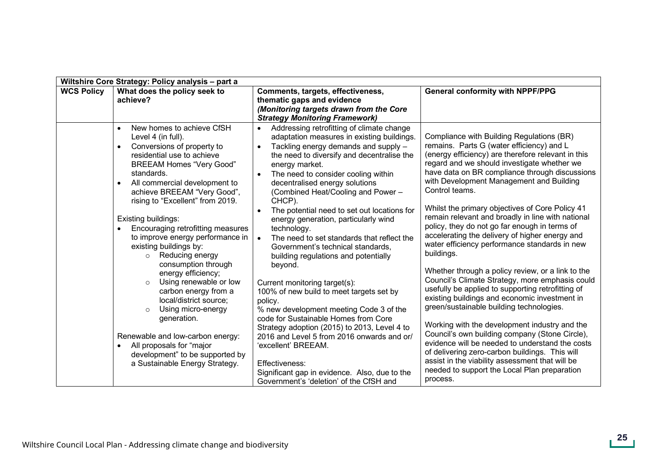|                   | Wiltshire Core Strategy: Policy analysis - part a                                                                                                                                                                                                                                                                                                                                                                                                                                                                                                                                                                                                                                                                                                 |                                                                                                                                                                                                                                                                                                                                                                                                                                                                                                                                                                                                                                                                                                                                                                                                                                                                                                                                                                                                              |                                                                                                                                                                                                                                                                                                                                                                                                                                                                                                                                                                                                                                                                                                                                                                                                                                                                                                                                                                                                                                                                                                                                                                        |  |
|-------------------|---------------------------------------------------------------------------------------------------------------------------------------------------------------------------------------------------------------------------------------------------------------------------------------------------------------------------------------------------------------------------------------------------------------------------------------------------------------------------------------------------------------------------------------------------------------------------------------------------------------------------------------------------------------------------------------------------------------------------------------------------|--------------------------------------------------------------------------------------------------------------------------------------------------------------------------------------------------------------------------------------------------------------------------------------------------------------------------------------------------------------------------------------------------------------------------------------------------------------------------------------------------------------------------------------------------------------------------------------------------------------------------------------------------------------------------------------------------------------------------------------------------------------------------------------------------------------------------------------------------------------------------------------------------------------------------------------------------------------------------------------------------------------|------------------------------------------------------------------------------------------------------------------------------------------------------------------------------------------------------------------------------------------------------------------------------------------------------------------------------------------------------------------------------------------------------------------------------------------------------------------------------------------------------------------------------------------------------------------------------------------------------------------------------------------------------------------------------------------------------------------------------------------------------------------------------------------------------------------------------------------------------------------------------------------------------------------------------------------------------------------------------------------------------------------------------------------------------------------------------------------------------------------------------------------------------------------------|--|
| <b>WCS Policy</b> | What does the policy seek to<br>achieve?                                                                                                                                                                                                                                                                                                                                                                                                                                                                                                                                                                                                                                                                                                          | Comments, targets, effectiveness,<br>thematic gaps and evidence<br>(Monitoring targets drawn from the Core<br><b>Strategy Monitoring Framework)</b>                                                                                                                                                                                                                                                                                                                                                                                                                                                                                                                                                                                                                                                                                                                                                                                                                                                          | <b>General conformity with NPPF/PPG</b>                                                                                                                                                                                                                                                                                                                                                                                                                                                                                                                                                                                                                                                                                                                                                                                                                                                                                                                                                                                                                                                                                                                                |  |
|                   | New homes to achieve CfSH<br>Level 4 (in full).<br>Conversions of property to<br>residential use to achieve<br><b>BREEAM Homes "Very Good"</b><br>standards.<br>All commercial development to<br>achieve BREEAM "Very Good",<br>rising to "Excellent" from 2019.<br>Existing buildings:<br>Encouraging retrofitting measures<br>to improve energy performance in<br>existing buildings by:<br>Reducing energy<br>$\circ$<br>consumption through<br>energy efficiency;<br>Using renewable or low<br>$\circ$<br>carbon energy from a<br>local/district source;<br>Using micro-energy<br>$\circ$<br>generation.<br>Renewable and low-carbon energy:<br>All proposals for "major<br>development" to be supported by<br>a Sustainable Energy Strategy. | Addressing retrofitting of climate change<br>$\bullet$<br>adaptation measures in existing buildings.<br>Tackling energy demands and supply -<br>the need to diversify and decentralise the<br>energy market.<br>The need to consider cooling within<br>decentralised energy solutions<br>(Combined Heat/Cooling and Power -<br>CHCP).<br>The potential need to set out locations for<br>energy generation, particularly wind<br>technology.<br>The need to set standards that reflect the<br>$\bullet$<br>Government's technical standards,<br>building regulations and potentially<br>beyond.<br>Current monitoring target(s):<br>100% of new build to meet targets set by<br>policy.<br>% new development meeting Code 3 of the<br>code for Sustainable Homes from Core<br>Strategy adoption (2015) to 2013, Level 4 to<br>2016 and Level 5 from 2016 onwards and or/<br>'excellent' BREEAM.<br>Effectiveness:<br>Significant gap in evidence. Also, due to the<br>Government's 'deletion' of the CfSH and | Compliance with Building Regulations (BR)<br>remains. Parts G (water efficiency) and L<br>(energy efficiency) are therefore relevant in this<br>regard and we should investigate whether we<br>have data on BR compliance through discussions<br>with Development Management and Building<br>Control teams.<br>Whilst the primary objectives of Core Policy 41<br>remain relevant and broadly in line with national<br>policy, they do not go far enough in terms of<br>accelerating the delivery of higher energy and<br>water efficiency performance standards in new<br>buildings.<br>Whether through a policy review, or a link to the<br>Council's Climate Strategy, more emphasis could<br>usefully be applied to supporting retrofitting of<br>existing buildings and economic investment in<br>green/sustainable building technologies.<br>Working with the development industry and the<br>Council's own building company (Stone Circle),<br>evidence will be needed to understand the costs<br>of delivering zero-carbon buildings. This will<br>assist in the viability assessment that will be<br>needed to support the Local Plan preparation<br>process. |  |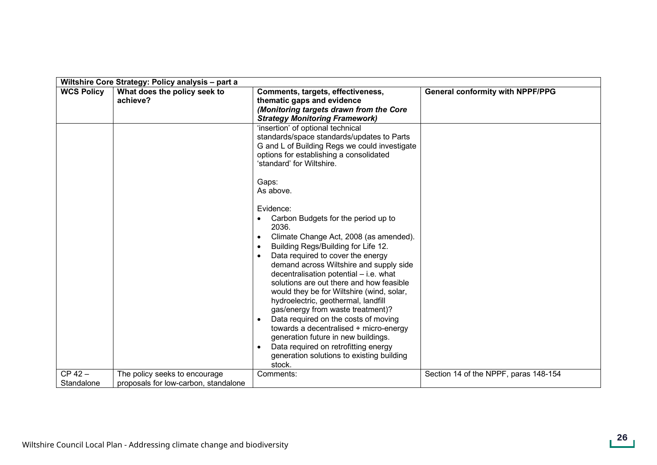|                   | Wiltshire Core Strategy: Policy analysis - part a |                                                                                                                                                                                                                                                                                                                                                                                                                                                                                                                                                                                                                                                                   |                                         |
|-------------------|---------------------------------------------------|-------------------------------------------------------------------------------------------------------------------------------------------------------------------------------------------------------------------------------------------------------------------------------------------------------------------------------------------------------------------------------------------------------------------------------------------------------------------------------------------------------------------------------------------------------------------------------------------------------------------------------------------------------------------|-----------------------------------------|
| <b>WCS Policy</b> | What does the policy seek to<br>achieve?          | Comments, targets, effectiveness,<br>thematic gaps and evidence<br>(Monitoring targets drawn from the Core<br><b>Strategy Monitoring Framework)</b>                                                                                                                                                                                                                                                                                                                                                                                                                                                                                                               | <b>General conformity with NPPF/PPG</b> |
|                   |                                                   | 'insertion' of optional technical<br>standards/space standards/updates to Parts<br>G and L of Building Regs we could investigate<br>options for establishing a consolidated<br>'standard' for Wiltshire.                                                                                                                                                                                                                                                                                                                                                                                                                                                          |                                         |
|                   |                                                   | Gaps:<br>As above.                                                                                                                                                                                                                                                                                                                                                                                                                                                                                                                                                                                                                                                |                                         |
|                   |                                                   | Evidence:<br>Carbon Budgets for the period up to<br>2036.<br>Climate Change Act, 2008 (as amended).<br>Building Regs/Building for Life 12.<br>Data required to cover the energy<br>demand across Wiltshire and supply side<br>decentralisation potential - i.e. what<br>solutions are out there and how feasible<br>would they be for Wiltshire (wind, solar,<br>hydroelectric, geothermal, landfill<br>gas/energy from waste treatment)?<br>Data required on the costs of moving<br>towards a decentralised + micro-energy<br>generation future in new buildings.<br>Data required on retrofitting energy<br>generation solutions to existing building<br>stock. |                                         |
| $CP 42 -$         | The policy seeks to encourage                     | Comments:                                                                                                                                                                                                                                                                                                                                                                                                                                                                                                                                                                                                                                                         | Section 14 of the NPPF, paras 148-154   |
| Standalone        | proposals for low-carbon, standalone              |                                                                                                                                                                                                                                                                                                                                                                                                                                                                                                                                                                                                                                                                   |                                         |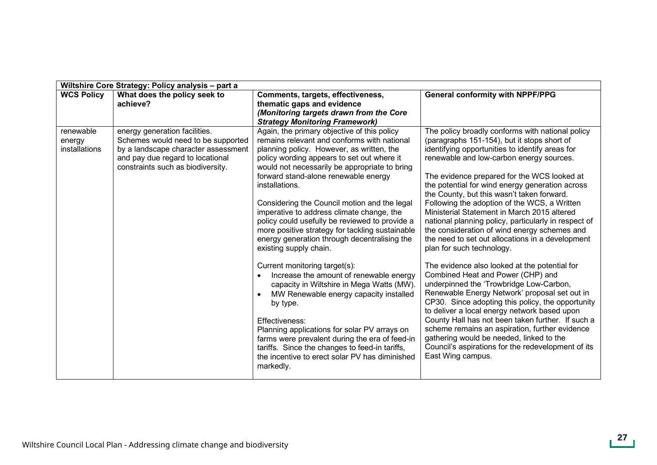| Wiltshire Core Strategy: Policy analysis - part a |                                                                                                                                                                                     |                                                                                                                                                                                                                                                                                                                                                                                                                                                                                                                                                                                                                                                                                                                                                                                                                                                                                                                                                                                                  |                                                                                                                                                                                                                                                                                                                                                                                                                                                                                                                                                                                                                                                                                                                                                                                                                                                                                                                                                                                                                                                                                                                                                             |
|---------------------------------------------------|-------------------------------------------------------------------------------------------------------------------------------------------------------------------------------------|--------------------------------------------------------------------------------------------------------------------------------------------------------------------------------------------------------------------------------------------------------------------------------------------------------------------------------------------------------------------------------------------------------------------------------------------------------------------------------------------------------------------------------------------------------------------------------------------------------------------------------------------------------------------------------------------------------------------------------------------------------------------------------------------------------------------------------------------------------------------------------------------------------------------------------------------------------------------------------------------------|-------------------------------------------------------------------------------------------------------------------------------------------------------------------------------------------------------------------------------------------------------------------------------------------------------------------------------------------------------------------------------------------------------------------------------------------------------------------------------------------------------------------------------------------------------------------------------------------------------------------------------------------------------------------------------------------------------------------------------------------------------------------------------------------------------------------------------------------------------------------------------------------------------------------------------------------------------------------------------------------------------------------------------------------------------------------------------------------------------------------------------------------------------------|
| <b>WCS Policy</b>                                 | What does the policy seek to<br>achieve?                                                                                                                                            | Comments, targets, effectiveness,<br>thematic gaps and evidence<br>(Monitoring targets drawn from the Core<br><b>Strategy Monitoring Framework)</b>                                                                                                                                                                                                                                                                                                                                                                                                                                                                                                                                                                                                                                                                                                                                                                                                                                              | <b>General conformity with NPPF/PPG</b>                                                                                                                                                                                                                                                                                                                                                                                                                                                                                                                                                                                                                                                                                                                                                                                                                                                                                                                                                                                                                                                                                                                     |
| renewable<br>energy<br>installations              | energy generation facilities.<br>Schemes would need to be supported<br>by a landscape character assessment<br>and pay due regard to locational<br>constraints such as biodiversity. | Again, the primary objective of this policy<br>remains relevant and conforms with national<br>planning policy. However, as written, the<br>policy wording appears to set out where it<br>would not necessarily be appropriate to bring<br>forward stand-alone renewable energy<br>installations.<br>Considering the Council motion and the legal<br>imperative to address climate change, the<br>policy could usefully be reviewed to provide a<br>more positive strategy for tackling sustainable<br>energy generation through decentralising the<br>existing supply chain.<br>Current monitoring target(s):<br>Increase the amount of renewable energy<br>capacity in Wiltshire in Mega Watts (MW).<br>MW Renewable energy capacity installed<br>by type.<br>Effectiveness:<br>Planning applications for solar PV arrays on<br>farms were prevalent during the era of feed-in<br>tariffs. Since the changes to feed-in tariffs,<br>the incentive to erect solar PV has diminished<br>markedly. | The policy broadly conforms with national policy<br>(paragraphs 151-154), but it stops short of<br>identifying opportunities to identify areas for<br>renewable and low-carbon energy sources.<br>The evidence prepared for the WCS looked at<br>the potential for wind energy generation across<br>the County, but this wasn't taken forward.<br>Following the adoption of the WCS, a Written<br>Ministerial Statement in March 2015 altered<br>national planning policy, particularly in respect of<br>the consideration of wind energy schemes and<br>the need to set out allocations in a development<br>plan for such technology.<br>The evidence also looked at the potential for<br>Combined Heat and Power (CHP) and<br>underpinned the 'Trowbridge Low-Carbon,<br>Renewable Energy Network' proposal set out in<br>CP30. Since adopting this policy, the opportunity<br>to deliver a local energy network based upon<br>County Hall has not been taken further. If such a<br>scheme remains an aspiration, further evidence<br>gathering would be needed, linked to the<br>Council's aspirations for the redevelopment of its<br>East Wing campus. |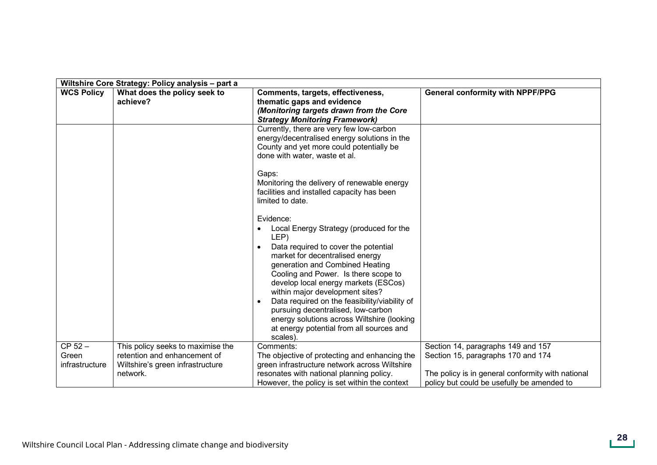| <b>WCS Policy</b>                    | Wiltshire Core Strategy: Policy analysis - part a<br>What does the policy seek to                                 | Comments, targets, effectiveness,                                                                                                                                                                                                                                                                                                                                                                                                                                                          | <b>General conformity with NPPF/PPG</b>                                                                                                                                     |
|--------------------------------------|-------------------------------------------------------------------------------------------------------------------|--------------------------------------------------------------------------------------------------------------------------------------------------------------------------------------------------------------------------------------------------------------------------------------------------------------------------------------------------------------------------------------------------------------------------------------------------------------------------------------------|-----------------------------------------------------------------------------------------------------------------------------------------------------------------------------|
|                                      | achieve?                                                                                                          | thematic gaps and evidence<br>(Monitoring targets drawn from the Core<br><b>Strategy Monitoring Framework)</b>                                                                                                                                                                                                                                                                                                                                                                             |                                                                                                                                                                             |
|                                      |                                                                                                                   | Currently, there are very few low-carbon<br>energy/decentralised energy solutions in the<br>County and yet more could potentially be<br>done with water, waste et al.                                                                                                                                                                                                                                                                                                                      |                                                                                                                                                                             |
|                                      |                                                                                                                   | Gaps:<br>Monitoring the delivery of renewable energy<br>facilities and installed capacity has been<br>limited to date.                                                                                                                                                                                                                                                                                                                                                                     |                                                                                                                                                                             |
|                                      |                                                                                                                   | Evidence:<br>Local Energy Strategy (produced for the<br>LEP)<br>Data required to cover the potential<br>market for decentralised energy<br>generation and Combined Heating<br>Cooling and Power. Is there scope to<br>develop local energy markets (ESCos)<br>within major development sites?<br>Data required on the feasibility/viability of<br>pursuing decentralised, low-carbon<br>energy solutions across Wiltshire (looking<br>at energy potential from all sources and<br>scales). |                                                                                                                                                                             |
| $CP 52 -$<br>Green<br>infrastructure | This policy seeks to maximise the<br>retention and enhancement of<br>Wiltshire's green infrastructure<br>network. | Comments:<br>The objective of protecting and enhancing the<br>green infrastructure network across Wiltshire<br>resonates with national planning policy.<br>However, the policy is set within the context                                                                                                                                                                                                                                                                                   | Section 14, paragraphs 149 and 157<br>Section 15, paragraphs 170 and 174<br>The policy is in general conformity with national<br>policy but could be usefully be amended to |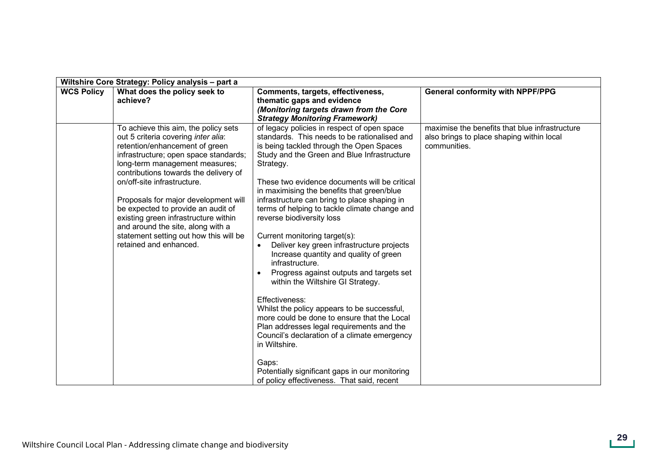| Wiltshire Core Strategy: Policy analysis - part a |                                                                                                                                                                                                                                                                                                                                                                                                                                                                                                 |                                                                                                                                                                                                                                                                                                                                                                                                                                                                                                                                                                                                                                                                                                                                                                                                                                                                                                                                                                                                                  |                                                                                                             |
|---------------------------------------------------|-------------------------------------------------------------------------------------------------------------------------------------------------------------------------------------------------------------------------------------------------------------------------------------------------------------------------------------------------------------------------------------------------------------------------------------------------------------------------------------------------|------------------------------------------------------------------------------------------------------------------------------------------------------------------------------------------------------------------------------------------------------------------------------------------------------------------------------------------------------------------------------------------------------------------------------------------------------------------------------------------------------------------------------------------------------------------------------------------------------------------------------------------------------------------------------------------------------------------------------------------------------------------------------------------------------------------------------------------------------------------------------------------------------------------------------------------------------------------------------------------------------------------|-------------------------------------------------------------------------------------------------------------|
| <b>WCS Policy</b>                                 | What does the policy seek to<br>achieve?                                                                                                                                                                                                                                                                                                                                                                                                                                                        | Comments, targets, effectiveness,<br>thematic gaps and evidence<br>(Monitoring targets drawn from the Core<br><b>Strategy Monitoring Framework)</b>                                                                                                                                                                                                                                                                                                                                                                                                                                                                                                                                                                                                                                                                                                                                                                                                                                                              | <b>General conformity with NPPF/PPG</b>                                                                     |
|                                                   | To achieve this aim, the policy sets<br>out 5 criteria covering inter alia:<br>retention/enhancement of green<br>infrastructure; open space standards;<br>long-term management measures;<br>contributions towards the delivery of<br>on/off-site infrastructure.<br>Proposals for major development will<br>be expected to provide an audit of<br>existing green infrastructure within<br>and around the site, along with a<br>statement setting out how this will be<br>retained and enhanced. | of legacy policies in respect of open space<br>standards. This needs to be rationalised and<br>is being tackled through the Open Spaces<br>Study and the Green and Blue Infrastructure<br>Strategy.<br>These two evidence documents will be critical<br>in maximising the benefits that green/blue<br>infrastructure can bring to place shaping in<br>terms of helping to tackle climate change and<br>reverse biodiversity loss<br>Current monitoring target(s):<br>Deliver key green infrastructure projects<br>$\bullet$<br>Increase quantity and quality of green<br>infrastructure.<br>Progress against outputs and targets set<br>within the Wiltshire GI Strategy.<br>Effectiveness:<br>Whilst the policy appears to be successful,<br>more could be done to ensure that the Local<br>Plan addresses legal requirements and the<br>Council's declaration of a climate emergency<br>in Wiltshire.<br>Gaps:<br>Potentially significant gaps in our monitoring<br>of policy effectiveness. That said, recent | maximise the benefits that blue infrastructure<br>also brings to place shaping within local<br>communities. |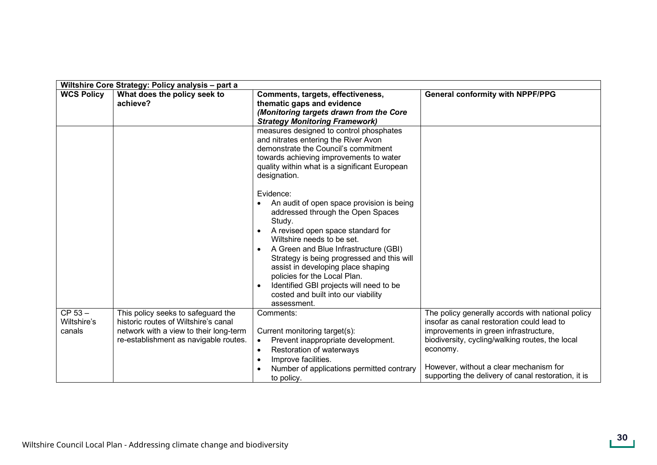| Wiltshire Core Strategy: Policy analysis - part a |                                                                                                                                                               |                                                                                                                                                                                                                                                                                                                                                                                                                                        |                                                                                                                                                                                                                                                                                                          |
|---------------------------------------------------|---------------------------------------------------------------------------------------------------------------------------------------------------------------|----------------------------------------------------------------------------------------------------------------------------------------------------------------------------------------------------------------------------------------------------------------------------------------------------------------------------------------------------------------------------------------------------------------------------------------|----------------------------------------------------------------------------------------------------------------------------------------------------------------------------------------------------------------------------------------------------------------------------------------------------------|
| <b>WCS Policy</b>                                 | What does the policy seek to<br>achieve?                                                                                                                      | Comments, targets, effectiveness,<br>thematic gaps and evidence<br>(Monitoring targets drawn from the Core<br><b>Strategy Monitoring Framework)</b>                                                                                                                                                                                                                                                                                    | <b>General conformity with NPPF/PPG</b>                                                                                                                                                                                                                                                                  |
|                                                   |                                                                                                                                                               | measures designed to control phosphates<br>and nitrates entering the River Avon<br>demonstrate the Council's commitment<br>towards achieving improvements to water<br>quality within what is a significant European<br>designation.                                                                                                                                                                                                    |                                                                                                                                                                                                                                                                                                          |
|                                                   |                                                                                                                                                               | Evidence:<br>An audit of open space provision is being<br>addressed through the Open Spaces<br>Study.<br>A revised open space standard for<br>Wiltshire needs to be set.<br>A Green and Blue Infrastructure (GBI)<br>Strategy is being progressed and this will<br>assist in developing place shaping<br>policies for the Local Plan.<br>Identified GBI projects will need to be<br>costed and built into our viability<br>assessment. |                                                                                                                                                                                                                                                                                                          |
| CP 53-<br>Wiltshire's<br>canals                   | This policy seeks to safeguard the<br>historic routes of Wiltshire's canal<br>network with a view to their long-term<br>re-establishment as navigable routes. | Comments:<br>Current monitoring target(s):<br>Prevent inappropriate development.<br>$\bullet$<br>Restoration of waterways<br>$\bullet$<br>Improve facilities.<br>Number of applications permitted contrary<br>to policy.                                                                                                                                                                                                               | The policy generally accords with national policy<br>insofar as canal restoration could lead to<br>improvements in green infrastructure,<br>biodiversity, cycling/walking routes, the local<br>economy.<br>However, without a clear mechanism for<br>supporting the delivery of canal restoration, it is |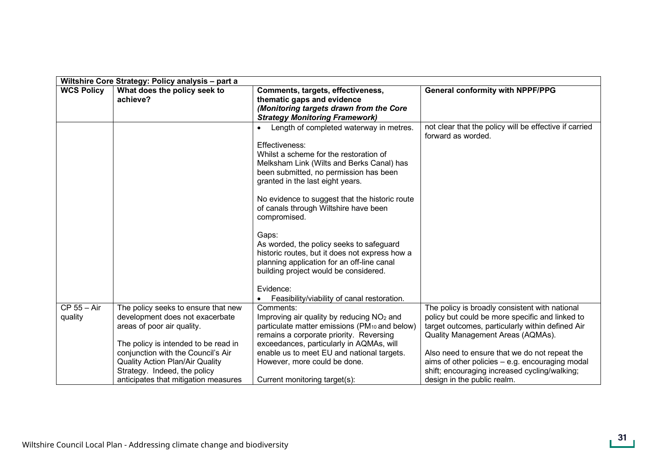|                        | Wiltshire Core Strategy: Policy analysis - part a                                                                                                                                                                                                                                                    |                                                                                                                                                                                                                                                                                                                                                                                                                                                                                                                                                                                                     |                                                                                                                                                                                                                                                                                                                                                                                  |  |
|------------------------|------------------------------------------------------------------------------------------------------------------------------------------------------------------------------------------------------------------------------------------------------------------------------------------------------|-----------------------------------------------------------------------------------------------------------------------------------------------------------------------------------------------------------------------------------------------------------------------------------------------------------------------------------------------------------------------------------------------------------------------------------------------------------------------------------------------------------------------------------------------------------------------------------------------------|----------------------------------------------------------------------------------------------------------------------------------------------------------------------------------------------------------------------------------------------------------------------------------------------------------------------------------------------------------------------------------|--|
| <b>WCS Policy</b>      | What does the policy seek to<br>achieve?                                                                                                                                                                                                                                                             | Comments, targets, effectiveness,<br>thematic gaps and evidence<br>(Monitoring targets drawn from the Core<br><b>Strategy Monitoring Framework)</b>                                                                                                                                                                                                                                                                                                                                                                                                                                                 | <b>General conformity with NPPF/PPG</b>                                                                                                                                                                                                                                                                                                                                          |  |
|                        |                                                                                                                                                                                                                                                                                                      | Length of completed waterway in metres.<br>Effectiveness:<br>Whilst a scheme for the restoration of<br>Melksham Link (Wilts and Berks Canal) has<br>been submitted, no permission has been<br>granted in the last eight years.<br>No evidence to suggest that the historic route<br>of canals through Wiltshire have been<br>compromised.<br>Gaps:<br>As worded, the policy seeks to safeguard<br>historic routes, but it does not express how a<br>planning application for an off-line canal<br>building project would be considered.<br>Evidence:<br>Feasibility/viability of canal restoration. | not clear that the policy will be effective if carried<br>forward as worded.                                                                                                                                                                                                                                                                                                     |  |
| CP 55 - Air<br>quality | The policy seeks to ensure that new<br>development does not exacerbate<br>areas of poor air quality.<br>The policy is intended to be read in<br>conjunction with the Council's Air<br><b>Quality Action Plan/Air Quality</b><br>Strategy. Indeed, the policy<br>anticipates that mitigation measures | Comments:<br>Improving air quality by reducing NO <sub>2</sub> and<br>particulate matter emissions (PM <sub>10</sub> and below)<br>remains a corporate priority. Reversing<br>exceedances, particularly in AQMAs, will<br>enable us to meet EU and national targets.<br>However, more could be done.<br>Current monitoring target(s):                                                                                                                                                                                                                                                               | The policy is broadly consistent with national<br>policy but could be more specific and linked to<br>target outcomes, particularly within defined Air<br>Quality Management Areas (AQMAs).<br>Also need to ensure that we do not repeat the<br>aims of other policies $-$ e.g. encouraging modal<br>shift; encouraging increased cycling/walking;<br>design in the public realm. |  |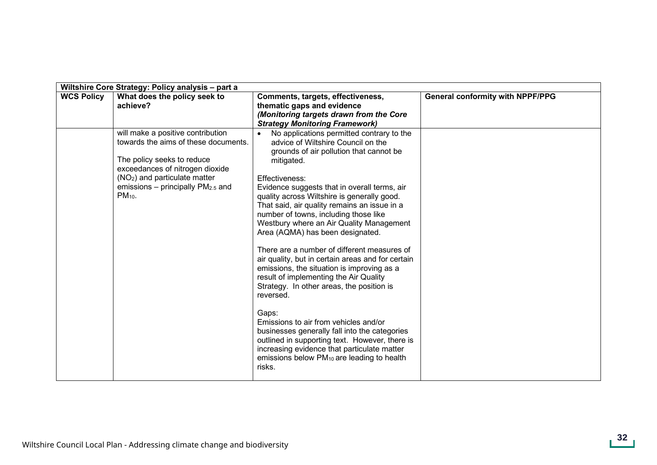|                   | Wiltshire Core Strategy: Policy analysis - part a                                                                                                                                                                                             |                                                                                                                                                                                                                                                                                                                                                                                                                                                                                                                                                                                                                                                                                                                                                                                                                                                                                                                                                                                                           |                                         |
|-------------------|-----------------------------------------------------------------------------------------------------------------------------------------------------------------------------------------------------------------------------------------------|-----------------------------------------------------------------------------------------------------------------------------------------------------------------------------------------------------------------------------------------------------------------------------------------------------------------------------------------------------------------------------------------------------------------------------------------------------------------------------------------------------------------------------------------------------------------------------------------------------------------------------------------------------------------------------------------------------------------------------------------------------------------------------------------------------------------------------------------------------------------------------------------------------------------------------------------------------------------------------------------------------------|-----------------------------------------|
| <b>WCS Policy</b> | What does the policy seek to<br>achieve?                                                                                                                                                                                                      | Comments, targets, effectiveness,<br>thematic gaps and evidence<br>(Monitoring targets drawn from the Core                                                                                                                                                                                                                                                                                                                                                                                                                                                                                                                                                                                                                                                                                                                                                                                                                                                                                                | <b>General conformity with NPPF/PPG</b> |
|                   | will make a positive contribution<br>towards the aims of these documents.<br>The policy seeks to reduce<br>exceedances of nitrogen dioxide<br>(NO <sub>2</sub> ) and particulate matter<br>emissions – principally $PM2.5$ and<br>$PM_{10}$ . | <b>Strategy Monitoring Framework)</b><br>No applications permitted contrary to the<br>advice of Wiltshire Council on the<br>grounds of air pollution that cannot be<br>mitigated.<br>Effectiveness:<br>Evidence suggests that in overall terms, air<br>quality across Wiltshire is generally good.<br>That said, air quality remains an issue in a<br>number of towns, including those like<br>Westbury where an Air Quality Management<br>Area (AQMA) has been designated.<br>There are a number of different measures of<br>air quality, but in certain areas and for certain<br>emissions, the situation is improving as a<br>result of implementing the Air Quality<br>Strategy. In other areas, the position is<br>reversed.<br>Gaps:<br>Emissions to air from vehicles and/or<br>businesses generally fall into the categories<br>outlined in supporting text. However, there is<br>increasing evidence that particulate matter<br>emissions below PM <sub>10</sub> are leading to health<br>risks. |                                         |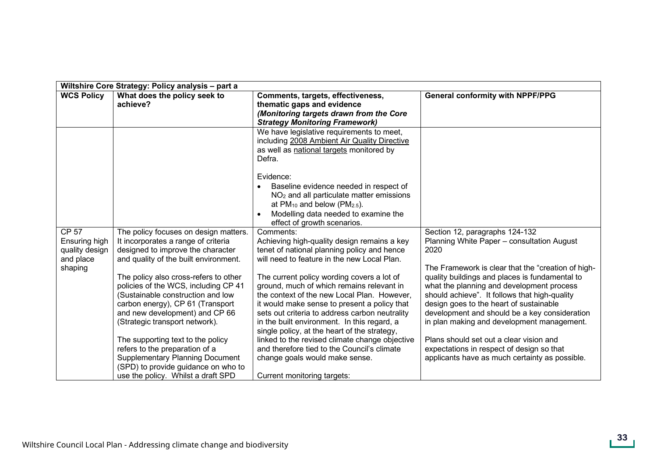| Wiltshire Core Strategy: Policy analysis - part a                       |                                                                                                                                                                                                                                                                                                                                                                                                                                                                                                                                                                                        |                                                                                                                                                                                                                                                                                                                                                                                                                                                                                                                                                                                                                                                                     |                                                                                                                                                                                                                                                                                                                                                                                                                                                                                                                                                                                |
|-------------------------------------------------------------------------|----------------------------------------------------------------------------------------------------------------------------------------------------------------------------------------------------------------------------------------------------------------------------------------------------------------------------------------------------------------------------------------------------------------------------------------------------------------------------------------------------------------------------------------------------------------------------------------|---------------------------------------------------------------------------------------------------------------------------------------------------------------------------------------------------------------------------------------------------------------------------------------------------------------------------------------------------------------------------------------------------------------------------------------------------------------------------------------------------------------------------------------------------------------------------------------------------------------------------------------------------------------------|--------------------------------------------------------------------------------------------------------------------------------------------------------------------------------------------------------------------------------------------------------------------------------------------------------------------------------------------------------------------------------------------------------------------------------------------------------------------------------------------------------------------------------------------------------------------------------|
| <b>WCS Policy</b>                                                       | What does the policy seek to<br>achieve?                                                                                                                                                                                                                                                                                                                                                                                                                                                                                                                                               | Comments, targets, effectiveness,<br>thematic gaps and evidence<br>(Monitoring targets drawn from the Core<br><b>Strategy Monitoring Framework)</b>                                                                                                                                                                                                                                                                                                                                                                                                                                                                                                                 | <b>General conformity with NPPF/PPG</b>                                                                                                                                                                                                                                                                                                                                                                                                                                                                                                                                        |
|                                                                         |                                                                                                                                                                                                                                                                                                                                                                                                                                                                                                                                                                                        | We have legislative requirements to meet,<br>including 2008 Ambient Air Quality Directive<br>as well as national targets monitored by<br>Defra.<br>Evidence:                                                                                                                                                                                                                                                                                                                                                                                                                                                                                                        |                                                                                                                                                                                                                                                                                                                                                                                                                                                                                                                                                                                |
|                                                                         |                                                                                                                                                                                                                                                                                                                                                                                                                                                                                                                                                                                        | Baseline evidence needed in respect of<br>$NO2$ and all particulate matter emissions<br>at $PM_{10}$ and below ( $PM_{2.5}$ ).<br>Modelling data needed to examine the<br>effect of growth scenarios.                                                                                                                                                                                                                                                                                                                                                                                                                                                               |                                                                                                                                                                                                                                                                                                                                                                                                                                                                                                                                                                                |
| <b>CP 57</b><br>Ensuring high<br>quality design<br>and place<br>shaping | The policy focuses on design matters.<br>It incorporates a range of criteria<br>designed to improve the character<br>and quality of the built environment.<br>The policy also cross-refers to other<br>policies of the WCS, including CP 41<br>(Sustainable construction and low<br>carbon energy), CP 61 (Transport<br>and new development) and CP 66<br>(Strategic transport network).<br>The supporting text to the policy<br>refers to the preparation of a<br><b>Supplementary Planning Document</b><br>(SPD) to provide guidance on who to<br>use the policy. Whilst a draft SPD | Comments:<br>Achieving high-quality design remains a key<br>tenet of national planning policy and hence<br>will need to feature in the new Local Plan.<br>The current policy wording covers a lot of<br>ground, much of which remains relevant in<br>the context of the new Local Plan. However,<br>it would make sense to present a policy that<br>sets out criteria to address carbon neutrality<br>in the built environment. In this regard, a<br>single policy, at the heart of the strategy,<br>linked to the revised climate change objective<br>and therefore tied to the Council's climate<br>change goals would make sense.<br>Current monitoring targets: | Section 12, paragraphs 124-132<br>Planning White Paper - consultation August<br>2020<br>The Framework is clear that the "creation of high-<br>quality buildings and places is fundamental to<br>what the planning and development process<br>should achieve". It follows that high-quality<br>design goes to the heart of sustainable<br>development and should be a key consideration<br>in plan making and development management.<br>Plans should set out a clear vision and<br>expectations in respect of design so that<br>applicants have as much certainty as possible. |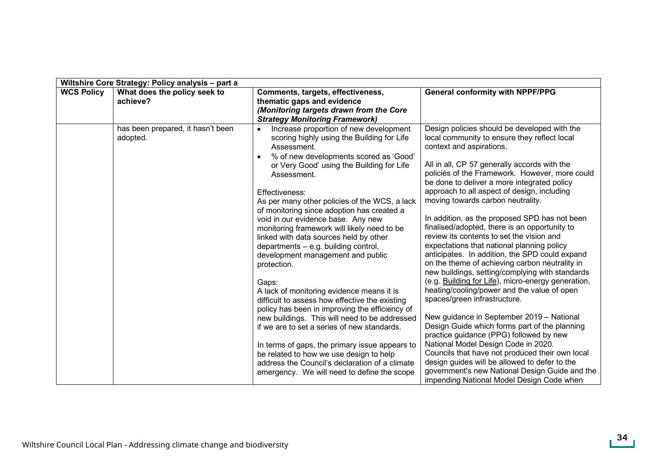|                   | Wiltshire Core Strategy: Policy analysis - part a |                                                                                                                                                                                                                                                                                                                                                                                                                                                                                                                                                                                                                                                                                                                                                                                                                                                                                                                                                                                                                              |                                                                                                                                                                                                                                                                                                                                                                                                                                                                                                                                                                                                                                                                                                                                                                                                                                                                                                                                                                                                                                                                                                                                                                                                                                           |
|-------------------|---------------------------------------------------|------------------------------------------------------------------------------------------------------------------------------------------------------------------------------------------------------------------------------------------------------------------------------------------------------------------------------------------------------------------------------------------------------------------------------------------------------------------------------------------------------------------------------------------------------------------------------------------------------------------------------------------------------------------------------------------------------------------------------------------------------------------------------------------------------------------------------------------------------------------------------------------------------------------------------------------------------------------------------------------------------------------------------|-------------------------------------------------------------------------------------------------------------------------------------------------------------------------------------------------------------------------------------------------------------------------------------------------------------------------------------------------------------------------------------------------------------------------------------------------------------------------------------------------------------------------------------------------------------------------------------------------------------------------------------------------------------------------------------------------------------------------------------------------------------------------------------------------------------------------------------------------------------------------------------------------------------------------------------------------------------------------------------------------------------------------------------------------------------------------------------------------------------------------------------------------------------------------------------------------------------------------------------------|
| <b>WCS Policy</b> | What does the policy seek to<br>achieve?          | Comments, targets, effectiveness,<br>thematic gaps and evidence<br>(Monitoring targets drawn from the Core<br><b>Strategy Monitoring Framework)</b>                                                                                                                                                                                                                                                                                                                                                                                                                                                                                                                                                                                                                                                                                                                                                                                                                                                                          | <b>General conformity with NPPF/PPG</b>                                                                                                                                                                                                                                                                                                                                                                                                                                                                                                                                                                                                                                                                                                                                                                                                                                                                                                                                                                                                                                                                                                                                                                                                   |
|                   | has been prepared, it hasn't been<br>adopted.     | Increase proportion of new development<br>$\bullet$<br>scoring highly using the Building for Life<br>Assessment.<br>% of new developments scored as 'Good'<br>or Very Good' using the Building for Life<br>Assessment.<br>Effectiveness:<br>As per many other policies of the WCS, a lack<br>of monitoring since adoption has created a<br>void in our evidence base. Any new<br>monitoring framework will likely need to be<br>linked with data sources held by other<br>departments $-$ e.g. building control,<br>development management and public<br>protection.<br>Gaps:<br>A lack of monitoring evidence means it is<br>difficult to assess how effective the existing<br>policy has been in improving the efficiency of<br>new buildings. This will need to be addressed<br>if we are to set a series of new standards.<br>In terms of gaps, the primary issue appears to<br>be related to how we use design to help<br>address the Council's declaration of a climate<br>emergency. We will need to define the scope | Design policies should be developed with the<br>local community to ensure they reflect local<br>context and aspirations.<br>All in all, CP 57 generally accords with the<br>policies of the Framework. However, more could<br>be done to deliver a more integrated policy<br>approach to all aspect of design, including<br>moving towards carbon neutrality.<br>In addition, as the proposed SPD has not been<br>finalised/adopted, there is an opportunity to<br>review its contents to set the vision and<br>expectations that national planning policy<br>anticipates. In addition, the SPD could expand<br>on the theme of achieving carbon neutrality in<br>new buildings, setting/complying with standards<br>(e.g. Building for Life), micro-energy generation,<br>heating/cooling/power and the value of open<br>spaces/green infrastructure.<br>New guidance in September 2019 - National<br>Design Guide which forms part of the planning<br>practice guidance (PPG) followed by new<br>National Model Design Code in 2020.<br>Councils that have not produced their own local<br>design guides will be allowed to defer to the<br>government's new National Design Guide and the<br>impending National Model Design Code when |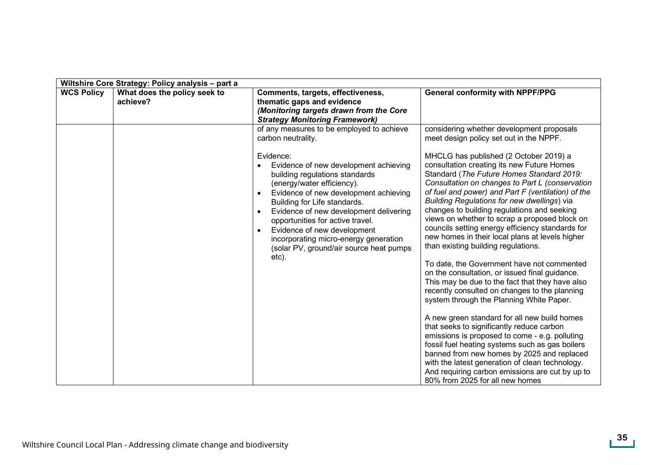|                   | Wiltshire Core Strategy: Policy analysis - part a |                                                                                                                                                                                                                                                                                                                                                                                                                    |                                                                                                                                                                                                                                                                                                                                                                                                                                                                                                                                                                                                                                                                                                                                                                                                                                                                                                                                                                                                                                                                                                                                                      |
|-------------------|---------------------------------------------------|--------------------------------------------------------------------------------------------------------------------------------------------------------------------------------------------------------------------------------------------------------------------------------------------------------------------------------------------------------------------------------------------------------------------|------------------------------------------------------------------------------------------------------------------------------------------------------------------------------------------------------------------------------------------------------------------------------------------------------------------------------------------------------------------------------------------------------------------------------------------------------------------------------------------------------------------------------------------------------------------------------------------------------------------------------------------------------------------------------------------------------------------------------------------------------------------------------------------------------------------------------------------------------------------------------------------------------------------------------------------------------------------------------------------------------------------------------------------------------------------------------------------------------------------------------------------------------|
| <b>WCS Policy</b> | What does the policy seek to<br>achieve?          | Comments, targets, effectiveness,<br>thematic gaps and evidence<br>(Monitoring targets drawn from the Core<br><b>Strategy Monitoring Framework)</b>                                                                                                                                                                                                                                                                | <b>General conformity with NPPF/PPG</b>                                                                                                                                                                                                                                                                                                                                                                                                                                                                                                                                                                                                                                                                                                                                                                                                                                                                                                                                                                                                                                                                                                              |
|                   |                                                   | of any measures to be employed to achieve<br>carbon neutrality.                                                                                                                                                                                                                                                                                                                                                    | considering whether development proposals<br>meet design policy set out in the NPPF.                                                                                                                                                                                                                                                                                                                                                                                                                                                                                                                                                                                                                                                                                                                                                                                                                                                                                                                                                                                                                                                                 |
|                   |                                                   | Evidence:<br>Evidence of new development achieving<br>building regulations standards<br>(energy/water efficiency).<br>Evidence of new development achieving<br>Building for Life standards.<br>Evidence of new development delivering<br>$\bullet$<br>opportunities for active travel.<br>Evidence of new development<br>incorporating micro-energy generation<br>(solar PV, ground/air source heat pumps<br>etc). | MHCLG has published (2 October 2019) a<br>consultation creating its new Future Homes<br>Standard (The Future Homes Standard 2019:<br>Consultation on changes to Part L (conservation<br>of fuel and power) and Part F (ventilation) of the<br><b>Building Regulations for new dwellings) via</b><br>changes to building regulations and seeking<br>views on whether to scrap a proposed block on<br>councils setting energy efficiency standards for<br>new homes in their local plans at levels higher<br>than existing building regulations.<br>To date, the Government have not commented<br>on the consultation, or issued final guidance.<br>This may be due to the fact that they have also<br>recently consulted on changes to the planning<br>system through the Planning White Paper.<br>A new green standard for all new build homes<br>that seeks to significantly reduce carbon<br>emissions is proposed to come - e.g. polluting<br>fossil fuel heating systems such as gas boilers<br>banned from new homes by 2025 and replaced<br>with the latest generation of clean technology.<br>And requiring carbon emissions are cut by up to |
|                   |                                                   |                                                                                                                                                                                                                                                                                                                                                                                                                    | 80% from 2025 for all new homes                                                                                                                                                                                                                                                                                                                                                                                                                                                                                                                                                                                                                                                                                                                                                                                                                                                                                                                                                                                                                                                                                                                      |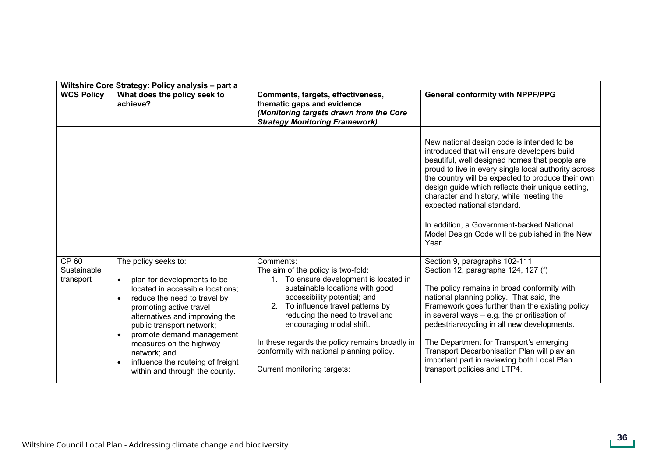| Wiltshire Core Strategy: Policy analysis - part a |                                                                                                                                                                                                                                                                                                                                                                                                         |                                                                                                                                                                                                                                                                                                                                                                                                                |                                                                                                                                                                                                                                                                                                                                                                                                                                                                                                   |
|---------------------------------------------------|---------------------------------------------------------------------------------------------------------------------------------------------------------------------------------------------------------------------------------------------------------------------------------------------------------------------------------------------------------------------------------------------------------|----------------------------------------------------------------------------------------------------------------------------------------------------------------------------------------------------------------------------------------------------------------------------------------------------------------------------------------------------------------------------------------------------------------|---------------------------------------------------------------------------------------------------------------------------------------------------------------------------------------------------------------------------------------------------------------------------------------------------------------------------------------------------------------------------------------------------------------------------------------------------------------------------------------------------|
| <b>WCS Policy</b>                                 | What does the policy seek to<br>achieve?                                                                                                                                                                                                                                                                                                                                                                | Comments, targets, effectiveness,<br>thematic gaps and evidence<br>(Monitoring targets drawn from the Core<br><b>Strategy Monitoring Framework)</b>                                                                                                                                                                                                                                                            | <b>General conformity with NPPF/PPG</b>                                                                                                                                                                                                                                                                                                                                                                                                                                                           |
|                                                   |                                                                                                                                                                                                                                                                                                                                                                                                         |                                                                                                                                                                                                                                                                                                                                                                                                                | New national design code is intended to be<br>introduced that will ensure developers build<br>beautiful, well designed homes that people are<br>proud to live in every single local authority across<br>the country will be expected to produce their own<br>design guide which reflects their unique setting,<br>character and history, while meeting the<br>expected national standard.<br>In addition, a Government-backed National<br>Model Design Code will be published in the New<br>Year. |
| CP 60<br>Sustainable<br>transport                 | The policy seeks to:<br>plan for developments to be<br>$\bullet$<br>located in accessible locations;<br>reduce the need to travel by<br>promoting active travel<br>alternatives and improving the<br>public transport network;<br>promote demand management<br>$\bullet$<br>measures on the highway<br>network; and<br>influence the routeing of freight<br>$\bullet$<br>within and through the county. | Comments:<br>The aim of the policy is two-fold:<br>To ensure development is located in<br>$1_{\cdot}$<br>sustainable locations with good<br>accessibility potential; and<br>To influence travel patterns by<br>2.<br>reducing the need to travel and<br>encouraging modal shift.<br>In these regards the policy remains broadly in<br>conformity with national planning policy.<br>Current monitoring targets: | Section 9, paragraphs 102-111<br>Section 12, paragraphs 124, 127 (f)<br>The policy remains in broad conformity with<br>national planning policy. That said, the<br>Framework goes further than the existing policy<br>in several ways - e.g. the prioritisation of<br>pedestrian/cycling in all new developments.<br>The Department for Transport's emerging<br>Transport Decarbonisation Plan will play an<br>important part in reviewing both Local Plan<br>transport policies and LTP4.        |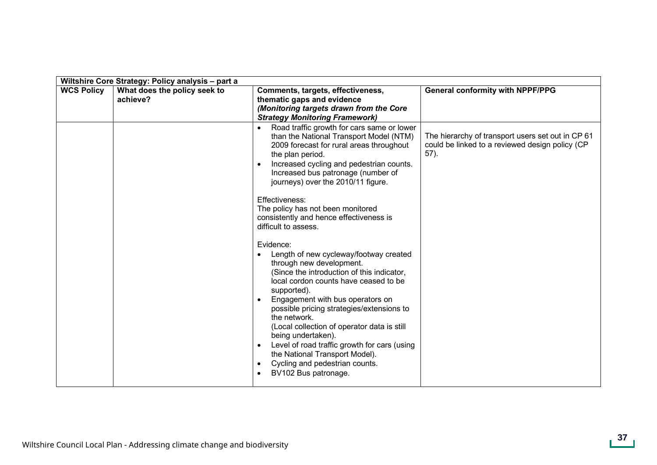|                   | Wiltshire Core Strategy: Policy analysis - part a |                                                                                                                                                                                                                                                                                                                                                                                                                                                                                                                                                                                                                                                                                                                                                                                                                                                                                                                                     |                                                                                                              |  |  |
|-------------------|---------------------------------------------------|-------------------------------------------------------------------------------------------------------------------------------------------------------------------------------------------------------------------------------------------------------------------------------------------------------------------------------------------------------------------------------------------------------------------------------------------------------------------------------------------------------------------------------------------------------------------------------------------------------------------------------------------------------------------------------------------------------------------------------------------------------------------------------------------------------------------------------------------------------------------------------------------------------------------------------------|--------------------------------------------------------------------------------------------------------------|--|--|
| <b>WCS Policy</b> | What does the policy seek to<br>achieve?          | Comments, targets, effectiveness,<br>thematic gaps and evidence<br>(Monitoring targets drawn from the Core                                                                                                                                                                                                                                                                                                                                                                                                                                                                                                                                                                                                                                                                                                                                                                                                                          | <b>General conformity with NPPF/PPG</b>                                                                      |  |  |
|                   |                                                   | <b>Strategy Monitoring Framework)</b><br>Road traffic growth for cars same or lower<br>than the National Transport Model (NTM)<br>2009 forecast for rural areas throughout<br>the plan period.<br>Increased cycling and pedestrian counts.<br>Increased bus patronage (number of<br>journeys) over the 2010/11 figure.<br>Effectiveness:<br>The policy has not been monitored<br>consistently and hence effectiveness is<br>difficult to assess.<br>Evidence:<br>Length of new cycleway/footway created<br>through new development.<br>(Since the introduction of this indicator,<br>local cordon counts have ceased to be<br>supported).<br>Engagement with bus operators on<br>possible pricing strategies/extensions to<br>the network.<br>(Local collection of operator data is still<br>being undertaken).<br>Level of road traffic growth for cars (using<br>the National Transport Model).<br>Cycling and pedestrian counts. | The hierarchy of transport users set out in CP 61<br>could be linked to a reviewed design policy (CP<br>57). |  |  |
|                   |                                                   | BV102 Bus patronage.                                                                                                                                                                                                                                                                                                                                                                                                                                                                                                                                                                                                                                                                                                                                                                                                                                                                                                                |                                                                                                              |  |  |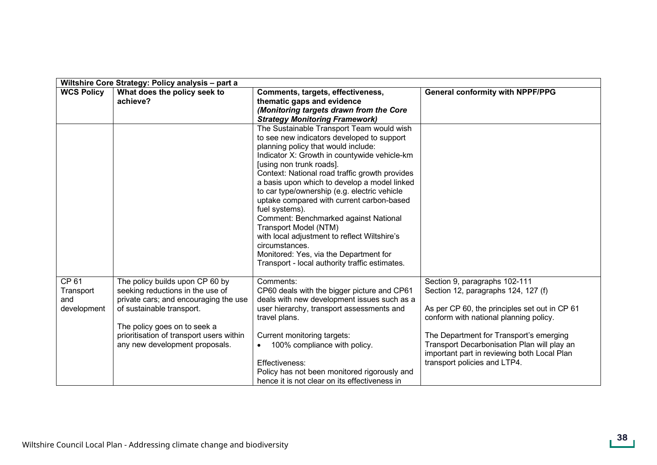|                                          | Wiltshire Core Strategy: Policy analysis - part a                                                                                                                                                                                                       |                                                                                                                                                                                                                                                                                                                                                                                                                                                                                                                                                                                                                                                             |                                                                                                                                                                                                                                                                                                                                          |  |  |
|------------------------------------------|---------------------------------------------------------------------------------------------------------------------------------------------------------------------------------------------------------------------------------------------------------|-------------------------------------------------------------------------------------------------------------------------------------------------------------------------------------------------------------------------------------------------------------------------------------------------------------------------------------------------------------------------------------------------------------------------------------------------------------------------------------------------------------------------------------------------------------------------------------------------------------------------------------------------------------|------------------------------------------------------------------------------------------------------------------------------------------------------------------------------------------------------------------------------------------------------------------------------------------------------------------------------------------|--|--|
| <b>WCS Policy</b>                        | What does the policy seek to<br>achieve?                                                                                                                                                                                                                | Comments, targets, effectiveness,<br>thematic gaps and evidence<br>(Monitoring targets drawn from the Core<br><b>Strategy Monitoring Framework)</b>                                                                                                                                                                                                                                                                                                                                                                                                                                                                                                         | <b>General conformity with NPPF/PPG</b>                                                                                                                                                                                                                                                                                                  |  |  |
|                                          |                                                                                                                                                                                                                                                         | The Sustainable Transport Team would wish<br>to see new indicators developed to support<br>planning policy that would include:<br>Indicator X: Growth in countywide vehicle-km<br>[using non trunk roads].<br>Context: National road traffic growth provides<br>a basis upon which to develop a model linked<br>to car type/ownership (e.g. electric vehicle<br>uptake compared with current carbon-based<br>fuel systems).<br>Comment: Benchmarked against National<br>Transport Model (NTM)<br>with local adjustment to reflect Wiltshire's<br>circumstances.<br>Monitored: Yes, via the Department for<br>Transport - local authority traffic estimates. |                                                                                                                                                                                                                                                                                                                                          |  |  |
| CP 61<br>Transport<br>and<br>development | The policy builds upon CP 60 by<br>seeking reductions in the use of<br>private cars; and encouraging the use<br>of sustainable transport.<br>The policy goes on to seek a<br>prioritisation of transport users within<br>any new development proposals. | Comments:<br>CP60 deals with the bigger picture and CP61<br>deals with new development issues such as a<br>user hierarchy, transport assessments and<br>travel plans.<br>Current monitoring targets:<br>100% compliance with policy.<br>Effectiveness:<br>Policy has not been monitored rigorously and<br>hence it is not clear on its effectiveness in                                                                                                                                                                                                                                                                                                     | Section 9, paragraphs 102-111<br>Section 12, paragraphs 124, 127 (f)<br>As per CP 60, the principles set out in CP 61<br>conform with national planning policy.<br>The Department for Transport's emerging<br>Transport Decarbonisation Plan will play an<br>important part in reviewing both Local Plan<br>transport policies and LTP4. |  |  |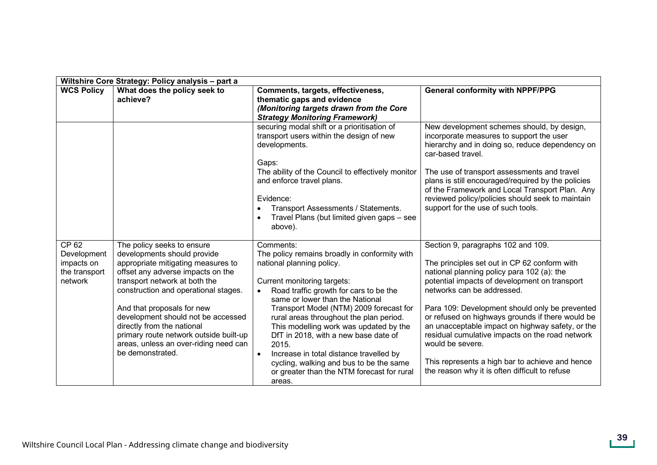| Wiltshire Core Strategy: Policy analysis - part a              |                                                                                                                                                                                                                                                                                                                                                                                                                        |                                                                                                                                                                                                                                                                                                                                                                                                                                                                                                                                                 |                                                                                                                                                                                                                                                                                                                                                                                                                                                                                                                                                       |  |
|----------------------------------------------------------------|------------------------------------------------------------------------------------------------------------------------------------------------------------------------------------------------------------------------------------------------------------------------------------------------------------------------------------------------------------------------------------------------------------------------|-------------------------------------------------------------------------------------------------------------------------------------------------------------------------------------------------------------------------------------------------------------------------------------------------------------------------------------------------------------------------------------------------------------------------------------------------------------------------------------------------------------------------------------------------|-------------------------------------------------------------------------------------------------------------------------------------------------------------------------------------------------------------------------------------------------------------------------------------------------------------------------------------------------------------------------------------------------------------------------------------------------------------------------------------------------------------------------------------------------------|--|
| <b>WCS Policy</b>                                              | What does the policy seek to<br>achieve?                                                                                                                                                                                                                                                                                                                                                                               | Comments, targets, effectiveness,<br>thematic gaps and evidence<br>(Monitoring targets drawn from the Core<br><b>Strategy Monitoring Framework)</b>                                                                                                                                                                                                                                                                                                                                                                                             | <b>General conformity with NPPF/PPG</b>                                                                                                                                                                                                                                                                                                                                                                                                                                                                                                               |  |
|                                                                |                                                                                                                                                                                                                                                                                                                                                                                                                        | securing modal shift or a prioritisation of<br>transport users within the design of new<br>developments.<br>Gaps:                                                                                                                                                                                                                                                                                                                                                                                                                               | New development schemes should, by design,<br>incorporate measures to support the user<br>hierarchy and in doing so, reduce dependency on<br>car-based travel.                                                                                                                                                                                                                                                                                                                                                                                        |  |
|                                                                |                                                                                                                                                                                                                                                                                                                                                                                                                        | The ability of the Council to effectively monitor<br>and enforce travel plans.<br>Evidence:<br>Transport Assessments / Statements.<br>Travel Plans (but limited given gaps - see<br>above).                                                                                                                                                                                                                                                                                                                                                     | The use of transport assessments and travel<br>plans is still encouraged/required by the policies<br>of the Framework and Local Transport Plan. Any<br>reviewed policy/policies should seek to maintain<br>support for the use of such tools.                                                                                                                                                                                                                                                                                                         |  |
| CP 62<br>Development<br>impacts on<br>the transport<br>network | The policy seeks to ensure<br>developments should provide<br>appropriate mitigating measures to<br>offset any adverse impacts on the<br>transport network at both the<br>construction and operational stages.<br>And that proposals for new<br>development should not be accessed<br>directly from the national<br>primary route network outside built-up<br>areas, unless an over-riding need can<br>be demonstrated. | Comments:<br>The policy remains broadly in conformity with<br>national planning policy.<br>Current monitoring targets:<br>Road traffic growth for cars to be the<br>same or lower than the National<br>Transport Model (NTM) 2009 forecast for<br>rural areas throughout the plan period.<br>This modelling work was updated by the<br>DfT in 2018, with a new base date of<br>2015.<br>Increase in total distance travelled by<br>$\bullet$<br>cycling, walking and bus to be the same<br>or greater than the NTM forecast for rural<br>areas. | Section 9, paragraphs 102 and 109.<br>The principles set out in CP 62 conform with<br>national planning policy para 102 (a): the<br>potential impacts of development on transport<br>networks can be addressed.<br>Para 109: Development should only be prevented<br>or refused on highways grounds if there would be<br>an unacceptable impact on highway safety, or the<br>residual cumulative impacts on the road network<br>would be severe.<br>This represents a high bar to achieve and hence<br>the reason why it is often difficult to refuse |  |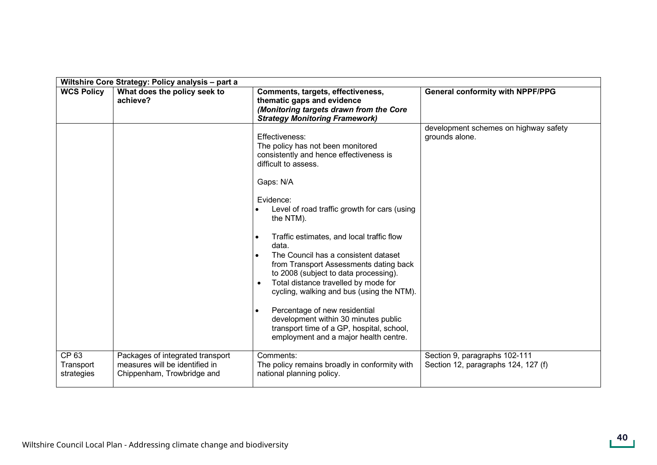|                                  | Wiltshire Core Strategy: Policy analysis - part a                                                |                                                                                                                                                                                                                                                                                                                                                                                                                                                                                                                                                                                                                                                                              |                                                                      |  |
|----------------------------------|--------------------------------------------------------------------------------------------------|------------------------------------------------------------------------------------------------------------------------------------------------------------------------------------------------------------------------------------------------------------------------------------------------------------------------------------------------------------------------------------------------------------------------------------------------------------------------------------------------------------------------------------------------------------------------------------------------------------------------------------------------------------------------------|----------------------------------------------------------------------|--|
| <b>WCS Policy</b>                | What does the policy seek to<br>achieve?                                                         | Comments, targets, effectiveness,<br>thematic gaps and evidence<br>(Monitoring targets drawn from the Core<br><b>Strategy Monitoring Framework)</b>                                                                                                                                                                                                                                                                                                                                                                                                                                                                                                                          | <b>General conformity with NPPF/PPG</b>                              |  |
|                                  |                                                                                                  | Effectiveness:<br>The policy has not been monitored<br>consistently and hence effectiveness is<br>difficult to assess.<br>Gaps: N/A<br>Evidence:<br>Level of road traffic growth for cars (using<br>the NTM).<br>Traffic estimates, and local traffic flow<br>$\bullet$<br>data.<br>The Council has a consistent dataset<br>from Transport Assessments dating back<br>to 2008 (subject to data processing).<br>Total distance travelled by mode for<br>cycling, walking and bus (using the NTM).<br>Percentage of new residential<br>$\bullet$<br>development within 30 minutes public<br>transport time of a GP, hospital, school,<br>employment and a major health centre. | development schemes on highway safety<br>grounds alone.              |  |
| CP 63<br>Transport<br>strategies | Packages of integrated transport<br>measures will be identified in<br>Chippenham, Trowbridge and | Comments:<br>The policy remains broadly in conformity with<br>national planning policy.                                                                                                                                                                                                                                                                                                                                                                                                                                                                                                                                                                                      | Section 9, paragraphs 102-111<br>Section 12, paragraphs 124, 127 (f) |  |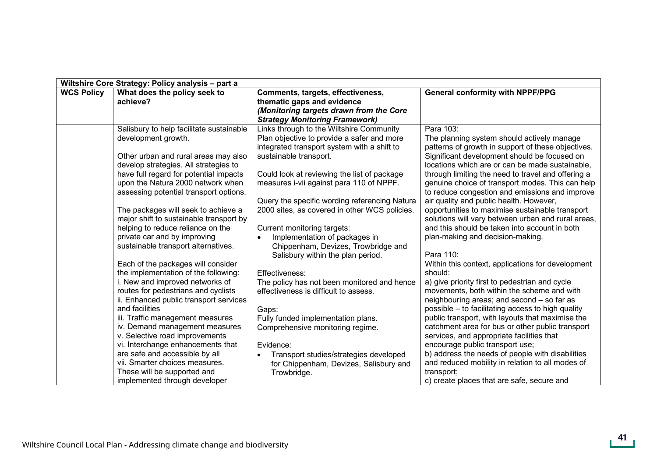| Wiltshire Core Strategy: Policy analysis - part a |                                                                             |                                                                 |                                                                                                       |
|---------------------------------------------------|-----------------------------------------------------------------------------|-----------------------------------------------------------------|-------------------------------------------------------------------------------------------------------|
| <b>WCS Policy</b>                                 | What does the policy seek to<br>achieve?                                    | Comments, targets, effectiveness,<br>thematic gaps and evidence | <b>General conformity with NPPF/PPG</b>                                                               |
|                                                   |                                                                             | (Monitoring targets drawn from the Core                         |                                                                                                       |
|                                                   |                                                                             | <b>Strategy Monitoring Framework)</b>                           |                                                                                                       |
|                                                   | Salisbury to help facilitate sustainable                                    | Links through to the Wiltshire Community                        | Para 103:                                                                                             |
|                                                   | development growth.                                                         | Plan objective to provide a safer and more                      | The planning system should actively manage                                                            |
|                                                   |                                                                             | integrated transport system with a shift to                     | patterns of growth in support of these objectives.                                                    |
|                                                   | Other urban and rural areas may also                                        | sustainable transport.                                          | Significant development should be focused on                                                          |
|                                                   | develop strategies. All strategies to                                       |                                                                 | locations which are or can be made sustainable,                                                       |
|                                                   | have full regard for potential impacts                                      | Could look at reviewing the list of package                     | through limiting the need to travel and offering a                                                    |
|                                                   | upon the Natura 2000 network when<br>assessing potential transport options. | measures i-vii against para 110 of NPPF.                        | genuine choice of transport modes. This can help<br>to reduce congestion and emissions and improve    |
|                                                   |                                                                             | Query the specific wording referencing Natura                   | air quality and public health. However,                                                               |
|                                                   | The packages will seek to achieve a                                         | 2000 sites, as covered in other WCS policies.                   | opportunities to maximise sustainable transport                                                       |
|                                                   | major shift to sustainable transport by                                     |                                                                 | solutions will vary between urban and rural areas,                                                    |
|                                                   | helping to reduce reliance on the                                           | Current monitoring targets:                                     | and this should be taken into account in both                                                         |
|                                                   | private car and by improving                                                | Implementation of packages in<br>$\bullet$                      | plan-making and decision-making.                                                                      |
|                                                   | sustainable transport alternatives.                                         | Chippenham, Devizes, Trowbridge and                             |                                                                                                       |
|                                                   |                                                                             | Salisbury within the plan period.                               | Para 110:                                                                                             |
|                                                   | Each of the packages will consider                                          |                                                                 | Within this context, applications for development                                                     |
|                                                   | the implementation of the following:                                        | Effectiveness:                                                  | should:                                                                                               |
|                                                   | i. New and improved networks of                                             | The policy has not been monitored and hence                     | a) give priority first to pedestrian and cycle                                                        |
|                                                   | routes for pedestrians and cyclists                                         | effectiveness is difficult to assess.                           | movements, both within the scheme and with                                                            |
|                                                   | ii. Enhanced public transport services<br>and facilities                    |                                                                 | neighbouring areas; and second - so far as                                                            |
|                                                   | iii. Traffic management measures                                            | Gaps:<br>Fully funded implementation plans.                     | possible – to facilitating access to high quality<br>public transport, with layouts that maximise the |
|                                                   | iv. Demand management measures                                              | Comprehensive monitoring regime.                                | catchment area for bus or other public transport                                                      |
|                                                   | v. Selective road improvements                                              |                                                                 | services, and appropriate facilities that                                                             |
|                                                   | vi. Interchange enhancements that                                           | Evidence:                                                       | encourage public transport use;                                                                       |
|                                                   | are safe and accessible by all                                              | Transport studies/strategies developed                          | b) address the needs of people with disabilities                                                      |
|                                                   | vii. Smarter choices measures.                                              | for Chippenham, Devizes, Salisbury and                          | and reduced mobility in relation to all modes of                                                      |
|                                                   | These will be supported and                                                 | Trowbridge.                                                     | transport;                                                                                            |
|                                                   | implemented through developer                                               |                                                                 | c) create places that are safe, secure and                                                            |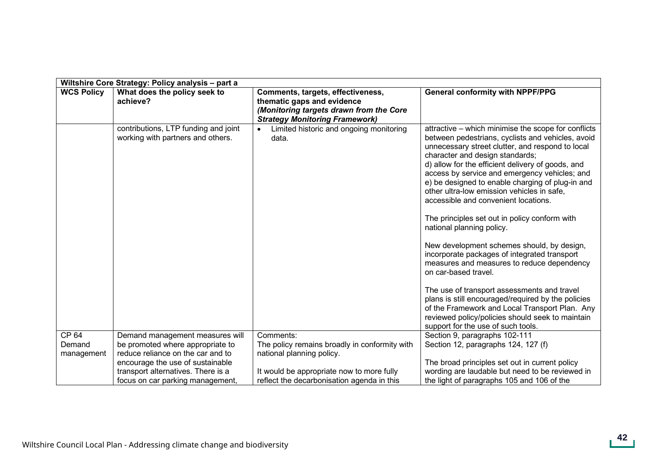|                   | Wiltshire Core Strategy: Policy analysis - part a                         |                                                                                                                                                     |                                                                                                                                                                                                                                                                                                                                                                                                                                                                                                                                                                                                                                                                                                                                                                                                                                                                                                                                                    |  |  |
|-------------------|---------------------------------------------------------------------------|-----------------------------------------------------------------------------------------------------------------------------------------------------|----------------------------------------------------------------------------------------------------------------------------------------------------------------------------------------------------------------------------------------------------------------------------------------------------------------------------------------------------------------------------------------------------------------------------------------------------------------------------------------------------------------------------------------------------------------------------------------------------------------------------------------------------------------------------------------------------------------------------------------------------------------------------------------------------------------------------------------------------------------------------------------------------------------------------------------------------|--|--|
| <b>WCS Policy</b> | What does the policy seek to<br>achieve?                                  | Comments, targets, effectiveness,<br>thematic gaps and evidence<br>(Monitoring targets drawn from the Core<br><b>Strategy Monitoring Framework)</b> | <b>General conformity with NPPF/PPG</b>                                                                                                                                                                                                                                                                                                                                                                                                                                                                                                                                                                                                                                                                                                                                                                                                                                                                                                            |  |  |
|                   | contributions, LTP funding and joint<br>working with partners and others. | Limited historic and ongoing monitoring<br>$\bullet$<br>data.                                                                                       | attractive – which minimise the scope for conflicts<br>between pedestrians, cyclists and vehicles, avoid<br>unnecessary street clutter, and respond to local<br>character and design standards;<br>d) allow for the efficient delivery of goods, and<br>access by service and emergency vehicles; and<br>e) be designed to enable charging of plug-in and<br>other ultra-low emission vehicles in safe,<br>accessible and convenient locations.<br>The principles set out in policy conform with<br>national planning policy.<br>New development schemes should, by design,<br>incorporate packages of integrated transport<br>measures and measures to reduce dependency<br>on car-based travel.<br>The use of transport assessments and travel<br>plans is still encouraged/required by the policies<br>of the Framework and Local Transport Plan. Any<br>reviewed policy/policies should seek to maintain<br>support for the use of such tools. |  |  |
| CP 64             | Demand management measures will                                           | Comments:                                                                                                                                           | Section 9, paragraphs 102-111                                                                                                                                                                                                                                                                                                                                                                                                                                                                                                                                                                                                                                                                                                                                                                                                                                                                                                                      |  |  |
| Demand            | be promoted where appropriate to                                          | The policy remains broadly in conformity with                                                                                                       | Section 12, paragraphs 124, 127 (f)                                                                                                                                                                                                                                                                                                                                                                                                                                                                                                                                                                                                                                                                                                                                                                                                                                                                                                                |  |  |
| management        | reduce reliance on the car and to                                         | national planning policy.                                                                                                                           |                                                                                                                                                                                                                                                                                                                                                                                                                                                                                                                                                                                                                                                                                                                                                                                                                                                                                                                                                    |  |  |
|                   | encourage the use of sustainable                                          |                                                                                                                                                     | The broad principles set out in current policy                                                                                                                                                                                                                                                                                                                                                                                                                                                                                                                                                                                                                                                                                                                                                                                                                                                                                                     |  |  |
|                   | transport alternatives. There is a                                        | It would be appropriate now to more fully                                                                                                           | wording are laudable but need to be reviewed in                                                                                                                                                                                                                                                                                                                                                                                                                                                                                                                                                                                                                                                                                                                                                                                                                                                                                                    |  |  |
|                   | focus on car parking management,                                          | reflect the decarbonisation agenda in this                                                                                                          | the light of paragraphs 105 and 106 of the                                                                                                                                                                                                                                                                                                                                                                                                                                                                                                                                                                                                                                                                                                                                                                                                                                                                                                         |  |  |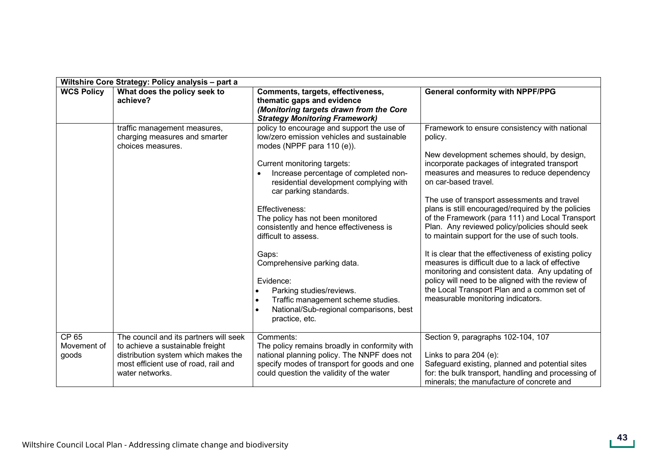|                               | Wiltshire Core Strategy: Policy analysis - part a                                                                                                                            |                                                                                                                                                                                                                                                                                                                                                                                                                                                                                                                                                                                               |                                                                                                                                                                                                                                                                                                                                                                                                                                                                                                                                                                                                                                                                                                                                                                                                    |  |  |
|-------------------------------|------------------------------------------------------------------------------------------------------------------------------------------------------------------------------|-----------------------------------------------------------------------------------------------------------------------------------------------------------------------------------------------------------------------------------------------------------------------------------------------------------------------------------------------------------------------------------------------------------------------------------------------------------------------------------------------------------------------------------------------------------------------------------------------|----------------------------------------------------------------------------------------------------------------------------------------------------------------------------------------------------------------------------------------------------------------------------------------------------------------------------------------------------------------------------------------------------------------------------------------------------------------------------------------------------------------------------------------------------------------------------------------------------------------------------------------------------------------------------------------------------------------------------------------------------------------------------------------------------|--|--|
| <b>WCS Policy</b>             | What does the policy seek to<br>achieve?                                                                                                                                     | Comments, targets, effectiveness,<br>thematic gaps and evidence<br>(Monitoring targets drawn from the Core<br><b>Strategy Monitoring Framework)</b>                                                                                                                                                                                                                                                                                                                                                                                                                                           | <b>General conformity with NPPF/PPG</b>                                                                                                                                                                                                                                                                                                                                                                                                                                                                                                                                                                                                                                                                                                                                                            |  |  |
|                               | traffic management measures,<br>charging measures and smarter<br>choices measures.                                                                                           | policy to encourage and support the use of<br>low/zero emission vehicles and sustainable<br>modes (NPPF para 110 (e)).<br>Current monitoring targets:<br>Increase percentage of completed non-<br>residential development complying with<br>car parking standards.<br>Effectiveness:<br>The policy has not been monitored<br>consistently and hence effectiveness is<br>difficult to assess.<br>Gaps:<br>Comprehensive parking data.<br>Evidence:<br>Parking studies/reviews.<br>Traffic management scheme studies.<br>$\bullet$<br>National/Sub-regional comparisons, best<br>practice, etc. | Framework to ensure consistency with national<br>policy.<br>New development schemes should, by design,<br>incorporate packages of integrated transport<br>measures and measures to reduce dependency<br>on car-based travel.<br>The use of transport assessments and travel<br>plans is still encouraged/required by the policies<br>of the Framework (para 111) and Local Transport<br>Plan. Any reviewed policy/policies should seek<br>to maintain support for the use of such tools.<br>It is clear that the effectiveness of existing policy<br>measures is difficult due to a lack of effective<br>monitoring and consistent data. Any updating of<br>policy will need to be aligned with the review of<br>the Local Transport Plan and a common set of<br>measurable monitoring indicators. |  |  |
| CP 65<br>Movement of<br>goods | The council and its partners will seek<br>to achieve a sustainable freight<br>distribution system which makes the<br>most efficient use of road, rail and<br>water networks. | Comments:<br>The policy remains broadly in conformity with<br>national planning policy. The NNPF does not<br>specify modes of transport for goods and one<br>could question the validity of the water                                                                                                                                                                                                                                                                                                                                                                                         | Section 9, paragraphs 102-104, 107<br>Links to para 204 (e):<br>Safeguard existing, planned and potential sites<br>for: the bulk transport, handling and processing of<br>minerals; the manufacture of concrete and                                                                                                                                                                                                                                                                                                                                                                                                                                                                                                                                                                                |  |  |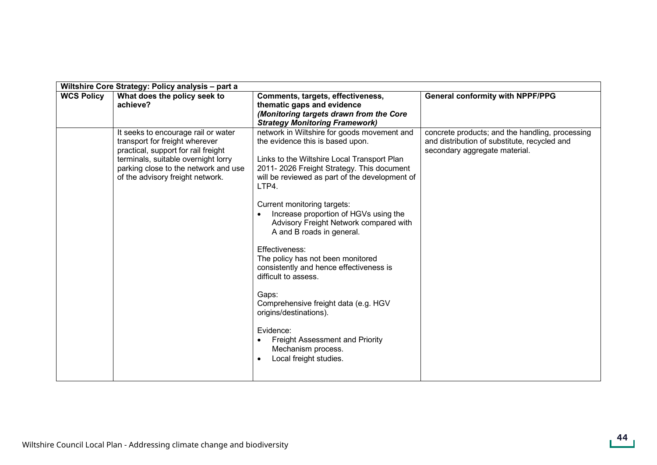| Wiltshire Core Strategy: Policy analysis - part a |                                                                                                                                                                                                                                 |                                                                                                                                                                                                                                                                                                                                                                                                                                                                                                                                                                                                                                                                                                   |                                                                                                                                  |  |
|---------------------------------------------------|---------------------------------------------------------------------------------------------------------------------------------------------------------------------------------------------------------------------------------|---------------------------------------------------------------------------------------------------------------------------------------------------------------------------------------------------------------------------------------------------------------------------------------------------------------------------------------------------------------------------------------------------------------------------------------------------------------------------------------------------------------------------------------------------------------------------------------------------------------------------------------------------------------------------------------------------|----------------------------------------------------------------------------------------------------------------------------------|--|
| <b>WCS Policy</b>                                 | What does the policy seek to<br>achieve?                                                                                                                                                                                        | Comments, targets, effectiveness,<br>thematic gaps and evidence<br>(Monitoring targets drawn from the Core<br><b>Strategy Monitoring Framework)</b>                                                                                                                                                                                                                                                                                                                                                                                                                                                                                                                                               | <b>General conformity with NPPF/PPG</b>                                                                                          |  |
|                                                   | It seeks to encourage rail or water<br>transport for freight wherever<br>practical, support for rail freight<br>terminals, suitable overnight lorry<br>parking close to the network and use<br>of the advisory freight network. | network in Wiltshire for goods movement and<br>the evidence this is based upon.<br>Links to the Wiltshire Local Transport Plan<br>2011-2026 Freight Strategy. This document<br>will be reviewed as part of the development of<br>LTP4.<br>Current monitoring targets:<br>Increase proportion of HGVs using the<br>Advisory Freight Network compared with<br>A and B roads in general.<br>Effectiveness:<br>The policy has not been monitored<br>consistently and hence effectiveness is<br>difficult to assess.<br>Gaps:<br>Comprehensive freight data (e.g. HGV<br>origins/destinations).<br>Evidence:<br><b>Freight Assessment and Priority</b><br>Mechanism process.<br>Local freight studies. | concrete products; and the handling, processing<br>and distribution of substitute, recycled and<br>secondary aggregate material. |  |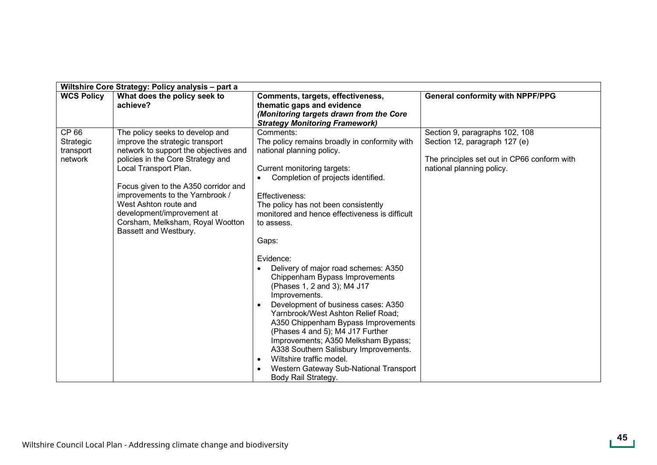| Wiltshire Core Strategy: Policy analysis - part a |                                                                                                                                                                                                                                                                                                                                                                          |                                                                                                                                                                                                                                                                                                                                                                                                                                                                                                                                                                                                                                                                                                                                                                             |                                                                                                                                             |  |
|---------------------------------------------------|--------------------------------------------------------------------------------------------------------------------------------------------------------------------------------------------------------------------------------------------------------------------------------------------------------------------------------------------------------------------------|-----------------------------------------------------------------------------------------------------------------------------------------------------------------------------------------------------------------------------------------------------------------------------------------------------------------------------------------------------------------------------------------------------------------------------------------------------------------------------------------------------------------------------------------------------------------------------------------------------------------------------------------------------------------------------------------------------------------------------------------------------------------------------|---------------------------------------------------------------------------------------------------------------------------------------------|--|
| <b>WCS Policy</b>                                 | What does the policy seek to<br>achieve?                                                                                                                                                                                                                                                                                                                                 | Comments, targets, effectiveness,<br>thematic gaps and evidence<br>(Monitoring targets drawn from the Core<br><b>Strategy Monitoring Framework)</b>                                                                                                                                                                                                                                                                                                                                                                                                                                                                                                                                                                                                                         | <b>General conformity with NPPF/PPG</b>                                                                                                     |  |
| CP 66<br>Strategic<br>transport<br>network        | The policy seeks to develop and<br>improve the strategic transport<br>network to support the objectives and<br>policies in the Core Strategy and<br>Local Transport Plan.<br>Focus given to the A350 corridor and<br>improvements to the Yarnbrook /<br>West Ashton route and<br>development/improvement at<br>Corsham, Melksham, Royal Wootton<br>Bassett and Westbury. | Comments:<br>The policy remains broadly in conformity with<br>national planning policy.<br>Current monitoring targets:<br>Completion of projects identified.<br>Effectiveness:<br>The policy has not been consistently<br>monitored and hence effectiveness is difficult<br>to assess.<br>Gaps:<br>Evidence:<br>Delivery of major road schemes: A350<br>Chippenham Bypass Improvements<br>(Phases 1, 2 and 3); M4 J17<br>Improvements.<br>Development of business cases: A350<br>Yarnbrook/West Ashton Relief Road;<br>A350 Chippenham Bypass Improvements<br>(Phases 4 and 5); M4 J17 Further<br>Improvements; A350 Melksham Bypass;<br>A338 Southern Salisbury Improvements.<br>Wiltshire traffic model.<br>Western Gateway Sub-National Transport<br>Body Rail Strategy. | Section 9, paragraphs 102, 108<br>Section 12, paragraph 127 (e)<br>The principles set out in CP66 conform with<br>national planning policy. |  |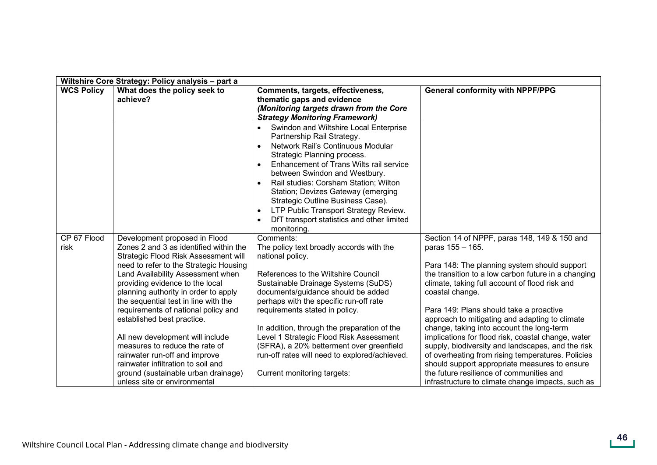|                   | Wiltshire Core Strategy: Policy analysis - part a                                                                                                                                                                                                                                                                                                                                                                                                                                                                                                                         |                                                                                                                                                                                                                                                                                                                                                                                                                                                                                                    |                                                                                                                                                                                                                                                                                                                                                                                                                                                                                                                                                                                                                                                          |  |  |
|-------------------|---------------------------------------------------------------------------------------------------------------------------------------------------------------------------------------------------------------------------------------------------------------------------------------------------------------------------------------------------------------------------------------------------------------------------------------------------------------------------------------------------------------------------------------------------------------------------|----------------------------------------------------------------------------------------------------------------------------------------------------------------------------------------------------------------------------------------------------------------------------------------------------------------------------------------------------------------------------------------------------------------------------------------------------------------------------------------------------|----------------------------------------------------------------------------------------------------------------------------------------------------------------------------------------------------------------------------------------------------------------------------------------------------------------------------------------------------------------------------------------------------------------------------------------------------------------------------------------------------------------------------------------------------------------------------------------------------------------------------------------------------------|--|--|
| <b>WCS Policy</b> | What does the policy seek to<br>achieve?                                                                                                                                                                                                                                                                                                                                                                                                                                                                                                                                  | Comments, targets, effectiveness,<br>thematic gaps and evidence<br>(Monitoring targets drawn from the Core<br><b>Strategy Monitoring Framework)</b>                                                                                                                                                                                                                                                                                                                                                | <b>General conformity with NPPF/PPG</b>                                                                                                                                                                                                                                                                                                                                                                                                                                                                                                                                                                                                                  |  |  |
| CP 67 Flood       | Development proposed in Flood                                                                                                                                                                                                                                                                                                                                                                                                                                                                                                                                             | Swindon and Wiltshire Local Enterprise<br>$\bullet$<br>Partnership Rail Strategy.<br>Network Rail's Continuous Modular<br>Strategic Planning process.<br>Enhancement of Trans Wilts rail service<br>$\bullet$<br>between Swindon and Westbury.<br>Rail studies: Corsham Station; Wilton<br>Station; Devizes Gateway (emerging<br>Strategic Outline Business Case).<br>LTP Public Transport Strategy Review.<br>$\bullet$<br>DfT transport statistics and other limited<br>monitoring.<br>Comments: | Section 14 of NPPF, paras 148, 149 & 150 and                                                                                                                                                                                                                                                                                                                                                                                                                                                                                                                                                                                                             |  |  |
| risk              | Zones 2 and 3 as identified within the<br>Strategic Flood Risk Assessment will<br>need to refer to the Strategic Housing<br>Land Availability Assessment when<br>providing evidence to the local<br>planning authority in order to apply<br>the sequential test in line with the<br>requirements of national policy and<br>established best practice.<br>All new development will include<br>measures to reduce the rate of<br>rainwater run-off and improve<br>rainwater infiltration to soil and<br>ground (sustainable urban drainage)<br>unless site or environmental | The policy text broadly accords with the<br>national policy.<br>References to the Wiltshire Council<br>Sustainable Drainage Systems (SuDS)<br>documents/guidance should be added<br>perhaps with the specific run-off rate<br>requirements stated in policy.<br>In addition, through the preparation of the<br>Level 1 Strategic Flood Risk Assessment<br>(SFRA), a 20% betterment over greenfield<br>run-off rates will need to explored/achieved.<br>Current monitoring targets:                 | paras 155 - 165.<br>Para 148: The planning system should support<br>the transition to a low carbon future in a changing<br>climate, taking full account of flood risk and<br>coastal change.<br>Para 149: Plans should take a proactive<br>approach to mitigating and adapting to climate<br>change, taking into account the long-term<br>implications for flood risk, coastal change, water<br>supply, biodiversity and landscapes, and the risk<br>of overheating from rising temperatures. Policies<br>should support appropriate measures to ensure<br>the future resilience of communities and<br>infrastructure to climate change impacts, such as |  |  |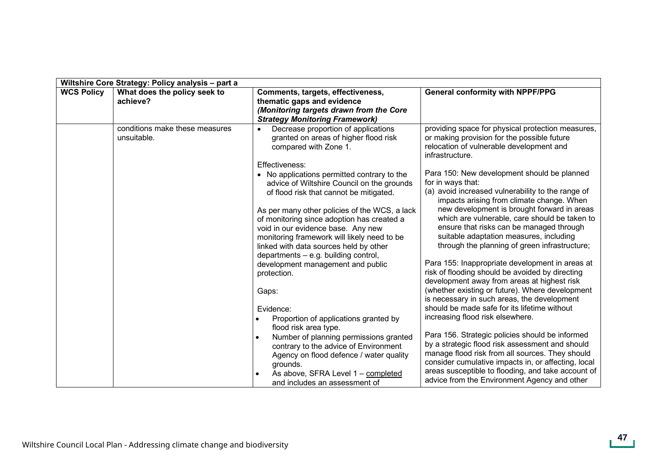|                   | Wiltshire Core Strategy: Policy analysis - part a |                                                                                                                                                                                                                                                                                                                                                                                                                                                                                                                                                                                                                                                                                                                                                          |                                                                                                                                                                                                                                                                                                                                                                                                                                                                                                                                                                                                                                                                                                                                                                                                                                                                                                                                                                                                                             |  |  |
|-------------------|---------------------------------------------------|----------------------------------------------------------------------------------------------------------------------------------------------------------------------------------------------------------------------------------------------------------------------------------------------------------------------------------------------------------------------------------------------------------------------------------------------------------------------------------------------------------------------------------------------------------------------------------------------------------------------------------------------------------------------------------------------------------------------------------------------------------|-----------------------------------------------------------------------------------------------------------------------------------------------------------------------------------------------------------------------------------------------------------------------------------------------------------------------------------------------------------------------------------------------------------------------------------------------------------------------------------------------------------------------------------------------------------------------------------------------------------------------------------------------------------------------------------------------------------------------------------------------------------------------------------------------------------------------------------------------------------------------------------------------------------------------------------------------------------------------------------------------------------------------------|--|--|
| <b>WCS Policy</b> | What does the policy seek to<br>achieve?          | Comments, targets, effectiveness,<br>thematic gaps and evidence<br>(Monitoring targets drawn from the Core<br><b>Strategy Monitoring Framework)</b>                                                                                                                                                                                                                                                                                                                                                                                                                                                                                                                                                                                                      | <b>General conformity with NPPF/PPG</b>                                                                                                                                                                                                                                                                                                                                                                                                                                                                                                                                                                                                                                                                                                                                                                                                                                                                                                                                                                                     |  |  |
|                   | conditions make these measures<br>unsuitable.     | Decrease proportion of applications<br>granted on areas of higher flood risk<br>compared with Zone 1.                                                                                                                                                                                                                                                                                                                                                                                                                                                                                                                                                                                                                                                    | providing space for physical protection measures,<br>or making provision for the possible future<br>relocation of vulnerable development and<br>infrastructure.                                                                                                                                                                                                                                                                                                                                                                                                                                                                                                                                                                                                                                                                                                                                                                                                                                                             |  |  |
|                   |                                                   | Effectiveness:<br>• No applications permitted contrary to the<br>advice of Wiltshire Council on the grounds<br>of flood risk that cannot be mitigated.<br>As per many other policies of the WCS, a lack<br>of monitoring since adoption has created a<br>void in our evidence base. Any new<br>monitoring framework will likely need to be<br>linked with data sources held by other<br>departments - e.g. building control,<br>development management and public<br>protection.<br>Gaps:<br>Evidence:<br>Proportion of applications granted by<br>flood risk area type.<br>Number of planning permissions granted<br>contrary to the advice of Environment<br>Agency on flood defence / water quality<br>grounds.<br>As above, SFRA Level 1 - completed | Para 150: New development should be planned<br>for in ways that:<br>(a) avoid increased vulnerability to the range of<br>impacts arising from climate change. When<br>new development is brought forward in areas<br>which are vulnerable, care should be taken to<br>ensure that risks can be managed through<br>suitable adaptation measures, including<br>through the planning of green infrastructure;<br>Para 155: Inappropriate development in areas at<br>risk of flooding should be avoided by directing<br>development away from areas at highest risk<br>(whether existing or future). Where development<br>is necessary in such areas, the development<br>should be made safe for its lifetime without<br>increasing flood risk elsewhere.<br>Para 156. Strategic policies should be informed<br>by a strategic flood risk assessment and should<br>manage flood risk from all sources. They should<br>consider cumulative impacts in, or affecting, local<br>areas susceptible to flooding, and take account of |  |  |
|                   |                                                   | and includes an assessment of                                                                                                                                                                                                                                                                                                                                                                                                                                                                                                                                                                                                                                                                                                                            | advice from the Environment Agency and other                                                                                                                                                                                                                                                                                                                                                                                                                                                                                                                                                                                                                                                                                                                                                                                                                                                                                                                                                                                |  |  |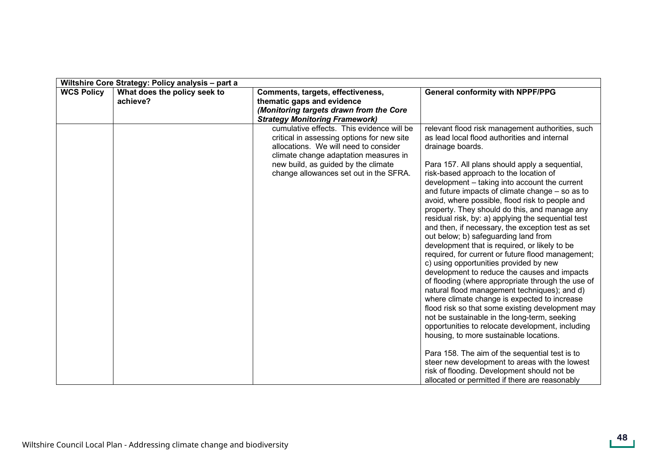|                   | Wiltshire Core Strategy: Policy analysis - part a |                                                                                                                                                                                                                                                            |                                                                                                                                                                                                                                                                                                                                                                                                                                                                                                                                                                                                                                                                                                                                                                                                                                                                                                                                                                                                                                                                                                                                                                                                                                                                                                                                          |  |  |
|-------------------|---------------------------------------------------|------------------------------------------------------------------------------------------------------------------------------------------------------------------------------------------------------------------------------------------------------------|------------------------------------------------------------------------------------------------------------------------------------------------------------------------------------------------------------------------------------------------------------------------------------------------------------------------------------------------------------------------------------------------------------------------------------------------------------------------------------------------------------------------------------------------------------------------------------------------------------------------------------------------------------------------------------------------------------------------------------------------------------------------------------------------------------------------------------------------------------------------------------------------------------------------------------------------------------------------------------------------------------------------------------------------------------------------------------------------------------------------------------------------------------------------------------------------------------------------------------------------------------------------------------------------------------------------------------------|--|--|
| <b>WCS Policy</b> | What does the policy seek to<br>achieve?          | Comments, targets, effectiveness,<br>thematic gaps and evidence<br>(Monitoring targets drawn from the Core<br><b>Strategy Monitoring Framework)</b>                                                                                                        | <b>General conformity with NPPF/PPG</b>                                                                                                                                                                                                                                                                                                                                                                                                                                                                                                                                                                                                                                                                                                                                                                                                                                                                                                                                                                                                                                                                                                                                                                                                                                                                                                  |  |  |
|                   |                                                   | cumulative effects. This evidence will be<br>critical in assessing options for new site<br>allocations. We will need to consider<br>climate change adaptation measures in<br>new build, as guided by the climate<br>change allowances set out in the SFRA. | relevant flood risk management authorities, such<br>as lead local flood authorities and internal<br>drainage boards.<br>Para 157. All plans should apply a sequential,<br>risk-based approach to the location of<br>development - taking into account the current<br>and future impacts of climate change – so as to<br>avoid, where possible, flood risk to people and<br>property. They should do this, and manage any<br>residual risk, by: a) applying the sequential test<br>and then, if necessary, the exception test as set<br>out below; b) safeguarding land from<br>development that is required, or likely to be<br>required, for current or future flood management;<br>c) using opportunities provided by new<br>development to reduce the causes and impacts<br>of flooding (where appropriate through the use of<br>natural flood management techniques); and d)<br>where climate change is expected to increase<br>flood risk so that some existing development may<br>not be sustainable in the long-term, seeking<br>opportunities to relocate development, including<br>housing, to more sustainable locations.<br>Para 158. The aim of the sequential test is to<br>steer new development to areas with the lowest<br>risk of flooding. Development should not be<br>allocated or permitted if there are reasonably |  |  |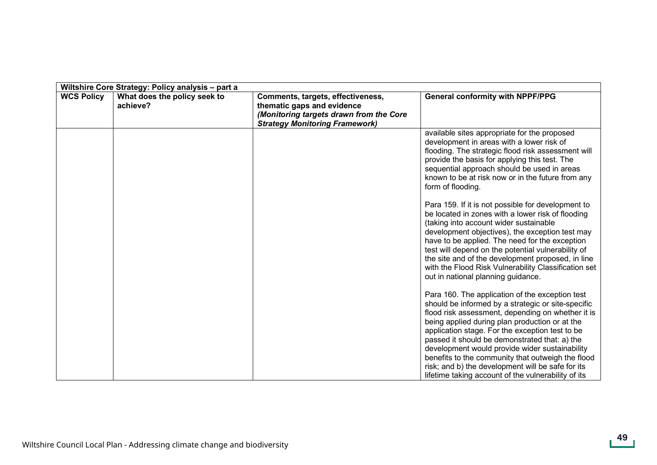|                   | Wiltshire Core Strategy: Policy analysis - part a |                                                                                                                                                     |                                                                                                                                                                                                                                                                                                                                                                                                                                                                                                                                     |  |
|-------------------|---------------------------------------------------|-----------------------------------------------------------------------------------------------------------------------------------------------------|-------------------------------------------------------------------------------------------------------------------------------------------------------------------------------------------------------------------------------------------------------------------------------------------------------------------------------------------------------------------------------------------------------------------------------------------------------------------------------------------------------------------------------------|--|
| <b>WCS Policy</b> | What does the policy seek to<br>achieve?          | Comments, targets, effectiveness,<br>thematic gaps and evidence<br>(Monitoring targets drawn from the Core<br><b>Strategy Monitoring Framework)</b> | <b>General conformity with NPPF/PPG</b>                                                                                                                                                                                                                                                                                                                                                                                                                                                                                             |  |
|                   |                                                   |                                                                                                                                                     | available sites appropriate for the proposed<br>development in areas with a lower risk of<br>flooding. The strategic flood risk assessment will<br>provide the basis for applying this test. The<br>sequential approach should be used in areas<br>known to be at risk now or in the future from any<br>form of flooding.                                                                                                                                                                                                           |  |
|                   |                                                   |                                                                                                                                                     | Para 159. If it is not possible for development to<br>be located in zones with a lower risk of flooding<br>(taking into account wider sustainable<br>development objectives), the exception test may<br>have to be applied. The need for the exception<br>test will depend on the potential vulnerability of<br>the site and of the development proposed, in line<br>with the Flood Risk Vulnerability Classification set<br>out in national planning guidance.                                                                     |  |
|                   |                                                   |                                                                                                                                                     | Para 160. The application of the exception test<br>should be informed by a strategic or site-specific<br>flood risk assessment, depending on whether it is<br>being applied during plan production or at the<br>application stage. For the exception test to be<br>passed it should be demonstrated that: a) the<br>development would provide wider sustainability<br>benefits to the community that outweigh the flood<br>risk; and b) the development will be safe for its<br>lifetime taking account of the vulnerability of its |  |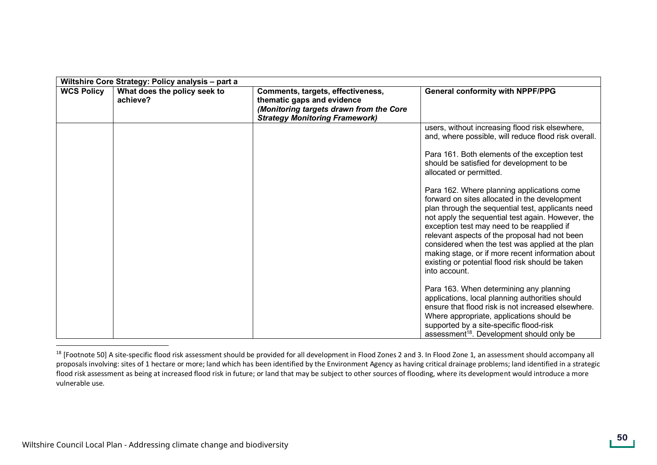| Wiltshire Core Strategy: Policy analysis - part a |                                          |                                                                                                                                                     |                                                                                                                                                                                                                                                                                                                                                                                                                                                                                    |
|---------------------------------------------------|------------------------------------------|-----------------------------------------------------------------------------------------------------------------------------------------------------|------------------------------------------------------------------------------------------------------------------------------------------------------------------------------------------------------------------------------------------------------------------------------------------------------------------------------------------------------------------------------------------------------------------------------------------------------------------------------------|
| <b>WCS Policy</b>                                 | What does the policy seek to<br>achieve? | Comments, targets, effectiveness,<br>thematic gaps and evidence<br>(Monitoring targets drawn from the Core<br><b>Strategy Monitoring Framework)</b> | <b>General conformity with NPPF/PPG</b>                                                                                                                                                                                                                                                                                                                                                                                                                                            |
|                                                   |                                          |                                                                                                                                                     | users, without increasing flood risk elsewhere,<br>and, where possible, will reduce flood risk overall.                                                                                                                                                                                                                                                                                                                                                                            |
|                                                   |                                          |                                                                                                                                                     | Para 161. Both elements of the exception test<br>should be satisfied for development to be<br>allocated or permitted.                                                                                                                                                                                                                                                                                                                                                              |
|                                                   |                                          |                                                                                                                                                     | Para 162. Where planning applications come<br>forward on sites allocated in the development<br>plan through the sequential test, applicants need<br>not apply the sequential test again. However, the<br>exception test may need to be reapplied if<br>relevant aspects of the proposal had not been<br>considered when the test was applied at the plan<br>making stage, or if more recent information about<br>existing or potential flood risk should be taken<br>into account. |
|                                                   |                                          |                                                                                                                                                     | Para 163. When determining any planning<br>applications, local planning authorities should<br>ensure that flood risk is not increased elsewhere.<br>Where appropriate, applications should be<br>supported by a site-specific flood-risk<br>assessment <sup>18</sup> . Development should only be                                                                                                                                                                                  |

<sup>&</sup>lt;sup>18</sup> [Footnote 50] A site-specific flood risk assessment should be provided for all development in Flood Zones 2 and 3. In Flood Zone 1, an assessment should accompany all proposals involving: sites of 1 hectare or more; land which has been identified by the Environment Agency as having critical drainage problems; land identified in a strategic flood risk assessment as being at increased flood risk in future; or land that may be subject to other sources of flooding, where its development would introduce a more vulnerable use.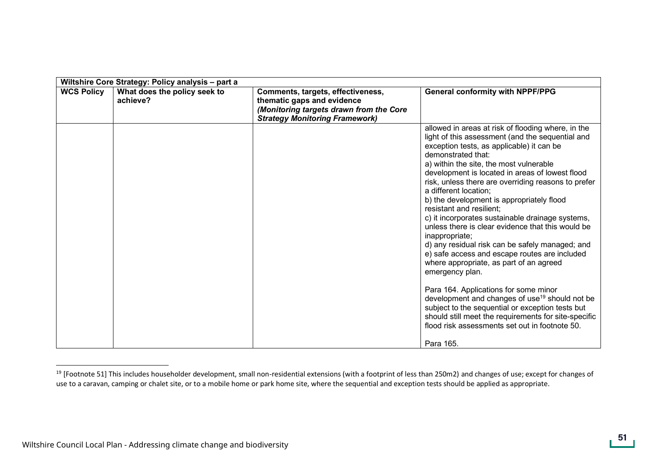| Wiltshire Core Strategy: Policy analysis - part a |                                          |                                                                                                                                                     |                                                                                                                                                                                                                                                                                                                                                                                                                                                                                                                                                                                                                                                                                                                                                                                                                                                                                                                                                                                                                 |
|---------------------------------------------------|------------------------------------------|-----------------------------------------------------------------------------------------------------------------------------------------------------|-----------------------------------------------------------------------------------------------------------------------------------------------------------------------------------------------------------------------------------------------------------------------------------------------------------------------------------------------------------------------------------------------------------------------------------------------------------------------------------------------------------------------------------------------------------------------------------------------------------------------------------------------------------------------------------------------------------------------------------------------------------------------------------------------------------------------------------------------------------------------------------------------------------------------------------------------------------------------------------------------------------------|
| <b>WCS Policy</b>                                 | What does the policy seek to<br>achieve? | Comments, targets, effectiveness,<br>thematic gaps and evidence<br>(Monitoring targets drawn from the Core<br><b>Strategy Monitoring Framework)</b> | <b>General conformity with NPPF/PPG</b>                                                                                                                                                                                                                                                                                                                                                                                                                                                                                                                                                                                                                                                                                                                                                                                                                                                                                                                                                                         |
|                                                   |                                          |                                                                                                                                                     | allowed in areas at risk of flooding where, in the<br>light of this assessment (and the sequential and<br>exception tests, as applicable) it can be<br>demonstrated that:<br>a) within the site, the most vulnerable<br>development is located in areas of lowest flood<br>risk, unless there are overriding reasons to prefer<br>a different location;<br>b) the development is appropriately flood<br>resistant and resilient;<br>c) it incorporates sustainable drainage systems,<br>unless there is clear evidence that this would be<br>inappropriate;<br>d) any residual risk can be safely managed; and<br>e) safe access and escape routes are included<br>where appropriate, as part of an agreed<br>emergency plan.<br>Para 164. Applications for some minor<br>development and changes of use <sup>19</sup> should not be<br>subject to the sequential or exception tests but<br>should still meet the requirements for site-specific<br>flood risk assessments set out in footnote 50.<br>Para 165. |

<sup>&</sup>lt;sup>19</sup> [Footnote 51] This includes householder development, small non-residential extensions (with a footprint of less than 250m2) and changes of use; except for changes of use to a caravan, camping or chalet site, or to a mobile home or park home site, where the sequential and exception tests should be applied as appropriate.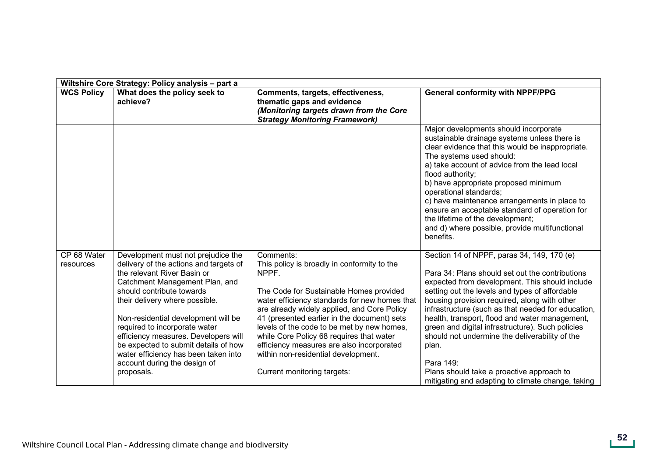| Wiltshire Core Strategy: Policy analysis - part a |                                                                                                                                                                                                                                                                                                                                                                                                                                                            |                                                                                                                                                                                                                                                                                                                                                                                                                                                                          |                                                                                                                                                                                                                                                                                                                                                                                                                                                                                                                                                                                         |
|---------------------------------------------------|------------------------------------------------------------------------------------------------------------------------------------------------------------------------------------------------------------------------------------------------------------------------------------------------------------------------------------------------------------------------------------------------------------------------------------------------------------|--------------------------------------------------------------------------------------------------------------------------------------------------------------------------------------------------------------------------------------------------------------------------------------------------------------------------------------------------------------------------------------------------------------------------------------------------------------------------|-----------------------------------------------------------------------------------------------------------------------------------------------------------------------------------------------------------------------------------------------------------------------------------------------------------------------------------------------------------------------------------------------------------------------------------------------------------------------------------------------------------------------------------------------------------------------------------------|
| <b>WCS Policy</b>                                 | What does the policy seek to<br>achieve?                                                                                                                                                                                                                                                                                                                                                                                                                   | Comments, targets, effectiveness,<br>thematic gaps and evidence<br>(Monitoring targets drawn from the Core<br><b>Strategy Monitoring Framework)</b>                                                                                                                                                                                                                                                                                                                      | <b>General conformity with NPPF/PPG</b>                                                                                                                                                                                                                                                                                                                                                                                                                                                                                                                                                 |
|                                                   |                                                                                                                                                                                                                                                                                                                                                                                                                                                            |                                                                                                                                                                                                                                                                                                                                                                                                                                                                          | Major developments should incorporate<br>sustainable drainage systems unless there is<br>clear evidence that this would be inappropriate.<br>The systems used should:<br>a) take account of advice from the lead local<br>flood authority;<br>b) have appropriate proposed minimum<br>operational standards;<br>c) have maintenance arrangements in place to<br>ensure an acceptable standard of operation for<br>the lifetime of the development;<br>and d) where possible, provide multifunctional<br>benefits.                                                                       |
| CP 68 Water<br>resources                          | Development must not prejudice the<br>delivery of the actions and targets of<br>the relevant River Basin or<br>Catchment Management Plan, and<br>should contribute towards<br>their delivery where possible.<br>Non-residential development will be<br>required to incorporate water<br>efficiency measures. Developers will<br>be expected to submit details of how<br>water efficiency has been taken into<br>account during the design of<br>proposals. | Comments:<br>This policy is broadly in conformity to the<br>NPPF.<br>The Code for Sustainable Homes provided<br>water efficiency standards for new homes that<br>are already widely applied, and Core Policy<br>41 (presented earlier in the document) sets<br>levels of the code to be met by new homes,<br>while Core Policy 68 requires that water<br>efficiency measures are also incorporated<br>within non-residential development.<br>Current monitoring targets: | Section 14 of NPPF, paras 34, 149, 170 (e)<br>Para 34: Plans should set out the contributions<br>expected from development. This should include<br>setting out the levels and types of affordable<br>housing provision required, along with other<br>infrastructure (such as that needed for education,<br>health, transport, flood and water management,<br>green and digital infrastructure). Such policies<br>should not undermine the deliverability of the<br>plan.<br>Para 149:<br>Plans should take a proactive approach to<br>mitigating and adapting to climate change, taking |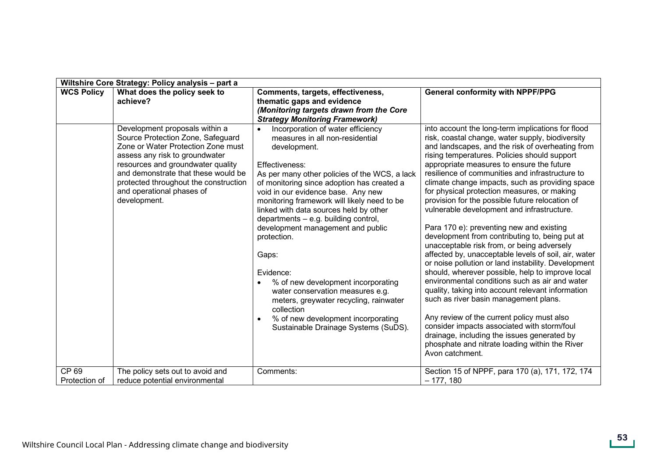|                        | Wiltshire Core Strategy: Policy analysis - part a                                                                                                                                                                                                                                                             |                                                                                                                                                                                                                                                                                                                                                                                                                                                                                                                                                                                                                                                                                     |                                                                                                                                                                                                                                                                                                                                                                                                                                                                                                                                                                                                                                                                                                                                                                                                                                                                                                                                                                                                                                                                                                                                                                                              |
|------------------------|---------------------------------------------------------------------------------------------------------------------------------------------------------------------------------------------------------------------------------------------------------------------------------------------------------------|-------------------------------------------------------------------------------------------------------------------------------------------------------------------------------------------------------------------------------------------------------------------------------------------------------------------------------------------------------------------------------------------------------------------------------------------------------------------------------------------------------------------------------------------------------------------------------------------------------------------------------------------------------------------------------------|----------------------------------------------------------------------------------------------------------------------------------------------------------------------------------------------------------------------------------------------------------------------------------------------------------------------------------------------------------------------------------------------------------------------------------------------------------------------------------------------------------------------------------------------------------------------------------------------------------------------------------------------------------------------------------------------------------------------------------------------------------------------------------------------------------------------------------------------------------------------------------------------------------------------------------------------------------------------------------------------------------------------------------------------------------------------------------------------------------------------------------------------------------------------------------------------|
| <b>WCS Policy</b>      | What does the policy seek to<br>achieve?                                                                                                                                                                                                                                                                      | Comments, targets, effectiveness,<br>thematic gaps and evidence<br>(Monitoring targets drawn from the Core<br><b>Strategy Monitoring Framework)</b>                                                                                                                                                                                                                                                                                                                                                                                                                                                                                                                                 | <b>General conformity with NPPF/PPG</b>                                                                                                                                                                                                                                                                                                                                                                                                                                                                                                                                                                                                                                                                                                                                                                                                                                                                                                                                                                                                                                                                                                                                                      |
|                        | Development proposals within a<br>Source Protection Zone, Safeguard<br>Zone or Water Protection Zone must<br>assess any risk to groundwater<br>resources and groundwater quality<br>and demonstrate that these would be<br>protected throughout the construction<br>and operational phases of<br>development. | Incorporation of water efficiency<br>$\bullet$<br>measures in all non-residential<br>development.<br>Effectiveness:<br>As per many other policies of the WCS, a lack<br>of monitoring since adoption has created a<br>void in our evidence base. Any new<br>monitoring framework will likely need to be<br>linked with data sources held by other<br>departments - e.g. building control,<br>development management and public<br>protection.<br>Gaps:<br>Evidence:<br>% of new development incorporating<br>water conservation measures e.g.<br>meters, greywater recycling, rainwater<br>collection<br>% of new development incorporating<br>Sustainable Drainage Systems (SuDS). | into account the long-term implications for flood<br>risk, coastal change, water supply, biodiversity<br>and landscapes, and the risk of overheating from<br>rising temperatures. Policies should support<br>appropriate measures to ensure the future<br>resilience of communities and infrastructure to<br>climate change impacts, such as providing space<br>for physical protection measures, or making<br>provision for the possible future relocation of<br>vulnerable development and infrastructure.<br>Para 170 e): preventing new and existing<br>development from contributing to, being put at<br>unacceptable risk from, or being adversely<br>affected by, unacceptable levels of soil, air, water<br>or noise pollution or land instability. Development<br>should, wherever possible, help to improve local<br>environmental conditions such as air and water<br>quality, taking into account relevant information<br>such as river basin management plans.<br>Any review of the current policy must also<br>consider impacts associated with storm/foul<br>drainage, including the issues generated by<br>phosphate and nitrate loading within the River<br>Avon catchment. |
| CP 69<br>Protection of | The policy sets out to avoid and<br>reduce potential environmental                                                                                                                                                                                                                                            | Comments:                                                                                                                                                                                                                                                                                                                                                                                                                                                                                                                                                                                                                                                                           | Section 15 of NPPF, para 170 (a), 171, 172, 174<br>$-177, 180$                                                                                                                                                                                                                                                                                                                                                                                                                                                                                                                                                                                                                                                                                                                                                                                                                                                                                                                                                                                                                                                                                                                               |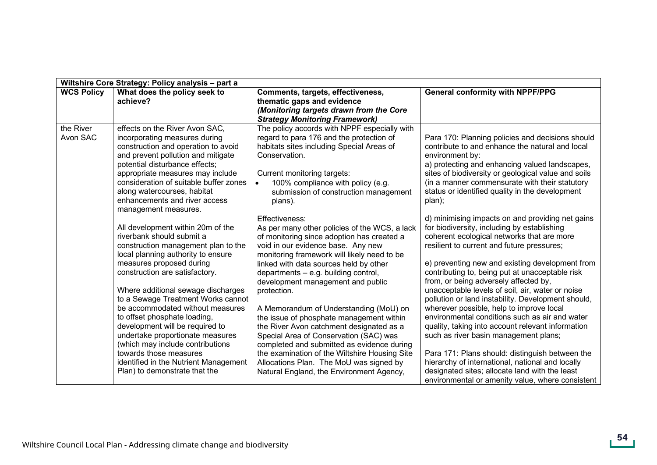| Wiltshire Core Strategy: Policy analysis - part a |                                                                                                                                                                                                                                                                                                                                                                                                                                                                                                                                                                          |                                                                                                                                                                                                                                                                                                                                                                                                                                                                                                                                                                                                                                                                                                            |                                                                                                                                                                                                                                                                                                                                                                                                                                                                                                                                                                                                                                                                                                                                                                                                                                                               |
|---------------------------------------------------|--------------------------------------------------------------------------------------------------------------------------------------------------------------------------------------------------------------------------------------------------------------------------------------------------------------------------------------------------------------------------------------------------------------------------------------------------------------------------------------------------------------------------------------------------------------------------|------------------------------------------------------------------------------------------------------------------------------------------------------------------------------------------------------------------------------------------------------------------------------------------------------------------------------------------------------------------------------------------------------------------------------------------------------------------------------------------------------------------------------------------------------------------------------------------------------------------------------------------------------------------------------------------------------------|---------------------------------------------------------------------------------------------------------------------------------------------------------------------------------------------------------------------------------------------------------------------------------------------------------------------------------------------------------------------------------------------------------------------------------------------------------------------------------------------------------------------------------------------------------------------------------------------------------------------------------------------------------------------------------------------------------------------------------------------------------------------------------------------------------------------------------------------------------------|
| <b>WCS Policy</b>                                 | What does the policy seek to<br>achieve?                                                                                                                                                                                                                                                                                                                                                                                                                                                                                                                                 | Comments, targets, effectiveness,<br>thematic gaps and evidence<br>(Monitoring targets drawn from the Core<br><b>Strategy Monitoring Framework)</b>                                                                                                                                                                                                                                                                                                                                                                                                                                                                                                                                                        | <b>General conformity with NPPF/PPG</b>                                                                                                                                                                                                                                                                                                                                                                                                                                                                                                                                                                                                                                                                                                                                                                                                                       |
| the River<br>Avon SAC                             | effects on the River Avon SAC.<br>incorporating measures during<br>construction and operation to avoid<br>and prevent pollution and mitigate<br>potential disturbance effects;<br>appropriate measures may include<br>consideration of suitable buffer zones<br>along watercourses, habitat<br>enhancements and river access<br>management measures.                                                                                                                                                                                                                     | The policy accords with NPPF especially with<br>regard to para 176 and the protection of<br>habitats sites including Special Areas of<br>Conservation.<br>Current monitoring targets:<br>100% compliance with policy (e.g.<br>submission of construction management<br>plans).                                                                                                                                                                                                                                                                                                                                                                                                                             | Para 170: Planning policies and decisions should<br>contribute to and enhance the natural and local<br>environment by:<br>a) protecting and enhancing valued landscapes,<br>sites of biodiversity or geological value and soils<br>(in a manner commensurate with their statutory<br>status or identified quality in the development<br>plan);                                                                                                                                                                                                                                                                                                                                                                                                                                                                                                                |
|                                                   | All development within 20m of the<br>riverbank should submit a<br>construction management plan to the<br>local planning authority to ensure<br>measures proposed during<br>construction are satisfactory.<br>Where additional sewage discharges<br>to a Sewage Treatment Works cannot<br>be accommodated without measures<br>to offset phosphate loading,<br>development will be required to<br>undertake proportionate measures<br>(which may include contributions<br>towards those measures<br>identified in the Nutrient Management<br>Plan) to demonstrate that the | Effectiveness:<br>As per many other policies of the WCS, a lack<br>of monitoring since adoption has created a<br>void in our evidence base. Any new<br>monitoring framework will likely need to be<br>linked with data sources held by other<br>departments - e.g. building control,<br>development management and public<br>protection.<br>A Memorandum of Understanding (MoU) on<br>the issue of phosphate management within<br>the River Avon catchment designated as a<br>Special Area of Conservation (SAC) was<br>completed and submitted as evidence during<br>the examination of the Wiltshire Housing Site<br>Allocations Plan. The MoU was signed by<br>Natural England, the Environment Agency, | d) minimising impacts on and providing net gains<br>for biodiversity, including by establishing<br>coherent ecological networks that are more<br>resilient to current and future pressures;<br>e) preventing new and existing development from<br>contributing to, being put at unacceptable risk<br>from, or being adversely affected by,<br>unacceptable levels of soil, air, water or noise<br>pollution or land instability. Development should,<br>wherever possible, help to improve local<br>environmental conditions such as air and water<br>quality, taking into account relevant information<br>such as river basin management plans;<br>Para 171: Plans should: distinguish between the<br>hierarchy of international, national and locally<br>designated sites; allocate land with the least<br>environmental or amenity value, where consistent |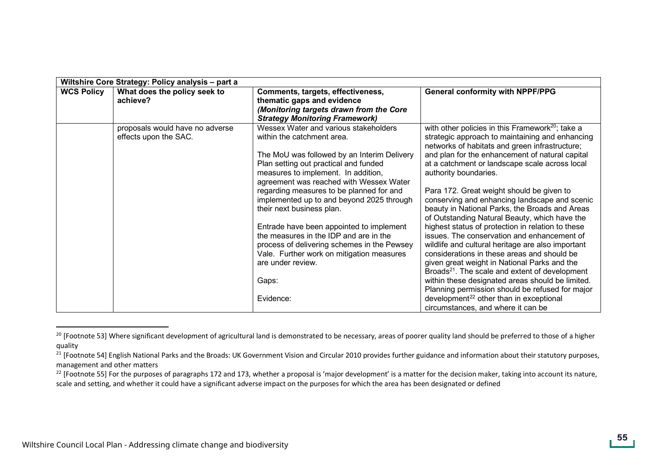| Wiltshire Core Strategy: Policy analysis - part a |                                                          |                                                                                                                                                                                                                                                                                                                                                                                                                                                                                                                                                                                                  |                                                                                                                                                                                                                                                                                                                                                                                                                                                                                                                                                                                                                                                                                                                                                                                                                                                                                                                                                                                                                            |
|---------------------------------------------------|----------------------------------------------------------|--------------------------------------------------------------------------------------------------------------------------------------------------------------------------------------------------------------------------------------------------------------------------------------------------------------------------------------------------------------------------------------------------------------------------------------------------------------------------------------------------------------------------------------------------------------------------------------------------|----------------------------------------------------------------------------------------------------------------------------------------------------------------------------------------------------------------------------------------------------------------------------------------------------------------------------------------------------------------------------------------------------------------------------------------------------------------------------------------------------------------------------------------------------------------------------------------------------------------------------------------------------------------------------------------------------------------------------------------------------------------------------------------------------------------------------------------------------------------------------------------------------------------------------------------------------------------------------------------------------------------------------|
| <b>WCS Policy</b>                                 | What does the policy seek to<br>achieve?                 | Comments, targets, effectiveness,<br>thematic gaps and evidence<br>(Monitoring targets drawn from the Core<br><b>Strategy Monitoring Framework)</b>                                                                                                                                                                                                                                                                                                                                                                                                                                              | <b>General conformity with NPPF/PPG</b>                                                                                                                                                                                                                                                                                                                                                                                                                                                                                                                                                                                                                                                                                                                                                                                                                                                                                                                                                                                    |
|                                                   | proposals would have no adverse<br>effects upon the SAC. | Wessex Water and various stakeholders<br>within the catchment area.<br>The MoU was followed by an Interim Delivery<br>Plan setting out practical and funded<br>measures to implement. In addition,<br>agreement was reached with Wessex Water<br>regarding measures to be planned for and<br>implemented up to and beyond 2025 through<br>their next business plan.<br>Entrade have been appointed to implement<br>the measures in the IDP and are in the<br>process of delivering schemes in the Pewsey<br>Vale. Further work on mitigation measures<br>are under review.<br>Gaps:<br>Evidence: | with other policies in this Framework <sup>20</sup> ; take a<br>strategic approach to maintaining and enhancing<br>networks of habitats and green infrastructure;<br>and plan for the enhancement of natural capital<br>at a catchment or landscape scale across local<br>authority boundaries.<br>Para 172. Great weight should be given to<br>conserving and enhancing landscape and scenic<br>beauty in National Parks, the Broads and Areas<br>of Outstanding Natural Beauty, which have the<br>highest status of protection in relation to these<br>issues. The conservation and enhancement of<br>wildlife and cultural heritage are also important<br>considerations in these areas and should be<br>given great weight in National Parks and the<br>Broads <sup>21</sup> . The scale and extent of development<br>within these designated areas should be limited.<br>Planning permission should be refused for major<br>development <sup>22</sup> other than in exceptional<br>circumstances, and where it can be |

<sup>&</sup>lt;sup>20</sup> [Footnote 53] Where significant development of agricultural land is demonstrated to be necessary, areas of poorer quality land should be preferred to those of a higher quality

<sup>&</sup>lt;sup>21</sup> [Footnote 54] English National Parks and the Broads: UK Government Vision and Circular 2010 provides further guidance and information about their statutory purposes, management and other matters

<sup>&</sup>lt;sup>22</sup> [Footnote 55] For the purposes of paragraphs 172 and 173, whether a proposal is 'major development' is a matter for the decision maker, taking into account its nature, scale and setting, and whether it could have a significant adverse impact on the purposes for which the area has been designated or defined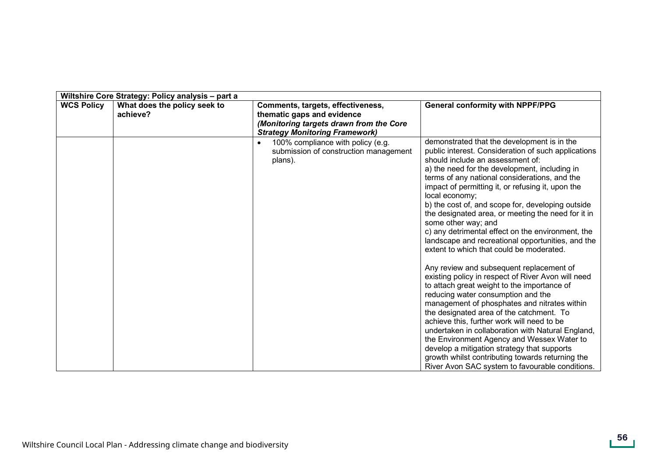| Wiltshire Core Strategy: Policy analysis - part a |                                          |                                                                                                                                                     |                                                                                                                                                                                                                                                                                                                                                                                                                                                                                                                                                                                                                                                                                                                                                                                                                                                                                                                                                                                                                                                                                                                                                                                                   |
|---------------------------------------------------|------------------------------------------|-----------------------------------------------------------------------------------------------------------------------------------------------------|---------------------------------------------------------------------------------------------------------------------------------------------------------------------------------------------------------------------------------------------------------------------------------------------------------------------------------------------------------------------------------------------------------------------------------------------------------------------------------------------------------------------------------------------------------------------------------------------------------------------------------------------------------------------------------------------------------------------------------------------------------------------------------------------------------------------------------------------------------------------------------------------------------------------------------------------------------------------------------------------------------------------------------------------------------------------------------------------------------------------------------------------------------------------------------------------------|
| <b>WCS Policy</b>                                 | What does the policy seek to<br>achieve? | Comments, targets, effectiveness,<br>thematic gaps and evidence<br>(Monitoring targets drawn from the Core<br><b>Strategy Monitoring Framework)</b> | <b>General conformity with NPPF/PPG</b>                                                                                                                                                                                                                                                                                                                                                                                                                                                                                                                                                                                                                                                                                                                                                                                                                                                                                                                                                                                                                                                                                                                                                           |
|                                                   |                                          | 100% compliance with policy (e.g.<br>submission of construction management<br>plans).                                                               | demonstrated that the development is in the<br>public interest. Consideration of such applications<br>should include an assessment of:<br>a) the need for the development, including in<br>terms of any national considerations, and the<br>impact of permitting it, or refusing it, upon the<br>local economy;<br>b) the cost of, and scope for, developing outside<br>the designated area, or meeting the need for it in<br>some other way; and<br>c) any detrimental effect on the environment, the<br>landscape and recreational opportunities, and the<br>extent to which that could be moderated.<br>Any review and subsequent replacement of<br>existing policy in respect of River Avon will need<br>to attach great weight to the importance of<br>reducing water consumption and the<br>management of phosphates and nitrates within<br>the designated area of the catchment. To<br>achieve this, further work will need to be<br>undertaken in collaboration with Natural England,<br>the Environment Agency and Wessex Water to<br>develop a mitigation strategy that supports<br>growth whilst contributing towards returning the<br>River Avon SAC system to favourable conditions. |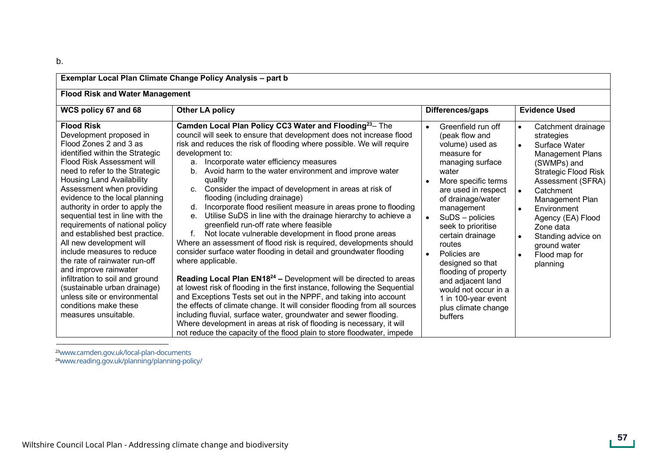| Exemplar Local Plan Climate Change Policy Analysis - part b                                                                                                                                                                                                                                                                                                                                                                                                                                                                                                                                                                                                                                      |                                                                                                                                                                                                                                                                                                                                                                                                                                                                                                                                                                                                                                                                                                                                                                                                                                                                                                                                                                                                                                                                                                                                                                                                                                                                                                                                                                                                                                  |                                                                                                                                                                                                                                                                                                                                                                                                                                                                      |                                                                                                                                                                                                                                                                                                                                                         |
|--------------------------------------------------------------------------------------------------------------------------------------------------------------------------------------------------------------------------------------------------------------------------------------------------------------------------------------------------------------------------------------------------------------------------------------------------------------------------------------------------------------------------------------------------------------------------------------------------------------------------------------------------------------------------------------------------|----------------------------------------------------------------------------------------------------------------------------------------------------------------------------------------------------------------------------------------------------------------------------------------------------------------------------------------------------------------------------------------------------------------------------------------------------------------------------------------------------------------------------------------------------------------------------------------------------------------------------------------------------------------------------------------------------------------------------------------------------------------------------------------------------------------------------------------------------------------------------------------------------------------------------------------------------------------------------------------------------------------------------------------------------------------------------------------------------------------------------------------------------------------------------------------------------------------------------------------------------------------------------------------------------------------------------------------------------------------------------------------------------------------------------------|----------------------------------------------------------------------------------------------------------------------------------------------------------------------------------------------------------------------------------------------------------------------------------------------------------------------------------------------------------------------------------------------------------------------------------------------------------------------|---------------------------------------------------------------------------------------------------------------------------------------------------------------------------------------------------------------------------------------------------------------------------------------------------------------------------------------------------------|
| <b>Flood Risk and Water Management</b>                                                                                                                                                                                                                                                                                                                                                                                                                                                                                                                                                                                                                                                           |                                                                                                                                                                                                                                                                                                                                                                                                                                                                                                                                                                                                                                                                                                                                                                                                                                                                                                                                                                                                                                                                                                                                                                                                                                                                                                                                                                                                                                  |                                                                                                                                                                                                                                                                                                                                                                                                                                                                      |                                                                                                                                                                                                                                                                                                                                                         |
| WCS policy 67 and 68                                                                                                                                                                                                                                                                                                                                                                                                                                                                                                                                                                                                                                                                             | <b>Other LA policy</b>                                                                                                                                                                                                                                                                                                                                                                                                                                                                                                                                                                                                                                                                                                                                                                                                                                                                                                                                                                                                                                                                                                                                                                                                                                                                                                                                                                                                           | Differences/gaps                                                                                                                                                                                                                                                                                                                                                                                                                                                     | <b>Evidence Used</b>                                                                                                                                                                                                                                                                                                                                    |
| <b>Flood Risk</b><br>Development proposed in<br>Flood Zones 2 and 3 as<br>identified within the Strategic<br>Flood Risk Assessment will<br>need to refer to the Strategic<br><b>Housing Land Availability</b><br>Assessment when providing<br>evidence to the local planning<br>authority in order to apply the<br>sequential test in line with the<br>requirements of national policy<br>and established best practice.<br>All new development will<br>include measures to reduce<br>the rate of rainwater run-off<br>and improve rainwater<br>infiltration to soil and ground<br>(sustainable urban drainage)<br>unless site or environmental<br>conditions make these<br>measures unsuitable. | Camden Local Plan Policy CC3 Water and Flooding <sup>23</sup> - The<br>council will seek to ensure that development does not increase flood<br>risk and reduces the risk of flooding where possible. We will require<br>development to:<br>a. Incorporate water efficiency measures<br>Avoid harm to the water environment and improve water<br>b.<br>quality<br>Consider the impact of development in areas at risk of<br>c.<br>flooding (including drainage)<br>Incorporate flood resilient measure in areas prone to flooding<br>d.<br>Utilise SuDS in line with the drainage hierarchy to achieve a<br>е.<br>greenfield run-off rate where feasible<br>f.<br>Not locate vulnerable development in flood prone areas<br>Where an assessment of flood risk is required, developments should<br>consider surface water flooding in detail and groundwater flooding<br>where applicable.<br>Reading Local Plan EN18 <sup>24</sup> - Development will be directed to areas<br>at lowest risk of flooding in the first instance, following the Sequential<br>and Exceptions Tests set out in the NPPF, and taking into account<br>the effects of climate change. It will consider flooding from all sources<br>including fluvial, surface water, groundwater and sewer flooding.<br>Where development in areas at risk of flooding is necessary, it will<br>not reduce the capacity of the flood plain to store floodwater, impede | Greenfield run off<br>$\bullet$<br>(peak flow and<br>volume) used as<br>measure for<br>managing surface<br>water<br>More specific terms<br>are used in respect<br>of drainage/water<br>management<br>SuDS - policies<br>$\bullet$<br>seek to prioritise<br>certain drainage<br>routes<br>Policies are<br>$\bullet$<br>designed so that<br>flooding of property<br>and adjacent land<br>would not occur in a<br>1 in 100-year event<br>plus climate change<br>buffers | Catchment drainage<br>$\bullet$<br>strategies<br>Surface Water<br><b>Management Plans</b><br>(SWMPs) and<br><b>Strategic Flood Risk</b><br>Assessment (SFRA)<br>Catchment<br>Management Plan<br>Environment<br>$\bullet$<br>Agency (EA) Flood<br>Zone data<br>Standing advice on<br>$\bullet$<br>ground water<br>Flood map for<br>$\bullet$<br>planning |

<sup>23</sup>www.camden.gov.uk/local-plan-documents <sup>24</sup>www.reading.gov.uk/planning/planning-policy/ 23www.camden.gov.uk/local-plan-documents [24www.reading.gov.uk/planning/planning-policy/](www.reading.gov.uk/planning/planning-policy/
)

b.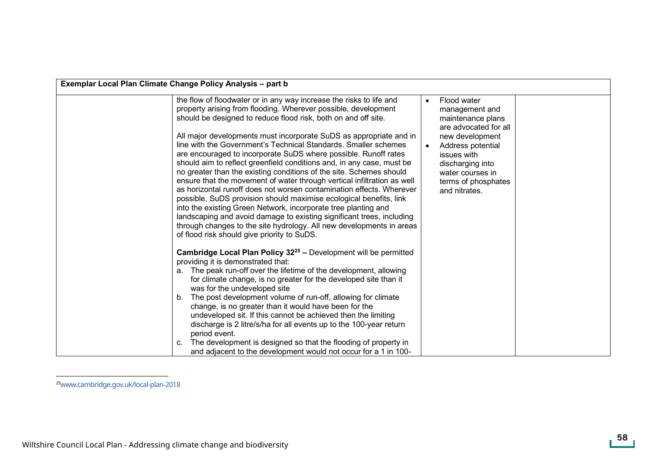| Exemplar Local Plan Climate Change Policy Analysis - part b                                                                                                                                                                                                                                                                                                                                                                                                                                                                                                                                                                                                                                                                                                                                                                                                                                                                                                                                                                                                                                                                                                                                                                                                                                                                                                                                                                                                                                                                                                                                                                                                                                                                                                                                 |                                                                                                                                                                                                                                              |  |
|---------------------------------------------------------------------------------------------------------------------------------------------------------------------------------------------------------------------------------------------------------------------------------------------------------------------------------------------------------------------------------------------------------------------------------------------------------------------------------------------------------------------------------------------------------------------------------------------------------------------------------------------------------------------------------------------------------------------------------------------------------------------------------------------------------------------------------------------------------------------------------------------------------------------------------------------------------------------------------------------------------------------------------------------------------------------------------------------------------------------------------------------------------------------------------------------------------------------------------------------------------------------------------------------------------------------------------------------------------------------------------------------------------------------------------------------------------------------------------------------------------------------------------------------------------------------------------------------------------------------------------------------------------------------------------------------------------------------------------------------------------------------------------------------|----------------------------------------------------------------------------------------------------------------------------------------------------------------------------------------------------------------------------------------------|--|
| the flow of floodwater or in any way increase the risks to life and<br>property arising from flooding. Wherever possible, development<br>should be designed to reduce flood risk, both on and off site.<br>All major developments must incorporate SuDS as appropriate and in<br>line with the Government's Technical Standards. Smaller schemes<br>are encouraged to incorporate SuDS where possible. Runoff rates<br>should aim to reflect greenfield conditions and, in any case, must be<br>no greater than the existing conditions of the site. Schemes should<br>ensure that the movement of water through vertical infiltration as well<br>as horizontal runoff does not worsen contamination effects. Wherever<br>possible, SuDS provision should maximise ecological benefits, link<br>into the existing Green Network, incorporate tree planting and<br>landscaping and avoid damage to existing significant trees, including<br>through changes to the site hydrology. All new developments in areas<br>of flood risk should give priority to SuDS.<br>Cambridge Local Plan Policy 32 <sup>25</sup> - Development will be permitted<br>providing it is demonstrated that:<br>a. The peak run-off over the lifetime of the development, allowing<br>for climate change, is no greater for the developed site than it<br>was for the undeveloped site<br>The post development volume of run-off, allowing for climate<br>change, is no greater than it would have been for the<br>undeveloped sit. If this cannot be achieved then the limiting<br>discharge is 2 litre/s/ha for all events up to the 100-year return<br>period event.<br>The development is designed so that the flooding of property in<br>c.<br>and adjacent to the development would not occur for a 1 in 100- | Flood water<br>$\bullet$<br>management and<br>maintenance plans<br>are advocated for all<br>new development<br>Address potential<br>$\bullet$<br>issues with<br>discharging into<br>water courses in<br>terms of phosphates<br>and nitrates. |  |

<sup>&</sup>lt;sup>[25](www.reading.gov.uk/planning/planning-policy/
)</sup>www.cambridge.gov.uk/local-plan-2018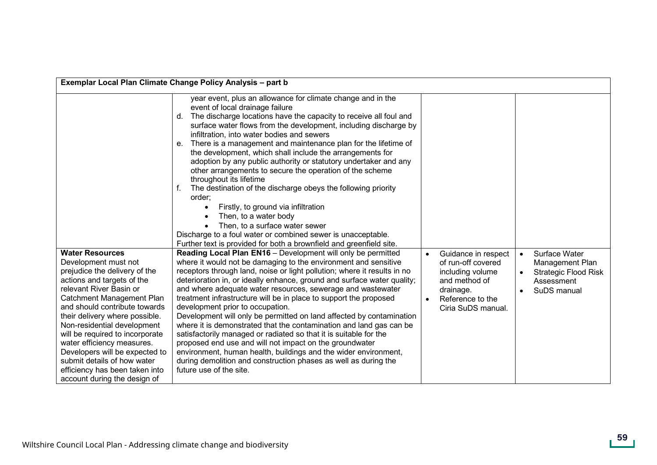|                                                                                                                                                                                                                                                                                                                                                                                                                                                                             | Exemplar Local Plan Climate Change Policy Analysis - part b                                                                                                                                                                                                                                                                                                                                                                                                                                                                                                                                                                                                                                                                                                                                                                                                                                                               |                                                                                                                                                    |                                                                                              |
|-----------------------------------------------------------------------------------------------------------------------------------------------------------------------------------------------------------------------------------------------------------------------------------------------------------------------------------------------------------------------------------------------------------------------------------------------------------------------------|---------------------------------------------------------------------------------------------------------------------------------------------------------------------------------------------------------------------------------------------------------------------------------------------------------------------------------------------------------------------------------------------------------------------------------------------------------------------------------------------------------------------------------------------------------------------------------------------------------------------------------------------------------------------------------------------------------------------------------------------------------------------------------------------------------------------------------------------------------------------------------------------------------------------------|----------------------------------------------------------------------------------------------------------------------------------------------------|----------------------------------------------------------------------------------------------|
|                                                                                                                                                                                                                                                                                                                                                                                                                                                                             | year event, plus an allowance for climate change and in the<br>event of local drainage failure<br>The discharge locations have the capacity to receive all foul and<br>d.<br>surface water flows from the development, including discharge by<br>infiltration, into water bodies and sewers<br>e. There is a management and maintenance plan for the lifetime of<br>the development, which shall include the arrangements for<br>adoption by any public authority or statutory undertaker and any<br>other arrangements to secure the operation of the scheme<br>throughout its lifetime<br>The destination of the discharge obeys the following priority<br>order:<br>Firstly, to ground via infiltration<br>$\bullet$<br>Then, to a water body<br>Then, to a surface water sewer<br>Discharge to a foul water or combined sewer is unacceptable.<br>Further text is provided for both a brownfield and greenfield site. |                                                                                                                                                    |                                                                                              |
| <b>Water Resources</b><br>Development must not<br>prejudice the delivery of the<br>actions and targets of the<br>relevant River Basin or<br>Catchment Management Plan<br>and should contribute towards<br>their delivery where possible.<br>Non-residential development<br>will be required to incorporate<br>water efficiency measures.<br>Developers will be expected to<br>submit details of how water<br>efficiency has been taken into<br>account during the design of | Reading Local Plan EN16 - Development will only be permitted<br>where it would not be damaging to the environment and sensitive<br>receptors through land, noise or light pollution; where it results in no<br>deterioration in, or ideally enhance, ground and surface water quality;<br>and where adequate water resources, sewerage and wastewater<br>treatment infrastructure will be in place to support the proposed<br>development prior to occupation.<br>Development will only be permitted on land affected by contamination<br>where it is demonstrated that the contamination and land gas can be<br>satisfactorily managed or radiated so that it is suitable for the<br>proposed end use and will not impact on the groundwater<br>environment, human health, buildings and the wider environment,<br>during demolition and construction phases as well as during the<br>future use of the site.            | Guidance in respect<br>$\bullet$<br>of run-off covered<br>including volume<br>and method of<br>drainage.<br>Reference to the<br>Ciria SuDS manual. | Surface Water<br>Management Plan<br><b>Strategic Flood Risk</b><br>Assessment<br>SuDS manual |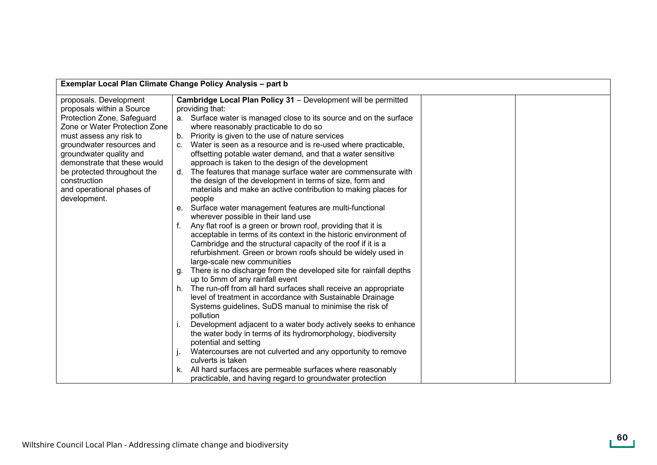| Exemplar Local Plan Climate Change Policy Analysis - part b |                                                                         |  |
|-------------------------------------------------------------|-------------------------------------------------------------------------|--|
| proposals. Development                                      | Cambridge Local Plan Policy 31 - Development will be permitted          |  |
| proposals within a Source                                   | providing that:                                                         |  |
| Protection Zone, Safeguard                                  | a. Surface water is managed close to its source and on the surface      |  |
| Zone or Water Protection Zone                               | where reasonably practicable to do so                                   |  |
| must assess any risk to                                     | b. Priority is given to the use of nature services                      |  |
| groundwater resources and                                   | Water is seen as a resource and is re-used where practicable,           |  |
| groundwater quality and                                     | offsetting potable water demand, and that a water sensitive             |  |
| demonstrate that these would                                | approach is taken to the design of the development                      |  |
| be protected throughout the                                 | d. The features that manage surface water are commensurate with         |  |
| construction                                                | the design of the development in terms of size, form and                |  |
| and operational phases of                                   | materials and make an active contribution to making places for          |  |
| development.                                                | people                                                                  |  |
|                                                             | Surface water management features are multi-functional<br>e.            |  |
|                                                             | wherever possible in their land use                                     |  |
|                                                             | Any flat roof is a green or brown roof, providing that it is            |  |
|                                                             | acceptable in terms of its context in the historic environment of       |  |
|                                                             | Cambridge and the structural capacity of the roof if it is a            |  |
|                                                             | refurbishment. Green or brown roofs should be widely used in            |  |
|                                                             | large-scale new communities                                             |  |
|                                                             | There is no discharge from the developed site for rainfall depths<br>q. |  |
|                                                             | up to 5mm of any rainfall event                                         |  |
|                                                             | The run-off from all hard surfaces shall receive an appropriate         |  |
|                                                             | level of treatment in accordance with Sustainable Drainage              |  |
|                                                             | Systems guidelines, SuDS manual to minimise the risk of                 |  |
|                                                             | pollution                                                               |  |
|                                                             | Development adjacent to a water body actively seeks to enhance          |  |
|                                                             | the water body in terms of its hydromorphology, biodiversity            |  |
|                                                             | potential and setting                                                   |  |
|                                                             | Watercourses are not culverted and any opportunity to remove            |  |
|                                                             | culverts is taken                                                       |  |
|                                                             | All hard surfaces are permeable surfaces where reasonably               |  |
|                                                             | practicable, and having regard to groundwater protection                |  |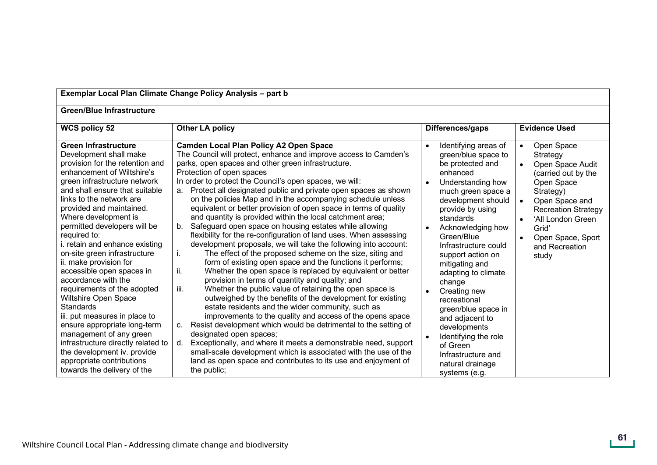| Exemplar Local Plan Climate Change Policy Analysis - part b                                                                                                                                                                                                                                                                                                                                                                                                                                                                                                                                                                                                                                                                                                                      |                                                                                                                                                                                                                                                                                                                                                                                                                                                                                                                                                                                                                                                                                                                                                                                                                                                                                                                                                                                                                                                                                                                                                                                                                                                                                                                                                                                                                                                                                                                                                                                        |                                                                                                                                                                                                                                                                                                                                                                                                                                                                                                                                     |                                                                                                                                                                                                                                         |
|----------------------------------------------------------------------------------------------------------------------------------------------------------------------------------------------------------------------------------------------------------------------------------------------------------------------------------------------------------------------------------------------------------------------------------------------------------------------------------------------------------------------------------------------------------------------------------------------------------------------------------------------------------------------------------------------------------------------------------------------------------------------------------|----------------------------------------------------------------------------------------------------------------------------------------------------------------------------------------------------------------------------------------------------------------------------------------------------------------------------------------------------------------------------------------------------------------------------------------------------------------------------------------------------------------------------------------------------------------------------------------------------------------------------------------------------------------------------------------------------------------------------------------------------------------------------------------------------------------------------------------------------------------------------------------------------------------------------------------------------------------------------------------------------------------------------------------------------------------------------------------------------------------------------------------------------------------------------------------------------------------------------------------------------------------------------------------------------------------------------------------------------------------------------------------------------------------------------------------------------------------------------------------------------------------------------------------------------------------------------------------|-------------------------------------------------------------------------------------------------------------------------------------------------------------------------------------------------------------------------------------------------------------------------------------------------------------------------------------------------------------------------------------------------------------------------------------------------------------------------------------------------------------------------------------|-----------------------------------------------------------------------------------------------------------------------------------------------------------------------------------------------------------------------------------------|
| <b>Green/Blue Infrastructure</b>                                                                                                                                                                                                                                                                                                                                                                                                                                                                                                                                                                                                                                                                                                                                                 |                                                                                                                                                                                                                                                                                                                                                                                                                                                                                                                                                                                                                                                                                                                                                                                                                                                                                                                                                                                                                                                                                                                                                                                                                                                                                                                                                                                                                                                                                                                                                                                        |                                                                                                                                                                                                                                                                                                                                                                                                                                                                                                                                     |                                                                                                                                                                                                                                         |
| <b>WCS policy 52</b>                                                                                                                                                                                                                                                                                                                                                                                                                                                                                                                                                                                                                                                                                                                                                             | <b>Other LA policy</b>                                                                                                                                                                                                                                                                                                                                                                                                                                                                                                                                                                                                                                                                                                                                                                                                                                                                                                                                                                                                                                                                                                                                                                                                                                                                                                                                                                                                                                                                                                                                                                 | Differences/gaps                                                                                                                                                                                                                                                                                                                                                                                                                                                                                                                    | <b>Evidence Used</b>                                                                                                                                                                                                                    |
| <b>Green Infrastructure</b><br>Development shall make<br>provision for the retention and<br>enhancement of Wiltshire's<br>green infrastructure network<br>and shall ensure that suitable<br>links to the network are<br>provided and maintained.<br>Where development is<br>permitted developers will be<br>required to:<br>i. retain and enhance existing<br>on-site green infrastructure<br>ii. make provision for<br>accessible open spaces in<br>accordance with the<br>requirements of the adopted<br>Wiltshire Open Space<br><b>Standards</b><br>iii. put measures in place to<br>ensure appropriate long-term<br>management of any green<br>infrastructure directly related to<br>the development iv. provide<br>appropriate contributions<br>towards the delivery of the | Camden Local Plan Policy A2 Open Space<br>The Council will protect, enhance and improve access to Camden's<br>parks, open spaces and other green infrastructure.<br>Protection of open spaces<br>In order to protect the Council's open spaces, we will:<br>a. Protect all designated public and private open spaces as shown<br>on the policies Map and in the accompanying schedule unless<br>equivalent or better provision of open space in terms of quality<br>and quantity is provided within the local catchment area;<br>Safeguard open space on housing estates while allowing<br>b.<br>flexibility for the re-configuration of land uses. When assessing<br>development proposals, we will take the following into account:<br>The effect of the proposed scheme on the size, siting and<br>L.<br>form of existing open space and the functions it performs;<br>Whether the open space is replaced by equivalent or better<br>ii.<br>provision in terms of quantity and quality; and<br>Whether the public value of retaining the open space is<br>iii.<br>outweighed by the benefits of the development for existing<br>estate residents and the wider community, such as<br>improvements to the quality and access of the opens space<br>Resist development which would be detrimental to the setting of<br>$C_{1}$<br>designated open spaces;<br>Exceptionally, and where it meets a demonstrable need, support<br>d.<br>small-scale development which is associated with the use of the<br>land as open space and contributes to its use and enjoyment of<br>the public; | Identifying areas of<br>$\bullet$<br>green/blue space to<br>be protected and<br>enhanced<br>Understanding how<br>much green space a<br>development should<br>provide by using<br>standards<br>Acknowledging how<br>Green/Blue<br>Infrastructure could<br>support action on<br>mitigating and<br>adapting to climate<br>change<br>Creating new<br>recreational<br>green/blue space in<br>and adjacent to<br>developments<br>Identifying the role<br>$\bullet$<br>of Green<br>Infrastructure and<br>natural drainage<br>systems (e.g. | Open Space<br>$\bullet$<br>Strategy<br>Open Space Audit<br>(carried out by the<br>Open Space<br>Strategy)<br>Open Space and<br><b>Recreation Strategy</b><br>'All London Green<br>Grid'<br>Open Space, Sport<br>and Recreation<br>study |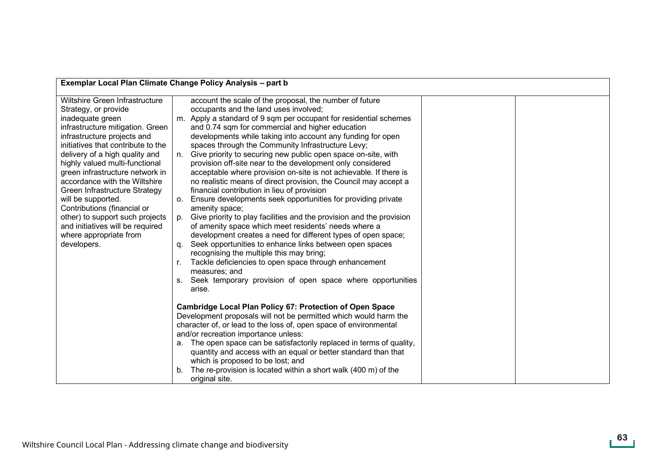| Exemplar Local Plan Climate Change Policy Analysis - part b                                                                                                                                                                                                                                                                                                                                                                                                                                                                       |                                                                                                                                                                                                                                                                                                                                                                                                                                                                                                                                                                                                                                                                                                                                                                                                                                                                                                                                                                                                                                                                                                                                                                                                                                                                                                                                                                                                                                                                                                                                                                                                                                                                                                                                                                           |  |
|-----------------------------------------------------------------------------------------------------------------------------------------------------------------------------------------------------------------------------------------------------------------------------------------------------------------------------------------------------------------------------------------------------------------------------------------------------------------------------------------------------------------------------------|---------------------------------------------------------------------------------------------------------------------------------------------------------------------------------------------------------------------------------------------------------------------------------------------------------------------------------------------------------------------------------------------------------------------------------------------------------------------------------------------------------------------------------------------------------------------------------------------------------------------------------------------------------------------------------------------------------------------------------------------------------------------------------------------------------------------------------------------------------------------------------------------------------------------------------------------------------------------------------------------------------------------------------------------------------------------------------------------------------------------------------------------------------------------------------------------------------------------------------------------------------------------------------------------------------------------------------------------------------------------------------------------------------------------------------------------------------------------------------------------------------------------------------------------------------------------------------------------------------------------------------------------------------------------------------------------------------------------------------------------------------------------------|--|
| Wiltshire Green Infrastructure<br>Strategy, or provide<br>inadequate green<br>infrastructure mitigation. Green<br>infrastructure projects and<br>initiatives that contribute to the<br>delivery of a high quality and<br>highly valued multi-functional<br>green infrastructure network in<br>accordance with the Wiltshire<br>Green Infrastructure Strategy<br>will be supported.<br>Contributions (financial or<br>other) to support such projects<br>and initiatives will be required<br>where appropriate from<br>developers. | account the scale of the proposal, the number of future<br>occupants and the land uses involved;<br>m. Apply a standard of 9 sqm per occupant for residential schemes<br>and 0.74 sqm for commercial and higher education<br>developments while taking into account any funding for open<br>spaces through the Community Infrastructure Levy;<br>n. Give priority to securing new public open space on-site, with<br>provision off-site near to the development only considered<br>acceptable where provision on-site is not achievable. If there is<br>no realistic means of direct provision, the Council may accept a<br>financial contribution in lieu of provision<br>Ensure developments seek opportunities for providing private<br>О.<br>amenity space;<br>Give priority to play facilities and the provision and the provision<br>p.<br>of amenity space which meet residents' needs where a<br>development creates a need for different types of open space;<br>Seek opportunities to enhance links between open spaces<br>α.<br>recognising the multiple this may bring;<br>Tackle deficiencies to open space through enhancement<br>r.<br>measures; and<br>Seek temporary provision of open space where opportunities<br>S.<br>arise.<br><b>Cambridge Local Plan Policy 67: Protection of Open Space</b><br>Development proposals will not be permitted which would harm the<br>character of, or lead to the loss of, open space of environmental<br>and/or recreation importance unless:<br>a. The open space can be satisfactorily replaced in terms of quality,<br>quantity and access with an equal or better standard than that<br>which is proposed to be lost; and<br>The re-provision is located within a short walk (400 m) of the<br>original site. |  |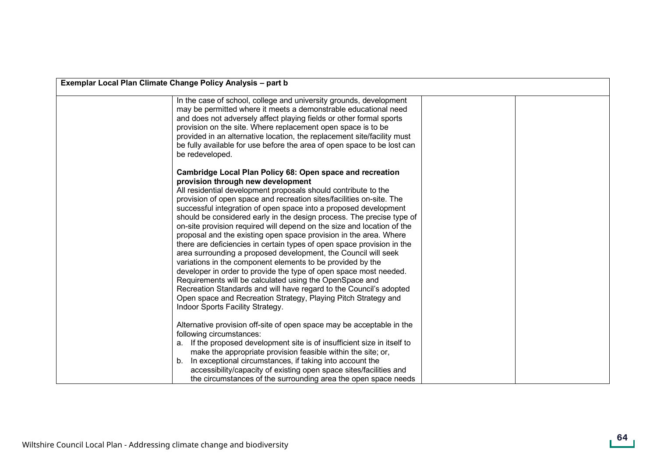| Exemplar Local Plan Climate Change Policy Analysis - part b                                                                                                                                                                                                                                                                                                                                                                                                                                                                                                                                                                                                                                                                                                                                                                                                                                                                                                                                                                                                |  |  |
|------------------------------------------------------------------------------------------------------------------------------------------------------------------------------------------------------------------------------------------------------------------------------------------------------------------------------------------------------------------------------------------------------------------------------------------------------------------------------------------------------------------------------------------------------------------------------------------------------------------------------------------------------------------------------------------------------------------------------------------------------------------------------------------------------------------------------------------------------------------------------------------------------------------------------------------------------------------------------------------------------------------------------------------------------------|--|--|
| In the case of school, college and university grounds, development<br>may be permitted where it meets a demonstrable educational need<br>and does not adversely affect playing fields or other formal sports<br>provision on the site. Where replacement open space is to be<br>provided in an alternative location, the replacement site/facility must<br>be fully available for use before the area of open space to be lost can<br>be redeveloped.                                                                                                                                                                                                                                                                                                                                                                                                                                                                                                                                                                                                      |  |  |
| Cambridge Local Plan Policy 68: Open space and recreation<br>provision through new development<br>All residential development proposals should contribute to the<br>provision of open space and recreation sites/facilities on-site. The<br>successful integration of open space into a proposed development<br>should be considered early in the design process. The precise type of<br>on-site provision required will depend on the size and location of the<br>proposal and the existing open space provision in the area. Where<br>there are deficiencies in certain types of open space provision in the<br>area surrounding a proposed development, the Council will seek<br>variations in the component elements to be provided by the<br>developer in order to provide the type of open space most needed.<br>Requirements will be calculated using the OpenSpace and<br>Recreation Standards and will have regard to the Council's adopted<br>Open space and Recreation Strategy, Playing Pitch Strategy and<br>Indoor Sports Facility Strategy. |  |  |
| Alternative provision off-site of open space may be acceptable in the<br>following circumstances:<br>a. If the proposed development site is of insufficient size in itself to<br>make the appropriate provision feasible within the site; or,<br>In exceptional circumstances, if taking into account the<br>b.<br>accessibility/capacity of existing open space sites/facilities and<br>the circumstances of the surrounding area the open space needs                                                                                                                                                                                                                                                                                                                                                                                                                                                                                                                                                                                                    |  |  |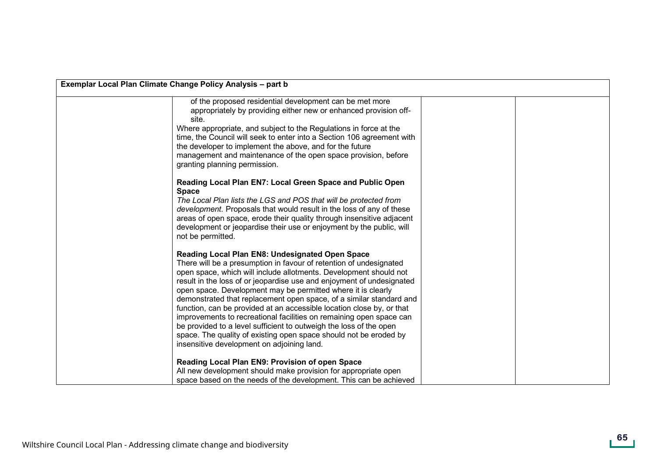| Exemplar Local Plan Climate Change Policy Analysis - part b |                                                                                                                                                                                                                                                                                                                                                                                                                                                                                                                                                                                                                                                                                                                                                     |  |
|-------------------------------------------------------------|-----------------------------------------------------------------------------------------------------------------------------------------------------------------------------------------------------------------------------------------------------------------------------------------------------------------------------------------------------------------------------------------------------------------------------------------------------------------------------------------------------------------------------------------------------------------------------------------------------------------------------------------------------------------------------------------------------------------------------------------------------|--|
|                                                             | of the proposed residential development can be met more<br>appropriately by providing either new or enhanced provision off-<br>site.<br>Where appropriate, and subject to the Regulations in force at the<br>time, the Council will seek to enter into a Section 106 agreement with<br>the developer to implement the above, and for the future<br>management and maintenance of the open space provision, before<br>granting planning permission.                                                                                                                                                                                                                                                                                                  |  |
|                                                             | Reading Local Plan EN7: Local Green Space and Public Open<br><b>Space</b><br>The Local Plan lists the LGS and POS that will be protected from<br>development. Proposals that would result in the loss of any of these<br>areas of open space, erode their quality through insensitive adjacent<br>development or jeopardise their use or enjoyment by the public, will<br>not be permitted.                                                                                                                                                                                                                                                                                                                                                         |  |
|                                                             | Reading Local Plan EN8: Undesignated Open Space<br>There will be a presumption in favour of retention of undesignated<br>open space, which will include allotments. Development should not<br>result in the loss of or jeopardise use and enjoyment of undesignated<br>open space. Development may be permitted where it is clearly<br>demonstrated that replacement open space, of a similar standard and<br>function, can be provided at an accessible location close by, or that<br>improvements to recreational facilities on remaining open space can<br>be provided to a level sufficient to outweigh the loss of the open<br>space. The quality of existing open space should not be eroded by<br>insensitive development on adjoining land. |  |
|                                                             | Reading Local Plan EN9: Provision of open Space<br>All new development should make provision for appropriate open<br>space based on the needs of the development. This can be achieved                                                                                                                                                                                                                                                                                                                                                                                                                                                                                                                                                              |  |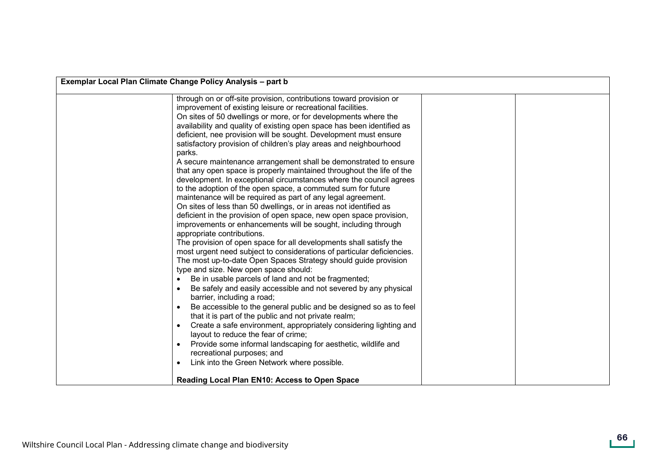| through on or off-site provision, contributions toward provision or<br>improvement of existing leisure or recreational facilities.<br>On sites of 50 dwellings or more, or for developments where the<br>availability and quality of existing open space has been identified as<br>deficient, nee provision will be sought. Development must ensure<br>satisfactory provision of children's play areas and neighbourhood<br>parks.<br>A secure maintenance arrangement shall be demonstrated to ensure<br>that any open space is properly maintained throughout the life of the<br>development. In exceptional circumstances where the council agrees<br>to the adoption of the open space, a commuted sum for future<br>maintenance will be required as part of any legal agreement.<br>On sites of less than 50 dwellings, or in areas not identified as<br>deficient in the provision of open space, new open space provision,<br>improvements or enhancements will be sought, including through<br>appropriate contributions.<br>The provision of open space for all developments shall satisfy the<br>most urgent need subject to considerations of particular deficiencies.<br>The most up-to-date Open Spaces Strategy should guide provision<br>type and size. New open space should:<br>Be in usable parcels of land and not be fragmented;<br>$\bullet$<br>Be safely and easily accessible and not severed by any physical<br>$\bullet$<br>barrier, including a road;<br>Be accessible to the general public and be designed so as to feel<br>$\bullet$<br>that it is part of the public and not private realm;<br>Create a safe environment, appropriately considering lighting and<br>$\bullet$<br>layout to reduce the fear of crime;<br>Provide some informal landscaping for aesthetic, wildlife and<br>$\bullet$<br>recreational purposes; and<br>Link into the Green Network where possible.<br>$\bullet$ | Exemplar Local Plan Climate Change Policy Analysis - part b |  |  |
|----------------------------------------------------------------------------------------------------------------------------------------------------------------------------------------------------------------------------------------------------------------------------------------------------------------------------------------------------------------------------------------------------------------------------------------------------------------------------------------------------------------------------------------------------------------------------------------------------------------------------------------------------------------------------------------------------------------------------------------------------------------------------------------------------------------------------------------------------------------------------------------------------------------------------------------------------------------------------------------------------------------------------------------------------------------------------------------------------------------------------------------------------------------------------------------------------------------------------------------------------------------------------------------------------------------------------------------------------------------------------------------------------------------------------------------------------------------------------------------------------------------------------------------------------------------------------------------------------------------------------------------------------------------------------------------------------------------------------------------------------------------------------------------------------------------------------------------------------------------------------------------------------------------------------|-------------------------------------------------------------|--|--|
|                                                                                                                                                                                                                                                                                                                                                                                                                                                                                                                                                                                                                                                                                                                                                                                                                                                                                                                                                                                                                                                                                                                                                                                                                                                                                                                                                                                                                                                                                                                                                                                                                                                                                                                                                                                                                                                                                                                            | <b>Reading Local Plan EN10: Access to Open Space</b>        |  |  |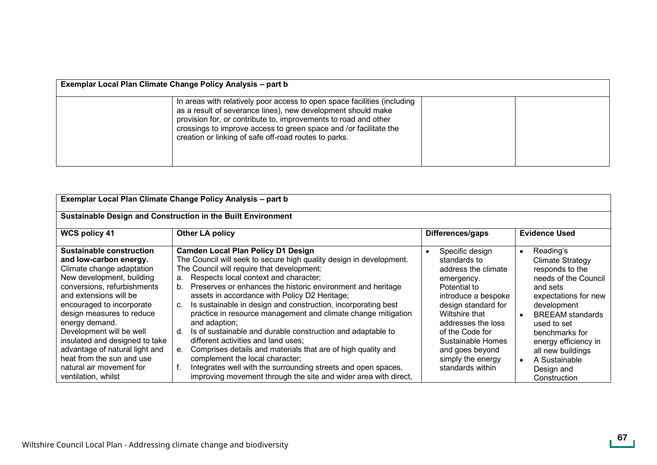| Exemplar Local Plan Climate Change Policy Analysis - part b |                                                                                                                                                                                                                                                                                                                                           |  |  |
|-------------------------------------------------------------|-------------------------------------------------------------------------------------------------------------------------------------------------------------------------------------------------------------------------------------------------------------------------------------------------------------------------------------------|--|--|
|                                                             | In areas with relatively poor access to open space facilities (including<br>as a result of severance lines), new development should make<br>provision for, or contribute to, improvements to road and other<br>crossings to improve access to green space and /or facilitate the<br>creation or linking of safe off-road routes to parks. |  |  |

| Exemplar Local Plan Climate Change Policy Analysis - part b                                                                                                                                                                                                                                                                                                                                                                              |                                                                                                                                                                                                                                                                                                                                                                                                                                                                                                                                                                                                                                                                                                                                                                                                                                                            |                                                                                                                                                                                                                                                                                |                                                                                                                                                                                                                                                                                                                      |
|------------------------------------------------------------------------------------------------------------------------------------------------------------------------------------------------------------------------------------------------------------------------------------------------------------------------------------------------------------------------------------------------------------------------------------------|------------------------------------------------------------------------------------------------------------------------------------------------------------------------------------------------------------------------------------------------------------------------------------------------------------------------------------------------------------------------------------------------------------------------------------------------------------------------------------------------------------------------------------------------------------------------------------------------------------------------------------------------------------------------------------------------------------------------------------------------------------------------------------------------------------------------------------------------------------|--------------------------------------------------------------------------------------------------------------------------------------------------------------------------------------------------------------------------------------------------------------------------------|----------------------------------------------------------------------------------------------------------------------------------------------------------------------------------------------------------------------------------------------------------------------------------------------------------------------|
| Sustainable Design and Construction in the Built Environment                                                                                                                                                                                                                                                                                                                                                                             |                                                                                                                                                                                                                                                                                                                                                                                                                                                                                                                                                                                                                                                                                                                                                                                                                                                            |                                                                                                                                                                                                                                                                                |                                                                                                                                                                                                                                                                                                                      |
| <b>WCS policy 41</b>                                                                                                                                                                                                                                                                                                                                                                                                                     | <b>Other LA policy</b>                                                                                                                                                                                                                                                                                                                                                                                                                                                                                                                                                                                                                                                                                                                                                                                                                                     | Differences/gaps                                                                                                                                                                                                                                                               | <b>Evidence Used</b>                                                                                                                                                                                                                                                                                                 |
| <b>Sustainable construction</b><br>and low-carbon energy.<br>Climate change adaptation<br>New development, building<br>conversions, refurbishments<br>and extensions will be<br>encouraged to incorporate<br>design measures to reduce<br>energy demand.<br>Development will be well<br>insulated and designed to take<br>advantage of natural light and<br>heat from the sun and use<br>natural air movement for<br>ventilation, whilst | <b>Camden Local Plan Policy D1 Design</b><br>The Council will seek to secure high quality design in development.<br>The Council will require that development:<br>Respects local context and character;<br>a.<br>Preserves or enhances the historic environment and heritage<br>b.<br>assets in accordance with Policy D2 Heritage;<br>Is sustainable in design and construction, incorporating best<br>c.<br>practice in resource management and climate change mitigation<br>and adaption;<br>Is of sustainable and durable construction and adaptable to<br>d<br>different activities and land uses;<br>Comprises details and materials that are of high quality and<br>е.<br>complement the local character;<br>Integrates well with the surrounding streets and open spaces,<br>f.<br>improving movement through the site and wider area with direct, | Specific design<br>standards to<br>address the climate<br>emergency.<br>Potential to<br>introduce a bespoke<br>design standard for<br>Wiltshire that<br>addresses the loss<br>of the Code for<br>Sustainable Homes<br>and goes beyond<br>simply the energy<br>standards within | Reading's<br>$\bullet$<br><b>Climate Strategy</b><br>responds to the<br>needs of the Council<br>and sets<br>expectations for new<br>development<br><b>BREEAM</b> standards<br>used to set<br>benchmarks for<br>energy efficiency in<br>all new buildings<br>A Sustainable<br>$\bullet$<br>Design and<br>Construction |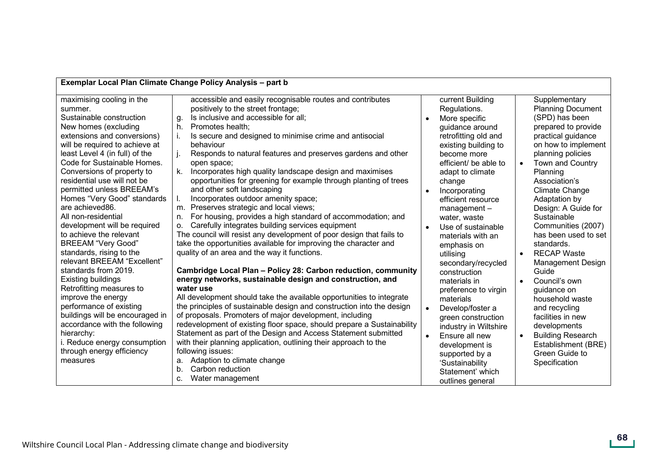|                                                                                                                                                                                                                                                                                                                                                                                                                                                                                                                                                                                                                                                                                                                                                                                                                                        | Exemplar Local Plan Climate Change Policy Analysis - part b                                                                                                                                                                                                                                                                                                                                                                                                                                                                                                                                                                                                                                                                                                                                                                                                                                                                                                                                                                                                                                                                                                                                                                                                                                                                                                                                                                                                                                                                                                                                                  |                                                                                                                                                                                                                                                                                                                                                                                                                                                                                                                                                                                                                                                                     |                                                                                                                                                                                                                                                                                                                                                                                                                                                                                                                                                                                                                                                    |
|----------------------------------------------------------------------------------------------------------------------------------------------------------------------------------------------------------------------------------------------------------------------------------------------------------------------------------------------------------------------------------------------------------------------------------------------------------------------------------------------------------------------------------------------------------------------------------------------------------------------------------------------------------------------------------------------------------------------------------------------------------------------------------------------------------------------------------------|--------------------------------------------------------------------------------------------------------------------------------------------------------------------------------------------------------------------------------------------------------------------------------------------------------------------------------------------------------------------------------------------------------------------------------------------------------------------------------------------------------------------------------------------------------------------------------------------------------------------------------------------------------------------------------------------------------------------------------------------------------------------------------------------------------------------------------------------------------------------------------------------------------------------------------------------------------------------------------------------------------------------------------------------------------------------------------------------------------------------------------------------------------------------------------------------------------------------------------------------------------------------------------------------------------------------------------------------------------------------------------------------------------------------------------------------------------------------------------------------------------------------------------------------------------------------------------------------------------------|---------------------------------------------------------------------------------------------------------------------------------------------------------------------------------------------------------------------------------------------------------------------------------------------------------------------------------------------------------------------------------------------------------------------------------------------------------------------------------------------------------------------------------------------------------------------------------------------------------------------------------------------------------------------|----------------------------------------------------------------------------------------------------------------------------------------------------------------------------------------------------------------------------------------------------------------------------------------------------------------------------------------------------------------------------------------------------------------------------------------------------------------------------------------------------------------------------------------------------------------------------------------------------------------------------------------------------|
| maximising cooling in the<br>summer.<br>Sustainable construction<br>New homes (excluding<br>extensions and conversions)<br>will be required to achieve at<br>least Level 4 (in full) of the<br>Code for Sustainable Homes.<br>Conversions of property to<br>residential use will not be<br>permitted unless BREEAM's<br>Homes "Very Good" standards<br>are achieved86.<br>All non-residential<br>development will be required<br>to achieve the relevant<br><b>BREEAM "Very Good"</b><br>standards, rising to the<br>relevant BREEAM "Excellent"<br>standards from 2019.<br>Existing buildings<br>Retrofitting measures to<br>improve the energy<br>performance of existing<br>buildings will be encouraged in<br>accordance with the following<br>hierarchy:<br>i. Reduce energy consumption<br>through energy efficiency<br>measures | accessible and easily recognisable routes and contributes<br>positively to the street frontage;<br>Is inclusive and accessible for all;<br>g.<br>Promotes health;<br>h.<br>Is secure and designed to minimise crime and antisocial<br>behaviour<br>Responds to natural features and preserves gardens and other<br>open space;<br>Incorporates high quality landscape design and maximises<br>$\mathsf{k}$ .<br>opportunities for greening for example through planting of trees<br>and other soft landscaping<br>Incorporates outdoor amenity space;<br>Preserves strategic and local views;<br>m.<br>For housing, provides a high standard of accommodation; and<br>n.<br>Carefully integrates building services equipment<br>0.<br>The council will resist any development of poor design that fails to<br>take the opportunities available for improving the character and<br>quality of an area and the way it functions.<br>Cambridge Local Plan - Policy 28: Carbon reduction, community<br>energy networks, sustainable design and construction, and<br>water use<br>All development should take the available opportunities to integrate<br>the principles of sustainable design and construction into the design<br>of proposals. Promoters of major development, including<br>redevelopment of existing floor space, should prepare a Sustainability<br>Statement as part of the Design and Access Statement submitted<br>with their planning application, outlining their approach to the<br>following issues:<br>Adaption to climate change<br>а.<br>Carbon reduction<br>b.<br>Water management | current Building<br>Regulations.<br>More specific<br>guidance around<br>retrofitting old and<br>existing building to<br>become more<br>efficient/ be able to<br>adapt to climate<br>change<br>Incorporating<br>$\bullet$<br>efficient resource<br>$m$ anagement $-$<br>water, waste<br>Use of sustainable<br>$\bullet$<br>materials with an<br>emphasis on<br>utilising<br>secondary/recycled<br>construction<br>materials in<br>preference to virgin<br>materials<br>Develop/foster a<br>green construction<br>industry in Wiltshire<br>Ensure all new<br>$\bullet$<br>development is<br>supported by a<br>'Sustainability<br>Statement' which<br>outlines general | Supplementary<br><b>Planning Document</b><br>(SPD) has been<br>prepared to provide<br>practical guidance<br>on how to implement<br>planning policies<br>Town and Country<br>$\bullet$<br>Planning<br>Association's<br><b>Climate Change</b><br>Adaptation by<br>Design: A Guide for<br>Sustainable<br>Communities (2007)<br>has been used to set<br>standards.<br><b>RECAP Waste</b><br><b>Management Design</b><br>Guide<br>Council's own<br>$\bullet$<br>guidance on<br>household waste<br>and recycling<br>facilities in new<br>developments<br><b>Building Research</b><br>$\bullet$<br>Establishment (BRE)<br>Green Guide to<br>Specification |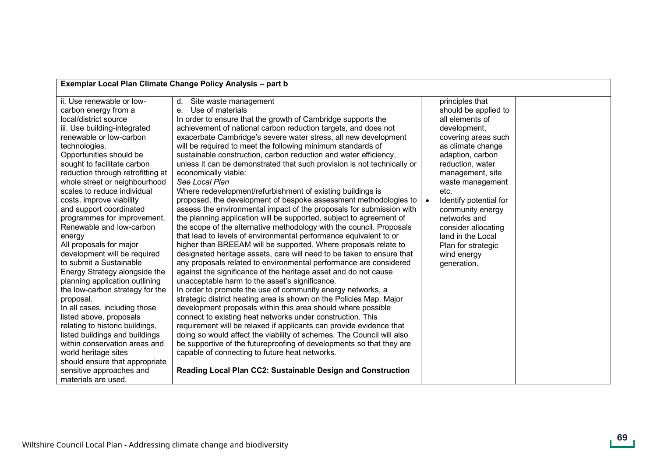| Exemplar Local Plan Climate Change Policy Analysis - part b                                                                                                                                                                                                                                                                                                                                                                                                                                                                                                                                                                                                                                                                                                                                                                                                                                                                               |                                                                                                                                                                                                                                                                                                                                                                                                                                                                                                                                                                                                                                                                                                                                                                                                                                                                                                                                                                                                                                                                                                                                                                                                                                                                                                                                                                                                                                                                                                                                                                                                                                                                                                                                                                                                                                                                                                       |                                                                                                                                                                                                                                                                                                                                                                                           |  |
|-------------------------------------------------------------------------------------------------------------------------------------------------------------------------------------------------------------------------------------------------------------------------------------------------------------------------------------------------------------------------------------------------------------------------------------------------------------------------------------------------------------------------------------------------------------------------------------------------------------------------------------------------------------------------------------------------------------------------------------------------------------------------------------------------------------------------------------------------------------------------------------------------------------------------------------------|-------------------------------------------------------------------------------------------------------------------------------------------------------------------------------------------------------------------------------------------------------------------------------------------------------------------------------------------------------------------------------------------------------------------------------------------------------------------------------------------------------------------------------------------------------------------------------------------------------------------------------------------------------------------------------------------------------------------------------------------------------------------------------------------------------------------------------------------------------------------------------------------------------------------------------------------------------------------------------------------------------------------------------------------------------------------------------------------------------------------------------------------------------------------------------------------------------------------------------------------------------------------------------------------------------------------------------------------------------------------------------------------------------------------------------------------------------------------------------------------------------------------------------------------------------------------------------------------------------------------------------------------------------------------------------------------------------------------------------------------------------------------------------------------------------------------------------------------------------------------------------------------------------|-------------------------------------------------------------------------------------------------------------------------------------------------------------------------------------------------------------------------------------------------------------------------------------------------------------------------------------------------------------------------------------------|--|
| ii. Use renewable or low-<br>carbon energy from a<br>local/district source<br>iii. Use building-integrated<br>renewable or low-carbon<br>technologies.<br>Opportunities should be<br>sought to facilitate carbon<br>reduction through retrofitting at<br>whole street or neighbourhood<br>scales to reduce individual<br>costs, improve viability<br>and support coordinated<br>programmes for improvement.<br>Renewable and low-carbon<br>energy<br>All proposals for major<br>development will be required<br>to submit a Sustainable<br>Energy Strategy alongside the<br>planning application outlining<br>the low-carbon strategy for the<br>proposal.<br>In all cases, including those<br>listed above, proposals<br>relating to historic buildings,<br>listed buildings and buildings<br>within conservation areas and<br>world heritage sites<br>should ensure that appropriate<br>sensitive approaches and<br>materials are used. | d. Site waste management<br>Use of materials<br>$e_{1}$<br>In order to ensure that the growth of Cambridge supports the<br>achievement of national carbon reduction targets, and does not<br>exacerbate Cambridge's severe water stress, all new development<br>will be required to meet the following minimum standards of<br>sustainable construction, carbon reduction and water efficiency,<br>unless it can be demonstrated that such provision is not technically or<br>economically viable:<br>See Local Plan<br>Where redevelopment/refurbishment of existing buildings is<br>proposed, the development of bespoke assessment methodologies to<br>assess the environmental impact of the proposals for submission with<br>the planning application will be supported, subject to agreement of<br>the scope of the alternative methodology with the council. Proposals<br>that lead to levels of environmental performance equivalent to or<br>higher than BREEAM will be supported. Where proposals relate to<br>designated heritage assets, care will need to be taken to ensure that<br>any proposals related to environmental performance are considered<br>against the significance of the heritage asset and do not cause<br>unacceptable harm to the asset's significance.<br>In order to promote the use of community energy networks, a<br>strategic district heating area is shown on the Policies Map. Major<br>development proposals within this area should where possible<br>connect to existing heat networks under construction. This<br>requirement will be relaxed if applicants can provide evidence that<br>doing so would affect the viability of schemes. The Council will also<br>be supportive of the futureproofing of developments so that they are<br>capable of connecting to future heat networks.<br>Reading Local Plan CC2: Sustainable Design and Construction | principles that<br>should be applied to<br>all elements of<br>development,<br>covering areas such<br>as climate change<br>adaption, carbon<br>reduction, water<br>management, site<br>waste management<br>etc.<br>Identify potential for<br>$\bullet$<br>community energy<br>networks and<br>consider allocating<br>land in the Local<br>Plan for strategic<br>wind energy<br>generation. |  |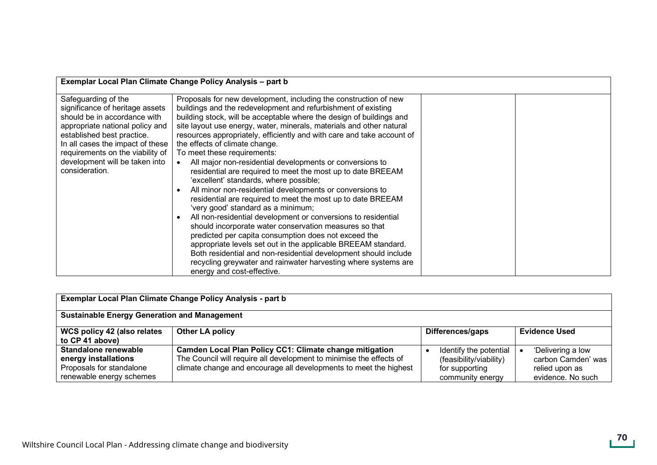| Exemplar Local Plan Climate Change Policy Analysis - part b                                          |                                                                                                                                                                                                     |                                                                                         |                                                                                |
|------------------------------------------------------------------------------------------------------|-----------------------------------------------------------------------------------------------------------------------------------------------------------------------------------------------------|-----------------------------------------------------------------------------------------|--------------------------------------------------------------------------------|
| <b>Sustainable Energy Generation and Management</b>                                                  |                                                                                                                                                                                                     |                                                                                         |                                                                                |
| WCS policy 42 (also relates<br>to CP 41 above)                                                       | <b>Other LA policy</b>                                                                                                                                                                              | Differences/gaps                                                                        | <b>Evidence Used</b>                                                           |
| Standalone renewable<br>energy installations<br>Proposals for standalone<br>renewable energy schemes | Camden Local Plan Policy CC1: Climate change mitigation<br>The Council will require all development to minimise the effects of<br>climate change and encourage all developments to meet the highest | Identify the potential<br>(feasibility/viability)<br>for supporting<br>community energy | 'Delivering a low<br>carbon Camden' was<br>relied upon as<br>evidence. No such |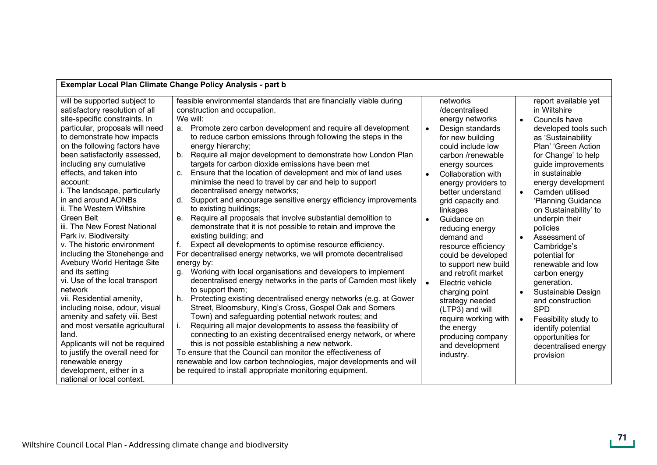| Exemplar Local Plan Climate Change Policy Analysis - part b                                                                                                                                                                                                                                                                                                                                                                                                                                                                                                                                                                                                                                                                                                                                                                                                                                                                      |                                                                                                                                                                                                                                                                                                                                                                                                                                                                                                                                                                                                                                                                                                                                                                                                                                                                                                                                                                                                                                                                                                                                                                                                                                                                                                                                                                                                                                                                                                                                                                                                                                                                                                                                             |                                     |                                                                                                                                                                                                                                                                                                                                                                                                                                                                                                                                                                         |                                                               |                                                                                                                                                                                                                                                                                                                                                                                                                                                                                                                                                                                       |
|----------------------------------------------------------------------------------------------------------------------------------------------------------------------------------------------------------------------------------------------------------------------------------------------------------------------------------------------------------------------------------------------------------------------------------------------------------------------------------------------------------------------------------------------------------------------------------------------------------------------------------------------------------------------------------------------------------------------------------------------------------------------------------------------------------------------------------------------------------------------------------------------------------------------------------|---------------------------------------------------------------------------------------------------------------------------------------------------------------------------------------------------------------------------------------------------------------------------------------------------------------------------------------------------------------------------------------------------------------------------------------------------------------------------------------------------------------------------------------------------------------------------------------------------------------------------------------------------------------------------------------------------------------------------------------------------------------------------------------------------------------------------------------------------------------------------------------------------------------------------------------------------------------------------------------------------------------------------------------------------------------------------------------------------------------------------------------------------------------------------------------------------------------------------------------------------------------------------------------------------------------------------------------------------------------------------------------------------------------------------------------------------------------------------------------------------------------------------------------------------------------------------------------------------------------------------------------------------------------------------------------------------------------------------------------------|-------------------------------------|-------------------------------------------------------------------------------------------------------------------------------------------------------------------------------------------------------------------------------------------------------------------------------------------------------------------------------------------------------------------------------------------------------------------------------------------------------------------------------------------------------------------------------------------------------------------------|---------------------------------------------------------------|---------------------------------------------------------------------------------------------------------------------------------------------------------------------------------------------------------------------------------------------------------------------------------------------------------------------------------------------------------------------------------------------------------------------------------------------------------------------------------------------------------------------------------------------------------------------------------------|
| will be supported subject to<br>satisfactory resolution of all<br>site-specific constraints. In<br>particular, proposals will need<br>to demonstrate how impacts<br>on the following factors have<br>been satisfactorily assessed,<br>including any cumulative<br>effects, and taken into<br>account:<br>i. The landscape, particularly<br>in and around AONBs<br>ii. The Western Wiltshire<br>Green Belt<br>iii. The New Forest National<br>Park iv. Biodiversity<br>v. The historic environment<br>including the Stonehenge and<br>Avebury World Heritage Site<br>and its setting<br>vi. Use of the local transport<br>network<br>vii. Residential amenity,<br>including noise, odour, visual<br>amenity and safety viii. Best<br>and most versatile agricultural<br>land.<br>Applicants will not be required<br>to justify the overall need for<br>renewable energy<br>development, either in a<br>national or local context. | feasible environmental standards that are financially viable during<br>construction and occupation.<br>We will:<br>a. Promote zero carbon development and require all development<br>to reduce carbon emissions through following the steps in the<br>energy hierarchy;<br>Require all major development to demonstrate how London Plan<br>b.<br>targets for carbon dioxide emissions have been met<br>Ensure that the location of development and mix of land uses<br>c.<br>minimise the need to travel by car and help to support<br>decentralised energy networks;<br>Support and encourage sensitive energy efficiency improvements<br>d.<br>to existing buildings;<br>Require all proposals that involve substantial demolition to<br>e.<br>demonstrate that it is not possible to retain and improve the<br>existing building; and<br>Expect all developments to optimise resource efficiency.<br>For decentralised energy networks, we will promote decentralised<br>energy by:<br>Working with local organisations and developers to implement<br>q.<br>decentralised energy networks in the parts of Camden most likely<br>to support them;<br>Protecting existing decentralised energy networks (e.g. at Gower<br>h.<br>Street, Bloomsbury, King's Cross, Gospel Oak and Somers<br>Town) and safeguarding potential network routes; and<br>Requiring all major developments to assess the feasibility of<br>connecting to an existing decentralised energy network, or where<br>this is not possible establishing a new network.<br>To ensure that the Council can monitor the effectiveness of<br>renewable and low carbon technologies, major developments and will<br>be required to install appropriate monitoring equipment. | $\bullet$<br>$\bullet$<br>$\bullet$ | networks<br>/decentralised<br>energy networks<br>Design standards<br>for new building<br>could include low<br>carbon /renewable<br>energy sources<br>Collaboration with<br>energy providers to<br>better understand<br>grid capacity and<br>linkages<br>Guidance on<br>reducing energy<br>demand and<br>resource efficiency<br>could be developed<br>to support new build<br>and retrofit market<br>Electric vehicle<br>charging point<br>strategy needed<br>(LTP3) and will<br>require working with<br>the energy<br>producing company<br>and development<br>industry. | $\bullet$<br>$\bullet$<br>$\bullet$<br>$\bullet$<br>$\bullet$ | report available yet<br>in Wiltshire<br>Councils have<br>developed tools such<br>as 'Sustainability<br>Plan' 'Green Action<br>for Change' to help<br>guide improvements<br>in sustainable<br>energy development<br>Camden utilised<br>'Planning Guidance<br>on Sustainability' to<br>underpin their<br>policies<br>Assessment of<br>Cambridge's<br>potential for<br>renewable and low<br>carbon energy<br>generation.<br>Sustainable Design<br>and construction<br><b>SPD</b><br>Feasibility study to<br>identify potential<br>opportunities for<br>decentralised energy<br>provision |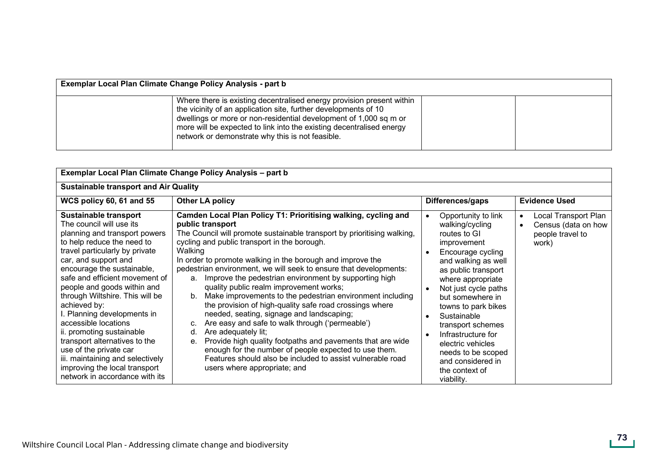| Exemplar Local Plan Climate Change Policy Analysis - part b |                                                                                                                                                                                                                                                                                                                                           |  |  |  |  |
|-------------------------------------------------------------|-------------------------------------------------------------------------------------------------------------------------------------------------------------------------------------------------------------------------------------------------------------------------------------------------------------------------------------------|--|--|--|--|
|                                                             | Where there is existing decentralised energy provision present within<br>the vicinity of an application site, further developments of 10<br>dwellings or more or non-residential development of 1,000 sq m or<br>more will be expected to link into the existing decentralised energy<br>network or demonstrate why this is not feasible. |  |  |  |  |

| Exemplar Local Plan Climate Change Policy Analysis - part b                                                                                                                                                                                                                                                                                                                                                                                                                                                                                                                               |                                                                                                                                                                                                                                                                                                                                                                                                                                                                                                                                                                                                                                                                                                                                                                                                                                                                                                                                                                   |                                                                                                                                                                                                                                                                                                                                                                                            |                                                                                                    |  |  |  |
|-------------------------------------------------------------------------------------------------------------------------------------------------------------------------------------------------------------------------------------------------------------------------------------------------------------------------------------------------------------------------------------------------------------------------------------------------------------------------------------------------------------------------------------------------------------------------------------------|-------------------------------------------------------------------------------------------------------------------------------------------------------------------------------------------------------------------------------------------------------------------------------------------------------------------------------------------------------------------------------------------------------------------------------------------------------------------------------------------------------------------------------------------------------------------------------------------------------------------------------------------------------------------------------------------------------------------------------------------------------------------------------------------------------------------------------------------------------------------------------------------------------------------------------------------------------------------|--------------------------------------------------------------------------------------------------------------------------------------------------------------------------------------------------------------------------------------------------------------------------------------------------------------------------------------------------------------------------------------------|----------------------------------------------------------------------------------------------------|--|--|--|
| <b>Sustainable transport and Air Quality</b>                                                                                                                                                                                                                                                                                                                                                                                                                                                                                                                                              |                                                                                                                                                                                                                                                                                                                                                                                                                                                                                                                                                                                                                                                                                                                                                                                                                                                                                                                                                                   |                                                                                                                                                                                                                                                                                                                                                                                            |                                                                                                    |  |  |  |
| <b>WCS policy 60, 61 and 55</b>                                                                                                                                                                                                                                                                                                                                                                                                                                                                                                                                                           | <b>Other LA policy</b>                                                                                                                                                                                                                                                                                                                                                                                                                                                                                                                                                                                                                                                                                                                                                                                                                                                                                                                                            | Differences/gaps                                                                                                                                                                                                                                                                                                                                                                           | <b>Evidence Used</b>                                                                               |  |  |  |
| <b>Sustainable transport</b><br>The council will use its<br>planning and transport powers<br>to help reduce the need to<br>travel particularly by private<br>car, and support and<br>encourage the sustainable,<br>safe and efficient movement of<br>people and goods within and<br>through Wiltshire. This will be<br>achieved by:<br>I. Planning developments in<br>accessible locations<br>ii. promoting sustainable<br>transport alternatives to the<br>use of the private car<br>iii. maintaining and selectively<br>improving the local transport<br>network in accordance with its | Camden Local Plan Policy T1: Prioritising walking, cycling and<br>public transport<br>The Council will promote sustainable transport by prioritising walking,<br>cycling and public transport in the borough.<br>Walking<br>In order to promote walking in the borough and improve the<br>pedestrian environment, we will seek to ensure that developments:<br>Improve the pedestrian environment by supporting high<br>a.<br>quality public realm improvement works;<br>Make improvements to the pedestrian environment including<br>b.<br>the provision of high-quality safe road crossings where<br>needed, seating, signage and landscaping;<br>Are easy and safe to walk through ('permeable')<br>c.<br>Are adequately lit;<br>d.<br>Provide high quality footpaths and pavements that are wide<br>е.<br>enough for the number of people expected to use them.<br>Features should also be included to assist vulnerable road<br>users where appropriate; and | Opportunity to link<br>walking/cycling<br>routes to GI<br>improvement<br>Encourage cycling<br>and walking as well<br>as public transport<br>where appropriate<br>Not just cycle paths<br>but somewhere in<br>towns to park bikes<br>Sustainable<br>transport schemes<br>Infrastructure for<br>electric vehicles<br>needs to be scoped<br>and considered in<br>the context of<br>viability. | Local Transport Plan<br>$\bullet$<br>Census (data on how<br>$\bullet$<br>people travel to<br>work) |  |  |  |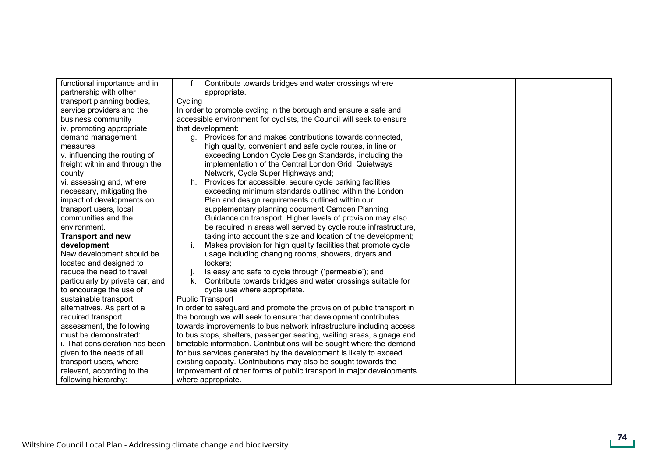| functional importance and in     | Contribute towards bridges and water crossings where<br>f.             |  |
|----------------------------------|------------------------------------------------------------------------|--|
| partnership with other           | appropriate.                                                           |  |
| transport planning bodies,       | Cycling                                                                |  |
| service providers and the        | In order to promote cycling in the borough and ensure a safe and       |  |
| business community               | accessible environment for cyclists, the Council will seek to ensure   |  |
| iv. promoting appropriate        | that development:                                                      |  |
| demand management                | g. Provides for and makes contributions towards connected,             |  |
| measures                         | high quality, convenient and safe cycle routes, in line or             |  |
| v. influencing the routing of    | exceeding London Cycle Design Standards, including the                 |  |
| freight within and through the   | implementation of the Central London Grid, Quietways                   |  |
| county                           | Network, Cycle Super Highways and;                                     |  |
| vi. assessing and, where         | Provides for accessible, secure cycle parking facilities<br>h.         |  |
| necessary, mitigating the        | exceeding minimum standards outlined within the London                 |  |
| impact of developments on        | Plan and design requirements outlined within our                       |  |
| transport users, local           | supplementary planning document Camden Planning                        |  |
| communities and the              | Guidance on transport. Higher levels of provision may also             |  |
| environment.                     | be required in areas well served by cycle route infrastructure,        |  |
| <b>Transport and new</b>         | taking into account the size and location of the development;          |  |
| development                      | Makes provision for high quality facilities that promote cycle         |  |
| New development should be        | usage including changing rooms, showers, dryers and                    |  |
| located and designed to          | lockers:                                                               |  |
| reduce the need to travel        | Is easy and safe to cycle through ('permeable'); and<br>$\mathbf{I}$   |  |
| particularly by private car, and | Contribute towards bridges and water crossings suitable for<br>k.      |  |
| to encourage the use of          | cycle use where appropriate.                                           |  |
| sustainable transport            | <b>Public Transport</b>                                                |  |
| alternatives. As part of a       | In order to safeguard and promote the provision of public transport in |  |
| required transport               | the borough we will seek to ensure that development contributes        |  |
| assessment, the following        | towards improvements to bus network infrastructure including access    |  |
| must be demonstrated:            | to bus stops, shelters, passenger seating, waiting areas, signage and  |  |
| i. That consideration has been   | timetable information. Contributions will be sought where the demand   |  |
| given to the needs of all        | for bus services generated by the development is likely to exceed      |  |
| transport users, where           | existing capacity. Contributions may also be sought towards the        |  |
| relevant, according to the       | improvement of other forms of public transport in major developments   |  |
| following hierarchy:             | where appropriate.                                                     |  |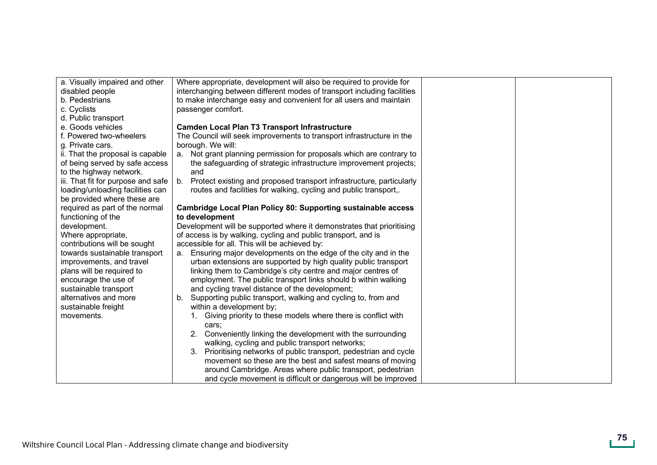| a. Visually impaired and other     | Where appropriate, development will also be required to provide for     |  |
|------------------------------------|-------------------------------------------------------------------------|--|
| disabled people                    | interchanging between different modes of transport including facilities |  |
| b. Pedestrians                     | to make interchange easy and convenient for all users and maintain      |  |
| c. Cyclists                        | passenger comfort.                                                      |  |
| d. Public transport                |                                                                         |  |
| e. Goods vehicles                  | <b>Camden Local Plan T3 Transport Infrastructure</b>                    |  |
| f. Powered two-wheelers            | The Council will seek improvements to transport infrastructure in the   |  |
| g. Private cars.                   | borough. We will:                                                       |  |
| ii. That the proposal is capable   | a. Not grant planning permission for proposals which are contrary to    |  |
| of being served by safe access     | the safeguarding of strategic infrastructure improvement projects;      |  |
| to the highway network.            | and                                                                     |  |
| iii. That fit for purpose and safe | b. Protect existing and proposed transport infrastructure, particularly |  |
| loading/unloading facilities can   | routes and facilities for walking, cycling and public transport,.       |  |
| be provided where these are        |                                                                         |  |
| required as part of the normal     | Cambridge Local Plan Policy 80: Supporting sustainable access           |  |
| functioning of the                 | to development                                                          |  |
| development.                       | Development will be supported where it demonstrates that prioritising   |  |
| Where appropriate,                 | of access is by walking, cycling and public transport, and is           |  |
| contributions will be sought       | accessible for all. This will be achieved by:                           |  |
| towards sustainable transport      | a. Ensuring major developments on the edge of the city and in the       |  |
| improvements, and travel           | urban extensions are supported by high quality public transport         |  |
| plans will be required to          | linking them to Cambridge's city centre and major centres of            |  |
| encourage the use of               | employment. The public transport links should b within walking          |  |
| sustainable transport              | and cycling travel distance of the development;                         |  |
| alternatives and more              | Supporting public transport, walking and cycling to, from and           |  |
| sustainable freight                | within a development by;                                                |  |
| movements.                         | 1. Giving priority to these models where there is conflict with         |  |
|                                    | cars;                                                                   |  |
|                                    | 2. Conveniently linking the development with the surrounding            |  |
|                                    | walking, cycling and public transport networks;                         |  |
|                                    | 3. Prioritising networks of public transport, pedestrian and cycle      |  |
|                                    | movement so these are the best and safest means of moving               |  |
|                                    | around Cambridge. Areas where public transport, pedestrian              |  |
|                                    | and cycle movement is difficult or dangerous will be improved           |  |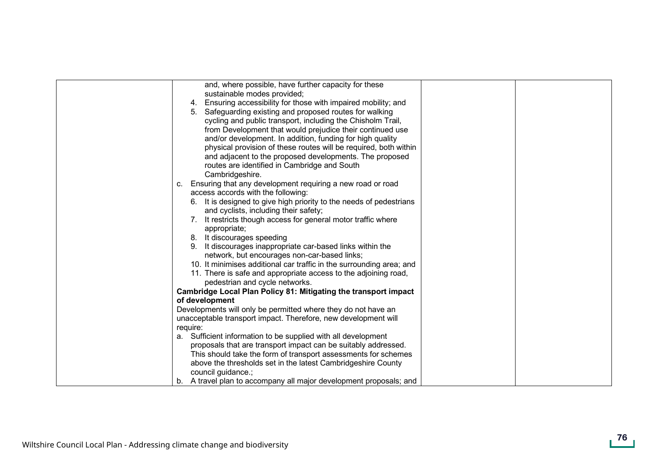| and, where possible, have further capacity for these                  |
|-----------------------------------------------------------------------|
| sustainable modes provided;                                           |
| 4. Ensuring accessibility for those with impaired mobility; and       |
| 5. Safeguarding existing and proposed routes for walking              |
| cycling and public transport, including the Chisholm Trail,           |
| from Development that would prejudice their continued use             |
| and/or development. In addition, funding for high quality             |
| physical provision of these routes will be required, both within      |
| and adjacent to the proposed developments. The proposed               |
| routes are identified in Cambridge and South                          |
| Cambridgeshire.                                                       |
| Ensuring that any development requiring a new road or road<br>C.      |
| access accords with the following:                                    |
| 6. It is designed to give high priority to the needs of pedestrians   |
| and cyclists, including their safety;                                 |
| 7. It restricts though access for general motor traffic where         |
| appropriate;                                                          |
| 8. It discourages speeding                                            |
| 9. It discourages inappropriate car-based links within the            |
| network, but encourages non-car-based links;                          |
| 10. It minimises additional car traffic in the surrounding area; and  |
| 11. There is safe and appropriate access to the adjoining road,       |
| pedestrian and cycle networks.                                        |
| Cambridge Local Plan Policy 81: Mitigating the transport impact       |
| of development                                                        |
| Developments will only be permitted where they do not have an         |
| unacceptable transport impact. Therefore, new development will        |
| require:                                                              |
| a. Sufficient information to be supplied with all development         |
| proposals that are transport impact can be suitably addressed.        |
| This should take the form of transport assessments for schemes        |
| above the thresholds set in the latest Cambridgeshire County          |
| council guidance.;                                                    |
| A travel plan to accompany all major development proposals; and<br>b. |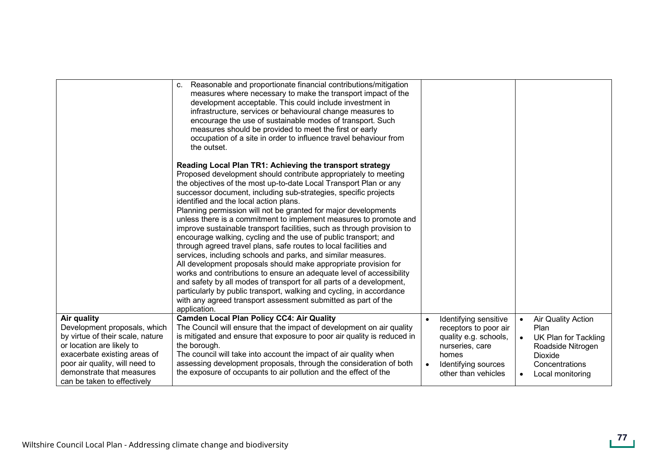|                                                                                                                                                                                                                                            | Reasonable and proportionate financial contributions/mitigation<br>C.<br>measures where necessary to make the transport impact of the<br>development acceptable. This could include investment in<br>infrastructure, services or behavioural change measures to<br>encourage the use of sustainable modes of transport. Such<br>measures should be provided to meet the first or early<br>occupation of a site in order to influence travel behaviour from<br>the outset.                                                                                                                                                                                                                                                                                                                                                                                                                                                                                                                                                                                                                                         |           |                                                                                                                                                   |                        |                                                                                                                          |
|--------------------------------------------------------------------------------------------------------------------------------------------------------------------------------------------------------------------------------------------|-------------------------------------------------------------------------------------------------------------------------------------------------------------------------------------------------------------------------------------------------------------------------------------------------------------------------------------------------------------------------------------------------------------------------------------------------------------------------------------------------------------------------------------------------------------------------------------------------------------------------------------------------------------------------------------------------------------------------------------------------------------------------------------------------------------------------------------------------------------------------------------------------------------------------------------------------------------------------------------------------------------------------------------------------------------------------------------------------------------------|-----------|---------------------------------------------------------------------------------------------------------------------------------------------------|------------------------|--------------------------------------------------------------------------------------------------------------------------|
|                                                                                                                                                                                                                                            | Reading Local Plan TR1: Achieving the transport strategy<br>Proposed development should contribute appropriately to meeting<br>the objectives of the most up-to-date Local Transport Plan or any<br>successor document, including sub-strategies, specific projects<br>identified and the local action plans.<br>Planning permission will not be granted for major developments<br>unless there is a commitment to implement measures to promote and<br>improve sustainable transport facilities, such as through provision to<br>encourage walking, cycling and the use of public transport; and<br>through agreed travel plans, safe routes to local facilities and<br>services, including schools and parks, and similar measures.<br>All development proposals should make appropriate provision for<br>works and contributions to ensure an adequate level of accessibility<br>and safety by all modes of transport for all parts of a development,<br>particularly by public transport, walking and cycling, in accordance<br>with any agreed transport assessment submitted as part of the<br>application. |           |                                                                                                                                                   |                        |                                                                                                                          |
| Air quality<br>Development proposals, which<br>by virtue of their scale, nature<br>or location are likely to<br>exacerbate existing areas of<br>poor air quality, will need to<br>demonstrate that measures<br>can be taken to effectively | <b>Camden Local Plan Policy CC4: Air Quality</b><br>The Council will ensure that the impact of development on air quality<br>is mitigated and ensure that exposure to poor air quality is reduced in<br>the borough.<br>The council will take into account the impact of air quality when<br>assessing development proposals, through the consideration of both<br>the exposure of occupants to air pollution and the effect of the                                                                                                                                                                                                                                                                                                                                                                                                                                                                                                                                                                                                                                                                               | $\bullet$ | Identifying sensitive<br>receptors to poor air<br>quality e.g. schools,<br>nurseries, care<br>homes<br>Identifying sources<br>other than vehicles | $\bullet$<br>$\bullet$ | Air Quality Action<br>Plan<br>UK Plan for Tackling<br>Roadside Nitrogen<br>Dioxide<br>Concentrations<br>Local monitoring |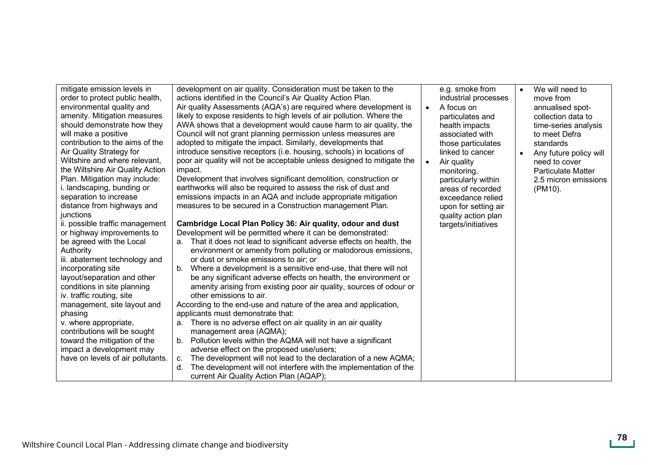| mitigate emission levels in<br>order to protect public health,<br>environmental quality and<br>amenity. Mitigation measures<br>should demonstrate how they<br>will make a positive<br>contribution to the aims of the<br>Air Quality Strategy for<br>Wiltshire and where relevant,<br>the Wiltshire Air Quality Action<br>Plan. Mitigation may include:<br>i. landscaping, bunding or<br>separation to increase<br>distance from highways and<br>junctions<br>ii. possible traffic management<br>or highway improvements to<br>be agreed with the Local<br>Authority<br>iii. abatement technology and<br>incorporating site<br>layout/separation and other<br>conditions in site planning<br>iv. traffic routing, site<br>management, site layout and<br>phasing<br>v. where appropriate,<br>contributions will be sought<br>toward the mitigation of the<br>impact a development may<br>have on levels of air pollutants. | development on air quality. Consideration must be taken to the<br>actions identified in the Council's Air Quality Action Plan.<br>Air quality Assessments (AQA's) are required where development is<br>likely to expose residents to high levels of air pollution. Where the<br>AWA shows that a development would cause harm to air quality, the<br>Council will not grant planning permission unless measures are<br>adopted to mitigate the impact. Similarly, developments that<br>introduce sensitive receptors (i.e. housing, schools) in locations of<br>poor air quality will not be acceptable unless designed to mitigate the<br>impact.<br>Development that involves significant demolition, construction or<br>earthworks will also be required to assess the risk of dust and<br>emissions impacts in an AQA and include appropriate mitigation<br>measures to be secured in a Construction management Plan.<br>Cambridge Local Plan Policy 36: Air quality, odour and dust<br>Development will be permitted where it can be demonstrated:<br>That it does not lead to significant adverse effects on health, the<br>a.<br>environment or amenity from polluting or malodorous emissions,<br>or dust or smoke emissions to air; or<br>Where a development is a sensitive end-use, that there will not<br>b.<br>be any significant adverse effects on health, the environment or<br>amenity arising from existing poor air quality, sources of odour or<br>other emissions to air.<br>According to the end-use and nature of the area and application,<br>applicants must demonstrate that:<br>There is no adverse effect on air quality in an air quality<br>a.<br>management area (AQMA);<br>b. Pollution levels within the AQMA will not have a significant<br>adverse effect on the proposed use/users;<br>The development will not lead to the declaration of a new AQMA;<br>c.<br>The development will not interfere with the implementation of the<br>d.<br>current Air Quality Action Plan (AQAP); | e.g. smoke from<br>industrial processes<br>A focus on<br>$\bullet$<br>particulates and<br>health impacts<br>associated with<br>those particulates<br>linked to cancer<br>Air quality<br>monitoring,<br>particularly within<br>areas of recorded<br>exceedance relied<br>upon for setting air<br>quality action plan<br>targets/initiatives | We will need to<br>$\bullet$<br>move from<br>annualised spot-<br>collection data to<br>time-series analysis<br>to meet Defra<br>standards<br>Any future policy will<br>$\bullet$<br>need to cover<br><b>Particulate Matter</b><br>2.5 micron emissions<br>(PM10). |
|----------------------------------------------------------------------------------------------------------------------------------------------------------------------------------------------------------------------------------------------------------------------------------------------------------------------------------------------------------------------------------------------------------------------------------------------------------------------------------------------------------------------------------------------------------------------------------------------------------------------------------------------------------------------------------------------------------------------------------------------------------------------------------------------------------------------------------------------------------------------------------------------------------------------------|------------------------------------------------------------------------------------------------------------------------------------------------------------------------------------------------------------------------------------------------------------------------------------------------------------------------------------------------------------------------------------------------------------------------------------------------------------------------------------------------------------------------------------------------------------------------------------------------------------------------------------------------------------------------------------------------------------------------------------------------------------------------------------------------------------------------------------------------------------------------------------------------------------------------------------------------------------------------------------------------------------------------------------------------------------------------------------------------------------------------------------------------------------------------------------------------------------------------------------------------------------------------------------------------------------------------------------------------------------------------------------------------------------------------------------------------------------------------------------------------------------------------------------------------------------------------------------------------------------------------------------------------------------------------------------------------------------------------------------------------------------------------------------------------------------------------------------------------------------------------------------------------------------------------------------------------------------------------------------------------------------------------|--------------------------------------------------------------------------------------------------------------------------------------------------------------------------------------------------------------------------------------------------------------------------------------------------------------------------------------------|-------------------------------------------------------------------------------------------------------------------------------------------------------------------------------------------------------------------------------------------------------------------|
|----------------------------------------------------------------------------------------------------------------------------------------------------------------------------------------------------------------------------------------------------------------------------------------------------------------------------------------------------------------------------------------------------------------------------------------------------------------------------------------------------------------------------------------------------------------------------------------------------------------------------------------------------------------------------------------------------------------------------------------------------------------------------------------------------------------------------------------------------------------------------------------------------------------------------|------------------------------------------------------------------------------------------------------------------------------------------------------------------------------------------------------------------------------------------------------------------------------------------------------------------------------------------------------------------------------------------------------------------------------------------------------------------------------------------------------------------------------------------------------------------------------------------------------------------------------------------------------------------------------------------------------------------------------------------------------------------------------------------------------------------------------------------------------------------------------------------------------------------------------------------------------------------------------------------------------------------------------------------------------------------------------------------------------------------------------------------------------------------------------------------------------------------------------------------------------------------------------------------------------------------------------------------------------------------------------------------------------------------------------------------------------------------------------------------------------------------------------------------------------------------------------------------------------------------------------------------------------------------------------------------------------------------------------------------------------------------------------------------------------------------------------------------------------------------------------------------------------------------------------------------------------------------------------------------------------------------------|--------------------------------------------------------------------------------------------------------------------------------------------------------------------------------------------------------------------------------------------------------------------------------------------------------------------------------------------|-------------------------------------------------------------------------------------------------------------------------------------------------------------------------------------------------------------------------------------------------------------------|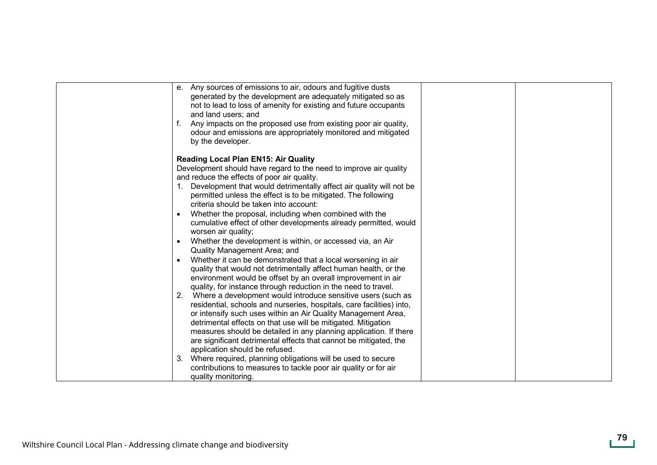| e. Any sources of emissions to air, odours and fugitive dusts<br>generated by the development are adequately mitigated so as<br>not to lead to loss of amenity for existing and future occupants<br>and land users; and<br>Any impacts on the proposed use from existing poor air quality,<br>odour and emissions are appropriately monitored and mitigated<br>by the developer.                                                                                                                                                                                                                                                                                                                                                                                                                                                                                                                                                                                                                                                                                                                                                                                                                                                                                                                                                                                                                                                                                                                                                 |  |
|----------------------------------------------------------------------------------------------------------------------------------------------------------------------------------------------------------------------------------------------------------------------------------------------------------------------------------------------------------------------------------------------------------------------------------------------------------------------------------------------------------------------------------------------------------------------------------------------------------------------------------------------------------------------------------------------------------------------------------------------------------------------------------------------------------------------------------------------------------------------------------------------------------------------------------------------------------------------------------------------------------------------------------------------------------------------------------------------------------------------------------------------------------------------------------------------------------------------------------------------------------------------------------------------------------------------------------------------------------------------------------------------------------------------------------------------------------------------------------------------------------------------------------|--|
| <b>Reading Local Plan EN15: Air Quality</b><br>Development should have regard to the need to improve air quality<br>and reduce the effects of poor air quality.<br>Development that would detrimentally affect air quality will not be<br>permitted unless the effect is to be mitigated. The following<br>criteria should be taken into account:<br>Whether the proposal, including when combined with the<br>cumulative effect of other developments already permitted, would<br>worsen air quality;<br>Whether the development is within, or accessed via, an Air<br>$\bullet$<br>Quality Management Area; and<br>Whether it can be demonstrated that a local worsening in air<br>$\bullet$<br>quality that would not detrimentally affect human health, or the<br>environment would be offset by an overall improvement in air<br>quality, for instance through reduction in the need to travel.<br>Where a development would introduce sensitive users (such as<br>2.<br>residential, schools and nurseries, hospitals, care facilities) into,<br>or intensify such uses within an Air Quality Management Area,<br>detrimental effects on that use will be mitigated. Mitigation<br>measures should be detailed in any planning application. If there<br>are significant detrimental effects that cannot be mitigated, the<br>application should be refused.<br>Where required, planning obligations will be used to secure<br>3.<br>contributions to measures to tackle poor air quality or for air<br>quality monitoring. |  |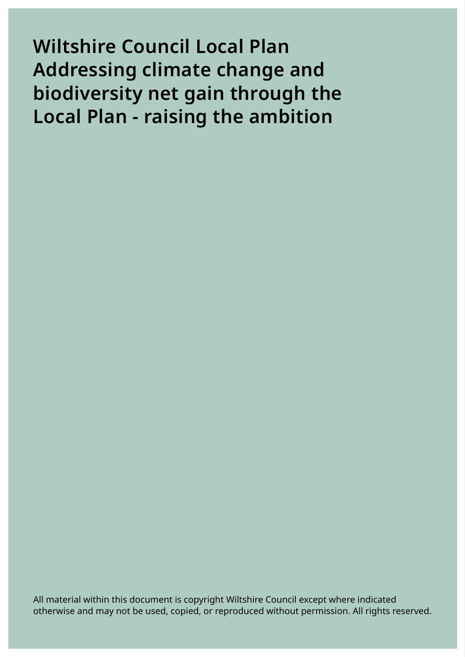**Wiltshire Council Local Plan Addressing climate change and biodiversity net gain through the Local Plan - raising the ambition** 

All material within this document is copyright Wiltshire Council except where indicated otherwise and may not be used, copied, or reproduced without permission. All rights reserved.